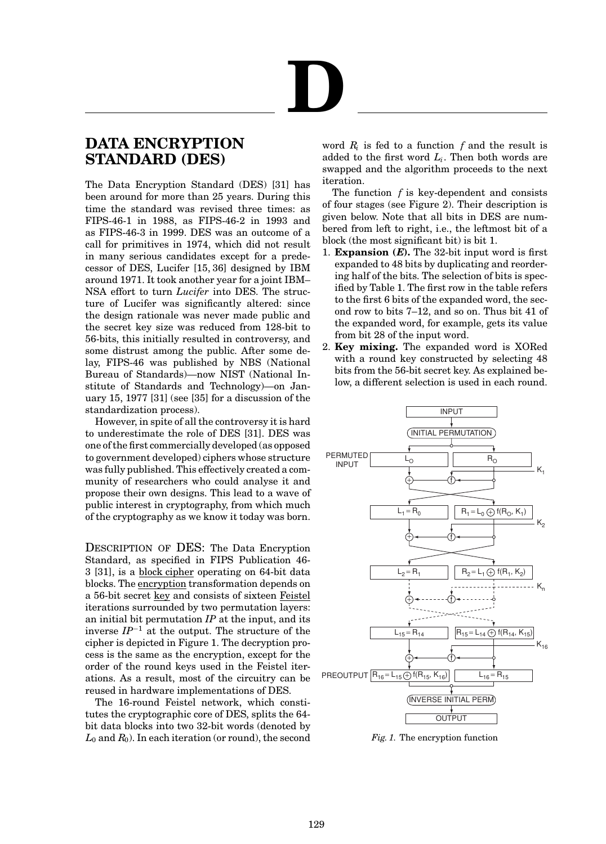# **D**

# **DATA ENCRYPTION STANDARD (DES)**

The Data Encryption Standard (DES) [31] has been around for more than 25 years. During this time the standard was revised three times: as FIPS-46-1 in 1988, as FIPS-46-2 in 1993 and as FIPS-46-3 in 1999. DES was an outcome of a call for primitives in 1974, which did not result in many serious candidates except for a predecessor of DES, Lucifer [15, 36] designed by IBM around 1971. It took another year for a joint IBM– NSA effort to turn *Lucifer* into DES. The structure of Lucifer was significantly altered: since the design rationale was never made public and the secret key size was reduced from 128-bit to 56-bits, this initially resulted in controversy, and some distrust among the public. After some delay, FIPS-46 was published by NBS (National Bureau of Standards)—now NIST (National Institute of Standards and Technology)—on January 15, 1977 [31] (see [35] for a discussion of the standardization process).

However, in spite of all the controversy it is hard to underestimate the role of DES [31]. DES was one of the first commercially developed (as opposed to government developed) ciphers whose structure was fully published. This effectively created a community of researchers who could analyse it and propose their own designs. This lead to a wave of public interest in cryptography, from which much of the cryptography as we know it today was born.

DESCRIPTION OF DES: The Data Encryption Standard, as specified in FIPS Publication 46- 3 [31], is a block cipher operating on 64-bit data blocks. The encryption transformation depends on a 56-bit secret key and consists of sixteen Feistel iterations surrounded by two permutation layers: an initial bit permutation *IP* at the input, and its inverse *IP*<sup>−</sup><sup>1</sup> at the output. The structure of the cipher is depicted in Figure 1. The decryption process is the same as the encryption, except for the order of the round keys used in the Feistel iterations. As a result, most of the circuitry can be reused in hardware implementations of DES.

The 16-round Feistel network, which constitutes the cryptographic core of DES, splits the 64 bit data blocks into two 32-bit words (denoted by  $L_0$  and  $R_0$ ). In each iteration (or round), the second word  $R_i$  is fed to a function  $f$  and the result is added to the first word  $L_i$ . Then both words are swapped and the algorithm proceeds to the next iteration.

The function *f* is key-dependent and consists of four stages (see Figure 2). Their description is given below. Note that all bits in DES are numbered from left to right, i.e., the leftmost bit of a block (the most significant bit) is bit 1.

- 1. **Expansion**  $(E)$ **.** The 32-bit input word is first expanded to 48 bits by duplicating and reordering half of the bits. The selection of bits is specified by Table 1. The first row in the table refers to the first 6 bits of the expanded word, the second row to bits 7–12, and so on. Thus bit 41 of the expanded word, for example, gets its value from bit 28 of the input word.
- 2. **Key mixing.** The expanded word is XORed with a round key constructed by selecting 48 bits from the 56-bit secret key. As explained below, a different selection is used in each round.



*Fig. 1.* The encryption function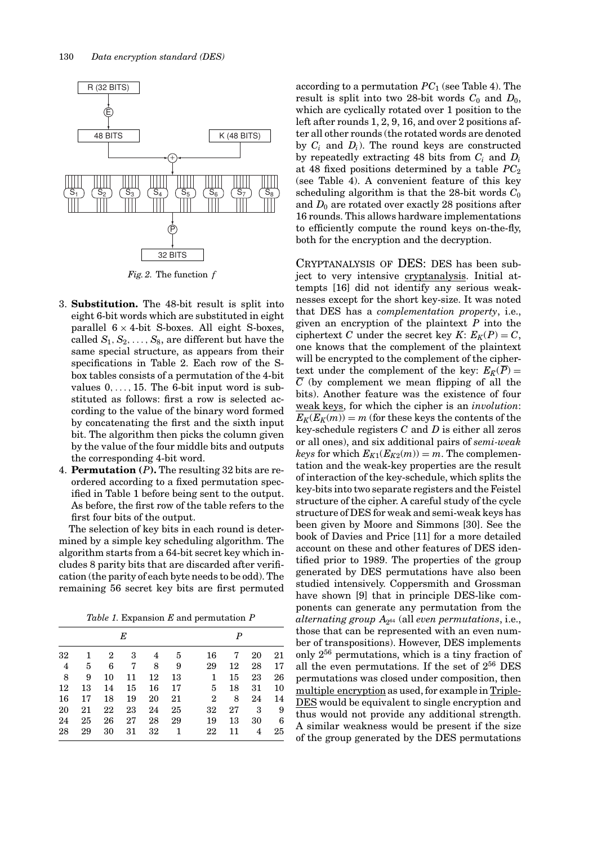

- 3. **Substitution.** The 48-bit result is split into eight 6-bit words which are substituted in eight parallel  $6 \times 4$ -bit S-boxes. All eight S-boxes, called  $S_1, S_2, \ldots, S_8$ , are different but have the same special structure, as appears from their specifications in Table 2. Each row of the Sbox tables consists of a permutation of the 4-bit values 0,..., 15. The 6-bit input word is substituted as follows: first a row is selected according to the value of the binary word formed by concatenating the first and the sixth input bit. The algorithm then picks the column given by the value of the four middle bits and outputs the corresponding 4-bit word.
- 4. **Permutation (***P***).** The resulting 32 bits are reordered according to a fixed permutation specified in Table 1 before being sent to the output. As before, the first row of the table refers to the first four bits of the output.

The selection of key bits in each round is determined by a simple key scheduling algorithm. The algorithm starts from a 64-bit secret key which includes 8 parity bits that are discarded after verification (the parity of each byte needs to be odd). The remaining 56 secret key bits are first permuted

*Table 1.* Expansion *E* and permutation *P*

|    |    |    | E  |    |    |                | P  |    |    |
|----|----|----|----|----|----|----------------|----|----|----|
| 32 | 1  | 2  | 3  | 4  | 5  | 16             |    | 20 | 21 |
| 4  | 5  | 6  | 7  | 8  | 9  | 29             | 12 | 28 | 17 |
| 8  | 9  | 10 | 11 | 12 | 13 | 1              | 15 | 23 | 26 |
| 12 | 13 | 14 | 15 | 16 | 17 | 5              | 18 | 31 | 10 |
| 16 | 17 | 18 | 19 | 20 | 21 | $\overline{2}$ | 8  | 24 | 14 |
| 20 | 21 | 22 | 23 | 24 | 25 | 32             | 27 | 3  | -9 |
| 24 | 25 | 26 | 27 | 28 | 29 | 19             | 13 | 30 | 6  |
| 28 | 29 | 30 | 31 | 32 | 1  | 22             | 11 | 4  | 25 |

according to a permutation  $PC_1$  (see Table 4). The result is split into two 28-bit words  $C_0$  and  $D_0$ , which are cyclically rotated over 1 position to the left after rounds 1, 2, 9, 16, and over 2 positions after all other rounds (the rotated words are denoted by *Ci* and *Di*). The round keys are constructed by repeatedly extracting 48 bits from *Ci* and *Di* at 48 fixed positions determined by a table *PC*<sup>2</sup> (see Table 4). A convenient feature of this key scheduling algorithm is that the 28-bit words  $C_0$ and  $D_0$  are rotated over exactly 28 positions after 16 rounds. This allows hardware implementations to efficiently compute the round keys on-the-fly, both for the encryption and the decryption.

CRYPTANALYSIS OF DES: DES has been subject to very intensive cryptanalysis. Initial attempts [16] did not identify any serious weaknesses except for the short key-size. It was noted that DES has a *complementation property*, i.e., given an encryption of the plaintext *P* into the ciphertext *C* under the secret key *K*:  $E_K(P) = C$ , one knows that the complement of the plaintext will be encrypted to the complement of the ciphertext under the complement of the key:  $E_{\bar{K}}(\overline{P}) =$  $\overline{C}$  (by complement we mean flipping of all the bits). Another feature was the existence of four weak keys, for which the cipher is an *involution*:  $E_K(E_K(m)) = m$  (for these keys the contents of the key-schedule registers *C* and *D* is either all zeros or all ones), and six additional pairs of *semi-weak keys* for which  $E_{K1}(E_{K2}(m)) = m$ . The complementation and the weak-key properties are the result of interaction of the key-schedule, which splits the key-bits into two separate registers and the Feistel structure of the cipher. A careful study of the cycle structure of DES for weak and semi-weak keys has been given by Moore and Simmons [30]. See the book of Davies and Price [11] for a more detailed account on these and other features of DES identified prior to 1989. The properties of the group generated by DES permutations have also been studied intensively. Coppersmith and Grossman have shown [9] that in principle DES-like components can generate any permutation from the *alternating group A*<sup>264</sup> (all *even permutations*, i.e., those that can be represented with an even number of transpositions). However, DES implements only  $2^{56}$  permutations, which is a tiny fraction of all the even permutations. If the set of  $2^{56}$  DES permutations was closed under composition, then multiple encryption as used, for example in Triple-DES would be equivalent to single encryption and thus would not provide any additional strength. A similar weakness would be present if the size of the group generated by the DES permutations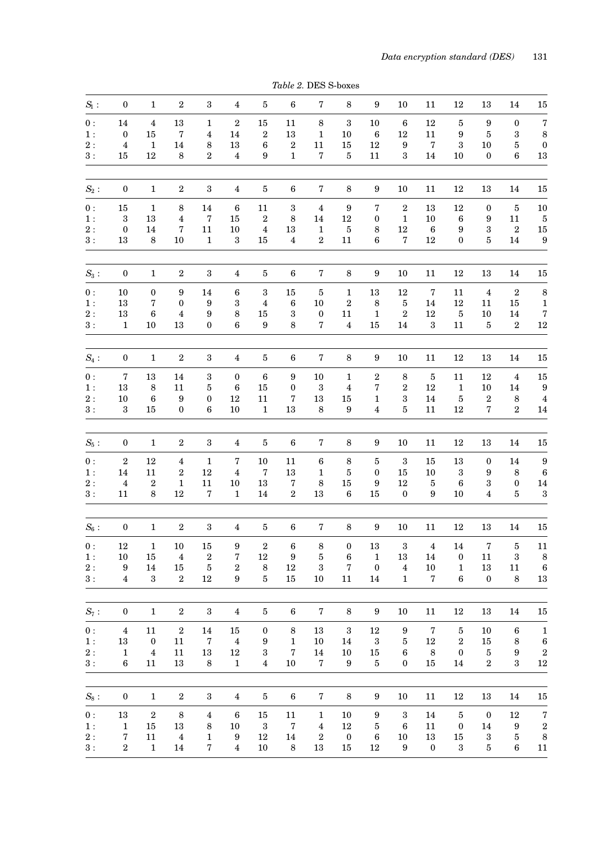| <i>Table 2. DES S-boxes</i> |  |  |
|-----------------------------|--|--|
|-----------------------------|--|--|

| $S_1$ :          | $\boldsymbol{0}$     | $\mathbf{1}$           | $\,2$                   | $\,3$            | $\overline{4}$          | $\bf 5$               | 6                    | $\rm 7$           | $\,8\,$          | 9                       | 10                    | 11               | 12               | 13                         | 14                      | 15                     |
|------------------|----------------------|------------------------|-------------------------|------------------|-------------------------|-----------------------|----------------------|-------------------|------------------|-------------------------|-----------------------|------------------|------------------|----------------------------|-------------------------|------------------------|
| 0:               | 14                   | $\overline{4}$         | 13                      | $\mathbf{1}$     | $\,2$                   | 15                    | 11                   | 8                 | $\,3$            | 10                      | $\boldsymbol{6}$      | 12               | 5                | 9                          | $\boldsymbol{0}$        | $\sqrt{7}$             |
| 1:               | $\boldsymbol{0}$     | 15                     | $\rm 7$                 | 4                | 14                      | $\,2$                 | 13                   | 1                 | 10               | $\,6$                   | 12                    | 11               | 9                | $\bf 5$                    | 3                       | 8                      |
| $2\div$<br>$3$ : | $\overline{4}$<br>15 | $\mathbf{1}$<br>$12\,$ | 14<br>$\,8\,$           | 8<br>$\,2$       | 13<br>$\overline{4}$    | $\boldsymbol{6}$<br>9 | $\,2$<br>$\mathbf 1$ | 11<br>$\bf 7$     | 15<br>$\bf 5$    | 12<br>11                | $\boldsymbol{9}$<br>3 | 7<br>14          | $\,3$<br>$10\,$  | $10\,$<br>$\boldsymbol{0}$ | $\bf 5$<br>$\,6\,$      | $\boldsymbol{0}$<br>13 |
|                  |                      |                        |                         |                  |                         |                       |                      |                   |                  |                         |                       |                  |                  |                            |                         |                        |
| $S_2$ :          | $\boldsymbol{0}$     | $\mathbf{1}$           | $\sqrt{2}$              | $\,3$            | $\overline{\mathbf{4}}$ | $\bf 5$               | 6                    | $\bf 7$           | 8                | $\boldsymbol{9}$        | 10                    | 11               | 12               | 13                         | 14                      | 15                     |
| $0\,\colon\,$    | $15\,$               | $\mathbf{1}$           | $\,8\,$                 | 14               | $\,6\,$                 | 11                    | $\rm 3$              | $\bf 4$           | $\boldsymbol{9}$ | $\overline{7}$          | $\,2$                 | 13               | 12               | $\boldsymbol{0}$           | $\bf 5$                 | 10                     |
| 1:               | $\,3$                | 13                     | $\overline{4}$          | $\rm 7$          | 15                      | $\,2$                 | 8                    | 14                | 12               | $\bf{0}$                | $\mathbf 1$           | 10               | $\,6\,$          | 9                          | 11                      | $\overline{5}$         |
| $2\div$          | $\boldsymbol{0}$     | 14                     | 7                       | 11               | 10                      | $\overline{4}$        | 13                   | 1                 | $\overline{5}$   | 8                       | $12\,$                | $\boldsymbol{6}$ | 9                | $\,3$                      | $\sqrt{2}$              | 15                     |
| $3: \;$          | 13                   | $\,8\,$                | $10\,$                  | $\mathbf{1}$     | $\,3$                   | 15                    | $\overline{4}$       | $\,2$             | 11               | 6                       | $\overline{7}$        | 12               | $\bf{0}$         | $\bf 5$                    | 14                      | 9                      |
| $S_3$ :          | $\boldsymbol{0}$     | $\mathbf 1$            | $\,2$                   | $\bf 3$          | $\overline{\mathbf{4}}$ | $\bf 5$               | $\boldsymbol{6}$     | $\sqrt{7}$        | $\,8\,$          | $\boldsymbol{9}$        | 10                    | 11               | $12\,$           | 13                         | 14                      | 15                     |
| $0:$             | 10                   | $\boldsymbol{0}$       | $\boldsymbol{9}$        | 14               | $6\phantom{1}6$         | $\,3\,$               | 15                   | $\bf 5$           | $\mathbf{1}$     | 13                      | 12                    | $\sqrt{7}$       | 11               | $\overline{4}$             | $\sqrt{2}$              | 8                      |
| $1$ :            | 13                   | $\bf 7$                | $\boldsymbol{0}$        | $\boldsymbol{9}$ | $\,3$                   | $\overline{4}$        | $\boldsymbol{6}$     | 10                | $\,2$            | 8                       | $\bf 5$               | 14               | $12\,$           | 11                         | $15\,$                  | $\mathbf{1}$           |
| $2\div$          | 13                   | $\bf 6$                | $\overline{4}$          | $\boldsymbol{9}$ | $\,8\,$                 | 15                    | $\rm 3$              | $\boldsymbol{0}$  | 11               | $\mathbf{1}$            | $\boldsymbol{2}$      | 12               | $\bf 5$          | $10\,$                     | 14                      | $\overline{7}$         |
| $3$ :            | $\mathbf{1}$         | 10                     | 13                      | $\boldsymbol{0}$ | 6                       | 9                     | $\,8\,$              | $\scriptstyle{7}$ | $\overline{4}$   | 15                      | 14                    | $\,3$            | 11               | $\bf 5$                    | $\,2$                   | 12                     |
| $S_4$ :          | $\boldsymbol{0}$     | $\mathbf 1$            | $\,2$                   | $\sqrt{3}$       | $\boldsymbol{4}$        | $\bf 5$               | $\,6\,$              | $\rm 7$           | $\,8\,$          | $\boldsymbol{9}$        | 10                    | 11               | $12\,$           | 13                         | 14                      | 15                     |
| $0\,\colon\,$    | $\rm 7$              | 13                     | 14                      | $\,3$            | $\boldsymbol{0}$        | $\boldsymbol{6}$      | $\boldsymbol{9}$     | 10                | 1                | $\,2$                   | 8                     | 5                | 11               | $12\,$                     | $\overline{\mathbf{4}}$ | 15                     |
| $1$ :            | 13                   | $\,8\,$                | 11                      | $\bf 5$          | 6                       | 15                    | $\boldsymbol{0}$     | $\,3$             | $\overline{4}$   | $\bf 7$                 | $\sqrt{2}$            | 12               | $\mathbf{1}$     | $10\,$                     | 14                      | 9                      |
| $2\div$          | $10\,$               | $\bf 6$                | $\boldsymbol{9}$        | $\boldsymbol{0}$ | 12                      | 11                    | 7                    | 13                | 15               | $\mathbf{1}$            | 3                     | 14               | $\bf 5$          | $\,2$                      | $\,8\,$                 | $\overline{4}$         |
| $3$ :            | $\,3\,$              | $15\,$                 | $\boldsymbol{0}$        | $\,6\,$          | 10                      | $\mathbf{1}$          | $13\,$               | $\,8\,$           | $\boldsymbol{9}$ | $\overline{\mathbf{4}}$ | 5                     | 11               | $12\,$           | $\sqrt{7}$                 | $\,2$                   | 14                     |
| $S_5$ :          | $\bf{0}$             | $\mathbf 1$            | $\,2$                   | $\,3$            | $\overline{\mathbf{4}}$ | $\bf 5$               | $\boldsymbol{6}$     | $\rm 7$           | 8                | $\boldsymbol{9}$        | 10                    | 11               | 12               | 13                         | 14                      | 15                     |
| $0$ :            | $\,2$                | $12\,$                 | $\overline{\mathbf{4}}$ | $\mathbf{1}$     | 7                       | 10                    | 11                   | 6                 | 8                | 5                       | $\boldsymbol{3}$      | 15               | 13               | $\bf{0}$                   | 14                      | 9                      |
| 1:               | 14                   | 11                     | $\,2$                   | $12\,$           | 4                       | $\rm 7$               | $13\,$               | 1                 | 5                | $\boldsymbol{0}$        | 15                    | 10               | $\boldsymbol{3}$ | $\boldsymbol{9}$           | 8                       | 6                      |
| $2\div$          | $\overline{4}$       | $\,2$                  | $\mathbf 1$             | 11               | $10\,$                  | $13\,$                | $\sqrt{7}$           | $\,8\,$           | 15               | $\boldsymbol{9}$        | 12                    | 5                | $\,6$            | $\,3\,$                    | $\pmb{0}$               | 14                     |
| $3$ :            | 11                   | $\, 8$                 | $12\,$                  | $\sqrt{7}$       | $\mathbf{1}$            | 14                    | $\,2$                | 13                | $\,6$            | 15                      | $\boldsymbol{0}$      | $\boldsymbol{9}$ | 10               | $\overline{4}$             | $\bf 5$                 | $\boldsymbol{3}$       |
| $S_6$ :          | $\boldsymbol{0}$     | $\mathbf{1}$           | $\,2$                   | $\bf{3}$         | $\bf 4$                 | $\bf 5$               | $\bf 6$              | $\rm 7$           | $\, 8$           | $\boldsymbol{9}$        | $10\,$                | 11               | $12\,$           | $13\,$                     | 14                      | 15                     |
| $0:$             | 12                   | $\mathbf{1}$           | 10                      | 15               | 9                       | $\,2$                 | 6                    | 8                 | $\bf{0}$         | 13                      | 3                     | 4                | 14               | 7                          | 5                       | 11                     |
| 1:               | 10                   | 15                     | $\overline{4}$          | $\boldsymbol{2}$ | 7                       | 12                    | 9                    | 5                 | 6                | 1                       | 13                    | 14               | $\bf{0}$         | 11                         | 3                       | 8                      |
| 2:               | 9                    | 14                     | 15                      | $\bf 5$          | $\,2$                   | 8                     | 12                   | $\,3$             | 7                | $\bf{0}$                | $\overline{4}$        | 10               | $\mathbf{1}$     | 13                         | 11                      | 6                      |
| 3:               | 4                    | 3                      | $\boldsymbol{2}$        | $12\,$           | 9                       | 5                     | 15                   | 10                | 11               | 14                      | $\mathbf{1}$          | 7                | $\boldsymbol{6}$ | $\bf{0}$                   | 8                       | 13                     |
| $S_7$ :          | $\bf{0}$             | $\mathbf{1}$           | $\,2$                   | $\boldsymbol{3}$ | $\overline{4}$          | $\bf 5$               | $\boldsymbol{6}$     | $\mathbf 7$       | $\, 8$           | $\boldsymbol{9}$        | 10                    | 11               | $12\,$           | 13                         | 14                      | 15                     |
| 0:               | $\overline{4}$       | 11                     | $\boldsymbol{2}$        | 14               | 15                      | $\boldsymbol{0}$      | 8                    | 13                | 3                | 12                      | $\boldsymbol{9}$      | $\rm 7$          | $\overline{5}$   | 10                         | 6                       | $\mathbf{1}$           |
| 1:               | 13                   | $\bf{0}$               | 11                      | $\rm 7$          | $\overline{4}$          | 9                     | $\mathbf{1}$         | 10                | 14               | 3                       | 5                     | $12\,$           | $\,2$            | 15                         | 8                       | 6                      |
| $2\div$          | $\mathbf{1}$         | $\overline{4}$         | 11                      | 13               | 12                      | 3                     | $\bf 7$              | 14                | $10\,$           | 15                      | 6                     | $\,8\,$          | $\bf{0}$         | $\bf 5$                    | 9                       | $\boldsymbol{2}$       |
| 3:               | 6                    | 11                     | 13                      | 8                | $\mathbf{1}$            | $\overline{4}$        | 10                   | $7\phantom{.0}$   | 9                | $\bf 5$                 | $\bf{0}$              | 15               | 14               | $\,2$                      | 3                       | 12                     |
| $S_8$ :          | $\boldsymbol{0}$     | $\mathbf{1}$           | $\,2$                   | $\,3$            | $\boldsymbol{4}$        | $\bf 5$               | $\boldsymbol{6}$     | $7\phantom{.0}$   | $\, 8$           | $\boldsymbol{9}$        | 10                    | 11               | $12\,$           | 13                         | 14                      | 15                     |
| 0:               | 13                   | $\,2$                  | $\,8\,$                 | 4                | 6                       | 15                    | 11                   | 1                 | 10               | 9                       | 3                     | 14               | $\sqrt{5}$       | $\bf{0}$                   | 12                      | $\mathbf 7$            |
| $1$ :            | $\mathbf{1}$         | 15                     | 13                      | 8                | 10                      | $\boldsymbol{3}$      | $\overline{7}$       | $\overline{4}$    | 12               | $\bf 5$                 | $\,6$                 | 11               | $\bf{0}$         | 14                         | 9                       | $\overline{2}$         |
| $2\div$          | $\bf 7$              | 11                     | $\overline{4}$          | $\mathbf{1}$     | $\boldsymbol{9}$        | 12                    | 14                   | $\,2$             | $\bf{0}$         | $\boldsymbol{6}$        | 10                    | 13               | $15\,$           | $\,3$                      | $\bf 5$                 | 8                      |
| $3$ :            | $\,2$                | $1\,$                  | 14                      | $\rm 7$          | $\overline{4}$          | $10\,$                | 8                    | $13\,$            | 15               | 12                      | $\boldsymbol{9}$      | $\bf{0}$         | $\sqrt{3}$       | $\sqrt{5}$                 | 6                       | 11                     |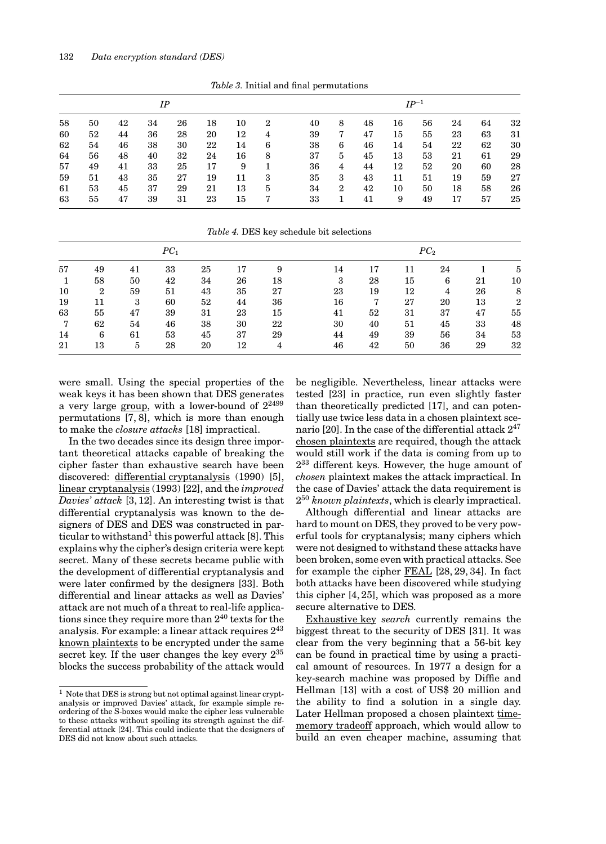|    | IΡ |    |    |    |    |    |              |    | $IP^{-1}$       |    |    |    |    |    |    |  |
|----|----|----|----|----|----|----|--------------|----|-----------------|----|----|----|----|----|----|--|
| 58 | 50 | 42 | 34 | 26 | 18 | 10 | $\mathbf{2}$ | 40 | 8               | 48 | 16 | 56 | 24 | 64 | 32 |  |
| 60 | 52 | 44 | 36 | 28 | 20 | 12 | 4            | 39 | 7               | 47 | 15 | 55 | 23 | 63 | 31 |  |
| 62 | 54 | 46 | 38 | 30 | 22 | 14 | 6            | 38 | 6               | 46 | 14 | 54 | 22 | 62 | 30 |  |
| 64 | 56 | 48 | 40 | 32 | 24 | 16 | 8            | 37 | $5\overline{)}$ | 45 | 13 | 53 | 21 | 61 | 29 |  |
| 57 | 49 | 41 | 33 | 25 | 17 | 9  |              | 36 | 4               | 44 | 12 | 52 | 20 | 60 | 28 |  |
| 59 | 51 | 43 | 35 | 27 | 19 | 11 | 3            | 35 | 3               | 43 | 11 | 51 | 19 | 59 | 27 |  |
| 61 | 53 | 45 | 37 | 29 | 21 | 13 | 5            | 34 | $\overline{2}$  | 42 | 10 | 50 | 18 | 58 | 26 |  |
| 63 | 55 | 47 | 39 | 31 | 23 | 15 | 7            | 33 |                 | 41 | 9  | 49 | 17 | 57 | 25 |  |

*Table 3.* Initial and final permutations

|                |                |         | $PC_1$ |    |    |    | $PC_{2}$ |    |    |    |        |                  |  |  |
|----------------|----------------|---------|--------|----|----|----|----------|----|----|----|--------|------------------|--|--|
| 57             | 49             | 41      | 33     | 25 | 17 | 9  | 14       | 17 | 11 | 24 |        | 5                |  |  |
| 1              | 58             | 50      | 42     | 34 | 26 | 18 | 3        | 28 | 15 | 6  | 21     | 10               |  |  |
| 10             | $\overline{2}$ | 59      | 51     | 43 | 35 | 27 | 23       | 19 | 12 | 4  | 26     | 8                |  |  |
| 19             | 11             | 3       | 60     | 52 | 44 | 36 | 16       | 7  | 27 | 20 | 13     | $\boldsymbol{2}$ |  |  |
| 63             | 55             | 47      | 39     | 31 | 23 | 15 | 41       | 52 | 31 | 37 | 47     | 55               |  |  |
| $\overline{7}$ | 62             | 54      | 46     | 38 | 30 | 22 | 30       | 40 | 51 | 45 | $33\,$ | 48               |  |  |
| 14             | 6              | 61      | 53     | 45 | 37 | 29 | 44       | 49 | 39 | 56 | 34     | 53               |  |  |
| 21             | $^{13}$        | $\bf 5$ | 28     | 20 | 12 | 4  | 46       | 42 | 50 | 36 | 29     | 32               |  |  |

*Table 4.* DES key schedule bit selections

were small. Using the special properties of the weak keys it has been shown that DES generates a very large group, with a lower-bound of  $2^{2499}$ permutations [7, 8], which is more than enough to make the *closure attacks* [18] impractical.

In the two decades since its design three important theoretical attacks capable of breaking the cipher faster than exhaustive search have been discovered: differential cryptanalysis (1990) [5], linear cryptanalysis (1993) [22], and the *improved Davies' attack* [3, 12]. An interesting twist is that differential cryptanalysis was known to the designers of DES and DES was constructed in particular to withstand<sup>1</sup> this powerful attack  $[8]$ . This explains why the cipher's design criteria were kept secret. Many of these secrets became public with the development of differential cryptanalysis and were later confirmed by the designers [33]. Both differential and linear attacks as well as Davies' attack are not much of a threat to real-life applications since they require more than  $2^{40}$  texts for the analysis. For example: a linear attack requires  $2^{43}$ known plaintexts to be encrypted under the same secret key. If the user changes the key every  $2^{35}$ blocks the success probability of the attack would be negligible. Nevertheless, linear attacks were tested [23] in practice, run even slightly faster than theoretically predicted [17], and can potentially use twice less data in a chosen plaintext scenario [20]. In the case of the differential attack 247 chosen plaintexts are required, though the attack would still work if the data is coming from up to 233 different keys. However, the huge amount of *chosen* plaintext makes the attack impractical. In the case of Davies' attack the data requirement is 250 *known plaintexts*, which is clearly impractical.

Although differential and linear attacks are hard to mount on DES, they proved to be very powerful tools for cryptanalysis; many ciphers which were not designed to withstand these attacks have been broken, some even with practical attacks. See for example the cipher FEAL [28, 29, 34]. In fact both attacks have been discovered while studying this cipher [4, 25], which was proposed as a more secure alternative to DES.

Exhaustive key *search* currently remains the biggest threat to the security of DES [31]. It was clear from the very beginning that a 56-bit key can be found in practical time by using a practical amount of resources. In 1977 a design for a key-search machine was proposed by Diffie and Hellman [13] with a cost of US\$ 20 million and the ability to find a solution in a single day. Later Hellman proposed a chosen plaintext timememory tradeoff approach, which would allow to build an even cheaper machine, assuming that

 $^{\rm 1}$  Note that DES is strong but not optimal against linear cryptanalysis or improved Davies' attack, for example simple reordering of the S-boxes would make the cipher less vulnerable to these attacks without spoiling its strength against the differential attack [24]. This could indicate that the designers of DES did not know about such attacks.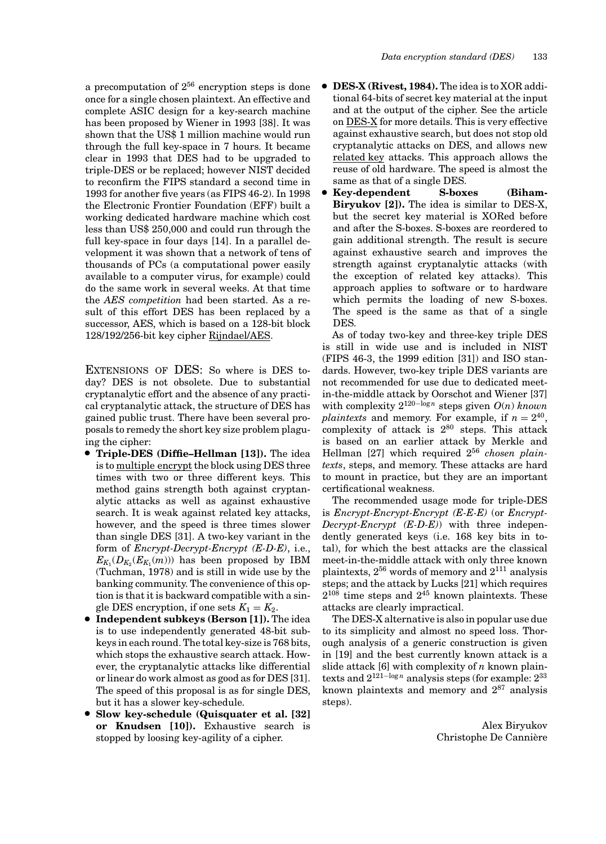a precomputation of  $2^{56}$  encryption steps is done once for a single chosen plaintext. An effective and complete ASIC design for a key-search machine has been proposed by Wiener in 1993 [38]. It was shown that the US\$ 1 million machine would run through the full key-space in 7 hours. It became clear in 1993 that DES had to be upgraded to triple-DES or be replaced; however NIST decided to reconfirm the FIPS standard a second time in 1993 for another five years (as FIPS 46-2). In 1998 the Electronic Frontier Foundation (EFF) built a working dedicated hardware machine which cost less than US\$ 250,000 and could run through the full key-space in four days [14]. In a parallel development it was shown that a network of tens of thousands of PCs (a computational power easily available to a computer virus, for example) could do the same work in several weeks. At that time the *AES competition* had been started. As a result of this effort DES has been replaced by a successor, AES, which is based on a 128-bit block 128/192/256-bit key cipher Rijndael/AES.

EXTENSIONS OF DES: So where is DES today? DES is not obsolete. Due to substantial cryptanalytic effort and the absence of any practical cryptanalytic attack, the structure of DES has gained public trust. There have been several proposals to remedy the short key size problem plaguing the cipher:

- **Triple-DES (Diffie–Hellman [13]).** The idea is to multiple encrypt the block using DES three times with two or three different keys. This method gains strength both against cryptanalytic attacks as well as against exhaustive search. It is weak against related key attacks, however, and the speed is three times slower than single DES [31]. A two-key variant in the form of *Encrypt-Decrypt-Encrypt (E-D-E)*, i.e.,  $E_{K_1}(D_{K_2}(E_{K_1}(m)))$  has been proposed by IBM (Tuchman, 1978) and is still in wide use by the banking community. The convenience of this option is that it is backward compatible with a sin-
- gle DES encryption, if one sets  $K_1 = K_2$ .<br>
**Independent subkeys (Berson [1]).** The idea is to use independently generated 48-bit subkeys in each round. The total key-size is 768 bits, which stops the exhaustive search attack. However, the cryptanalytic attacks like differential or linear do work almost as good as for DES [31]. The speed of this proposal is as for single DES, but it has a slower key-schedule.
- **Slow key-schedule (Quisquater et al. [32] or Knudsen [10]).** Exhaustive search is stopped by loosing key-agility of a cipher.
- **DES-X (Rivest, 1984).** The idea is to XOR additional 64-bits of secret key material at the input and at the output of the cipher. See the article on DES-X for more details. This is very effective against exhaustive search, but does not stop old cryptanalytic attacks on DES, and allows new related key attacks. This approach allows the reuse of old hardware. The speed is almost the same as that of a single DES.
- **Key-dependent S-boxes (Biham-Biryukov [2]).** The idea is similar to DES-X, but the secret key material is XORed before and after the S-boxes. S-boxes are reordered to gain additional strength. The result is secure against exhaustive search and improves the strength against cryptanalytic attacks (with the exception of related key attacks). This approach applies to software or to hardware which permits the loading of new S-boxes. The speed is the same as that of a single DES.

As of today two-key and three-key triple DES is still in wide use and is included in NIST (FIPS 46-3, the 1999 edition [31]) and ISO standards. However, two-key triple DES variants are not recommended for use due to dedicated meetin-the-middle attack by Oorschot and Wiener [37] with complexity  $2^{120-\log n}$  steps given  $O(n)$  *known plaintexts* and memory. For example, if  $n = 2^{40}$ , complexity of attack is  $2^{80}$  steps. This attack is based on an earlier attack by Merkle and Hellman [27] which required 2<sup>56</sup> *chosen plaintexts*, steps, and memory. These attacks are hard to mount in practice, but they are an important certificational weakness.

The recommended usage mode for triple-DES is *Encrypt-Encrypt-Encrypt (E-E-E)* (or *Encrypt-Decrypt-Encrypt (E-D-E)*) with three independently generated keys (i.e. 168 key bits in total), for which the best attacks are the classical meet-in-the-middle attack with only three known plaintexts,  $2^{56}$  words of memory and  $2^{111}$  analysis steps; and the attack by Lucks [21] which requires  $2^{108}$  time steps and  $2^{45}$  known plaintexts. These attacks are clearly impractical.

The DES-X alternative is also in popular use due to its simplicity and almost no speed loss. Thorough analysis of a generic construction is given in [19] and the best currently known attack is a slide attack [6] with complexity of *n* known plaintexts and  $2^{121-\log n}$  analysis steps (for example:  $2^{33}$ ) known plaintexts and memory and  $2^{87}$  analysis steps).

> Alex Biryukov Christophe De Canniere `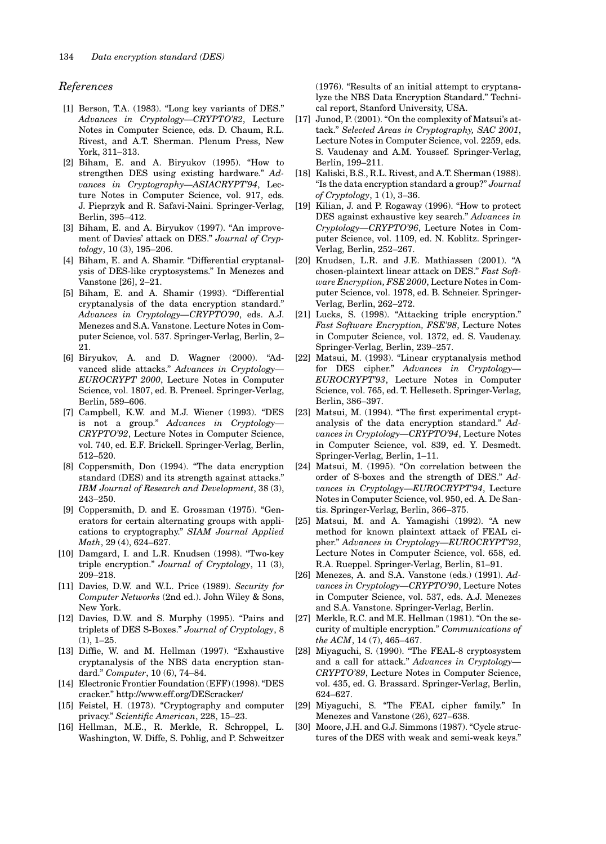#### *References*

- [1] Berson, T.A. (1983). "Long key variants of DES." *Advances in Cryptology—CRYPTO'82*, Lecture Notes in Computer Science, eds. D. Chaum, R.L. Rivest, and A.T. Sherman. Plenum Press, New York, 311–313.
- [2] Biham, E. and A. Biryukov (1995). "How to strengthen DES using existing hardware." *Advances in Cryptography—ASIACRYPT'94*, Lecture Notes in Computer Science, vol. 917, eds. J. Pieprzyk and R. Safavi-Naini. Springer-Verlag, Berlin, 395–412.
- [3] Biham, E. and A. Biryukov (1997). "An improvement of Davies' attack on DES." *Journal of Cryptology*, 10 (3), 195–206.
- [4] Biham, E. and A. Shamir. "Differential cryptanalysis of DES-like cryptosystems." In Menezes and Vanstone [26], 2–21.
- [5] Biham, E. and A. Shamir (1993). "Differential cryptanalysis of the data encryption standard." *Advances in Cryptology—CRYPTO'90*, eds. A.J. Menezes and S.A. Vanstone. Lecture Notes in Computer Science, vol. 537. Springer-Verlag, Berlin, 2– 21.
- [6] Biryukov, A. and D. Wagner (2000). "Advanced slide attacks." *Advances in Cryptology— EUROCRYPT 2000*, Lecture Notes in Computer Science, vol. 1807, ed. B. Preneel. Springer-Verlag, Berlin, 589–606.
- [7] Campbell, K.W. and M.J. Wiener (1993). "DES is not a group." *Advances in Cryptology— CRYPTO'92*, Lecture Notes in Computer Science, vol. 740, ed. E.F. Brickell. Springer-Verlag, Berlin, 512–520.
- [8] Coppersmith, Don (1994). "The data encryption standard (DES) and its strength against attacks." *IBM Journal of Research and Development*, 38 (3), 243–250.
- [9] Coppersmith, D. and E. Grossman (1975). "Generators for certain alternating groups with applications to cryptography." *SIAM Journal Applied Math*, 29 (4), 624–627.
- [10] Damgard, I. and L.R. Knudsen (1998). "Two-key triple encryption." *Journal of Cryptology*, 11 (3), 209–218.
- [11] Davies, D.W. and W.L. Price (1989). *Security for Computer Networks* (2nd ed.). John Wiley & Sons, New York.
- [12] Davies, D.W. and S. Murphy (1995). "Pairs and triplets of DES S-Boxes." *Journal of Cryptology*, 8  $(1), 1-25.$
- [13] Diffie, W. and M. Hellman (1997). "Exhaustive cryptanalysis of the NBS data encryption standard." *Computer*, 10 (6), 74–84.
- [14] Electronic Frontier Foundation (EFF) (1998). "DES cracker." http://www.eff.org/DEScracker/
- [15] Feistel, H. (1973). "Cryptography and computer privacy." *Scientific American*, 228, 15–23.
- [16] Hellman, M.E., R. Merkle, R. Schroppel, L. Washington, W. Diffe, S. Pohlig, and P. Schweitzer

(1976). "Results of an initial attempt to cryptanalyze the NBS Data Encryption Standard." Technical report, Stanford University, USA.

- [17] Junod, P. (2001). "On the complexity of Matsui's attack." *Selected Areas in Cryptography, SAC 2001*, Lecture Notes in Computer Science, vol. 2259, eds. S. Vaudenay and A.M. Youssef. Springer-Verlag, Berlin, 199–211.
- [18] Kaliski, B.S., R.L. Rivest, and A.T. Sherman (1988). "Is the data encryption standard a group?" *Journal of Cryptology*, 1 (1), 3–36.
- [19] Kilian, J. and P. Rogaway (1996). "How to protect DES against exhaustive key search." *Advances in Cryptology—CRYPTO'96*, Lecture Notes in Computer Science, vol. 1109, ed. N. Koblitz. Springer-Verlag, Berlin, 252–267.
- [20] Knudsen, L.R. and J.E. Mathiassen (2001). "A chosen-plaintext linear attack on DES." *Fast Software Encryption, FSE 2000*, Lecture Notes in Computer Science, vol. 1978, ed. B. Schneier. Springer-Verlag, Berlin, 262–272.
- [21] Lucks, S. (1998). "Attacking triple encryption." *Fast Software Encryption, FSE'98*, Lecture Notes in Computer Science, vol. 1372, ed. S. Vaudenay. Springer-Verlag, Berlin, 239–257.
- [22] Matsui, M. (1993). "Linear cryptanalysis method for DES cipher." *Advances in Cryptology— EUROCRYPT'93*, Lecture Notes in Computer Science, vol. 765, ed. T. Helleseth. Springer-Verlag, Berlin, 386–397.
- [23] Matsui, M. (1994). "The first experimental cryptanalysis of the data encryption standard." *Advances in Cryptology—CRYPTO'94*, Lecture Notes in Computer Science, vol. 839, ed. Y. Desmedt. Springer-Verlag, Berlin, 1–11.
- [24] Matsui, M. (1995). "On correlation between the order of S-boxes and the strength of DES." *Advances in Cryptology—EUROCRYPT'94*, Lecture Notes in Computer Science, vol. 950, ed. A. De Santis. Springer-Verlag, Berlin, 366–375.
- [25] Matsui, M. and A. Yamagishi (1992). "A new method for known plaintext attack of FEAL cipher." *Advances in Cryptology—EUROCRYPT'92*, Lecture Notes in Computer Science, vol. 658, ed. R.A. Rueppel. Springer-Verlag, Berlin, 81–91.
- [26] Menezes, A. and S.A. Vanstone (eds.) (1991). *Advances in Cryptology—CRYPTO'90*, Lecture Notes in Computer Science, vol. 537, eds. A.J. Menezes and S.A. Vanstone. Springer-Verlag, Berlin.
- [27] Merkle, R.C. and M.E. Hellman (1981). "On the security of multiple encryption." *Communications of the ACM*, 14 (7), 465–467.
- [28] Miyaguchi, S. (1990). "The FEAL-8 cryptosystem and a call for attack." *Advances in Cryptology— CRYPTO'89*, Lecture Notes in Computer Science, vol. 435, ed. G. Brassard. Springer-Verlag, Berlin, 624–627.
- [29] Miyaguchi, S. "The FEAL cipher family." In Menezes and Vanstone (26), 627–638.
- [30] Moore, J.H. and G.J. Simmons (1987). "Cycle structures of the DES with weak and semi-weak keys."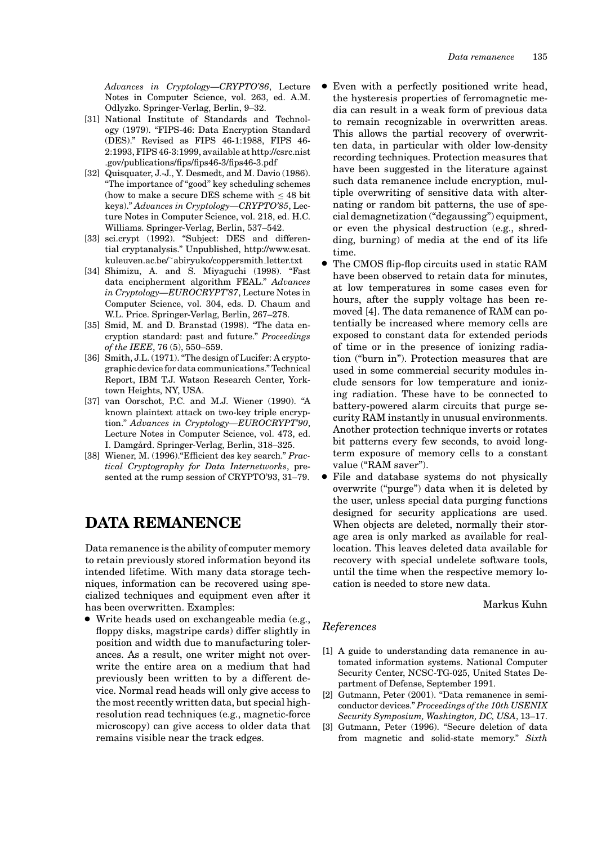*Advances in Cryptology—CRYPTO'86*, Lecture Notes in Computer Science, vol. 263, ed. A.M. Odlyzko. Springer-Verlag, Berlin, 9–32.

- [31] National Institute of Standards and Technology (1979). "FIPS-46: Data Encryption Standard (DES)." Revised as FIPS 46-1:1988, FIPS 46- 2:1993, FIPS 46-3:1999, available at http://csrc.nist .gov/publications/fips/fips46-3/fips46-3.pdf
- [32] Quisquater, J.-J., Y. Desmedt, and M. Davio (1986). "The importance of "good" key scheduling schemes (how to make a secure DES scheme with  $\leq 48$  bit keys)." *Advances in Cryptology—CRYPTO'85*, Lecture Notes in Computer Science, vol. 218, ed. H.C. Williams. Springer-Verlag, Berlin, 537–542.
- [33] sci.crypt (1992). "Subject: DES and differential cryptanalysis." Unpublished, http://www.esat. kuleuven.ac.be/<sup>∼</sup>abiryuko/coppersmith letter.txt
- [34] Shimizu, A. and S. Miyaguchi (1998). "Fast data encipherment algorithm FEAL." *Advances in Cryptology—EUROCRYPT'87*, Lecture Notes in Computer Science, vol. 304, eds. D. Chaum and W.L. Price. Springer-Verlag, Berlin, 267–278.
- [35] Smid, M. and D. Branstad (1998). "The data encryption standard: past and future." *Proceedings of the IEEE*, 76 (5), 550–559.
- [36] Smith, J.L. (1971). "The design of Lucifer: A cryptographic device for data communications." Technical Report, IBM T.J. Watson Research Center, Yorktown Heights, NY, USA.
- [37] van Oorschot, P.C. and M.J. Wiener (1990). "A known plaintext attack on two-key triple encryption." *Advances in Cryptology—EUROCRYPT'90*, Lecture Notes in Computer Science, vol. 473, ed. I. Damgård. Springer-Verlag, Berlin, 318–325.
- [38] Wiener, M. (1996)."Efficient des key search." *Practical Cryptography for Data Internetworks*, presented at the rump session of CRYPTO'93, 31–79.

# **DATA REMANENCE**

Data remanence is the ability of computer memory to retain previously stored information beyond its intended lifetime. With many data storage techniques, information can be recovered using specialized techniques and equipment even after it has been overwritten. Examples:

 Write heads used on exchangeable media (e.g., floppy disks, magstripe cards) differ slightly in position and width due to manufacturing tolerances. As a result, one writer might not overwrite the entire area on a medium that had previously been written to by a different device. Normal read heads will only give access to the most recently written data, but special highresolution read techniques (e.g., magnetic-force microscopy) can give access to older data that remains visible near the track edges.

- Even with a perfectly positioned write head, the hysteresis properties of ferromagnetic media can result in a weak form of previous data to remain recognizable in overwritten areas. This allows the partial recovery of overwritten data, in particular with older low-density recording techniques. Protection measures that have been suggested in the literature against such data remanence include encryption, multiple overwriting of sensitive data with alternating or random bit patterns, the use of special demagnetization ("degaussing") equipment, or even the physical destruction (e.g., shredding, burning) of media at the end of its life time.
- The CMOS flip-flop circuits used in static RAM have been observed to retain data for minutes, at low temperatures in some cases even for hours, after the supply voltage has been removed [4]. The data remanence of RAM can potentially be increased where memory cells are exposed to constant data for extended periods of time or in the presence of ionizing radiation ("burn in"). Protection measures that are used in some commercial security modules include sensors for low temperature and ionizing radiation. These have to be connected to battery-powered alarm circuits that purge security RAM instantly in unusual environments. Another protection technique inverts or rotates bit patterns every few seconds, to avoid longterm exposure of memory cells to a constant value ("RAM saver").
- File and database systems do not physically overwrite ("purge") data when it is deleted by the user, unless special data purging functions designed for security applications are used. When objects are deleted, normally their storage area is only marked as available for reallocation. This leaves deleted data available for recovery with special undelete software tools, until the time when the respective memory location is needed to store new data.

Markus Kuhn

- [1] A guide to understanding data remanence in automated information systems. National Computer Security Center, NCSC-TG-025, United States Department of Defense, September 1991.
- [2] Gutmann, Peter (2001). "Data remanence in semiconductor devices." *Proceedings of the 10th USENIX Security Symposium, Washington, DC, USA*, 13–17.
- [3] Gutmann, Peter (1996). "Secure deletion of data from magnetic and solid-state memory." *Sixth*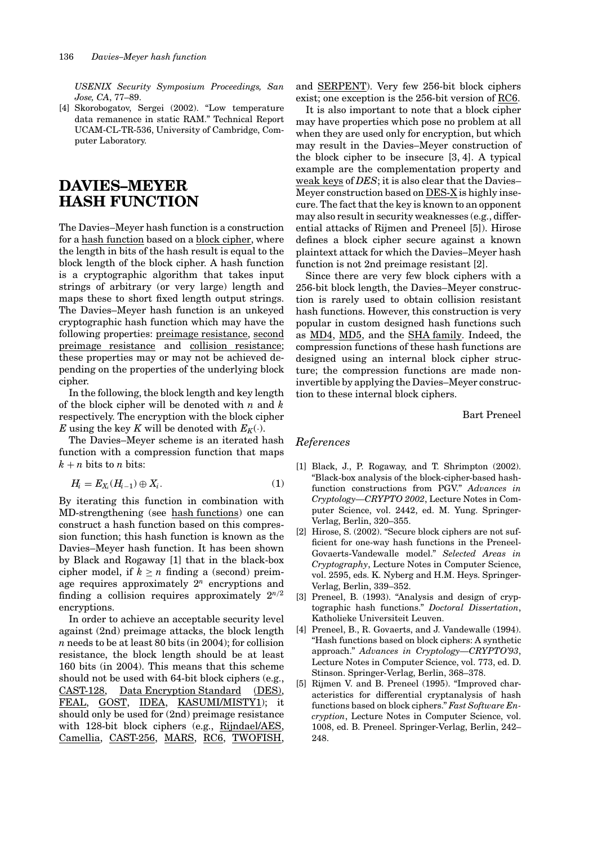*USENIX Security Symposium Proceedings, San Jose, CA*, 77–89.

[4] Skorobogatov, Sergei (2002). "Low temperature data remanence in static RAM." Technical Report UCAM-CL-TR-536, University of Cambridge, Computer Laboratory.

## **DAVIES–MEYER HASH FUNCTION**

The Davies–Meyer hash function is a construction for a hash function based on a block cipher, where the length in bits of the hash result is equal to the block length of the block cipher. A hash function is a cryptographic algorithm that takes input strings of arbitrary (or very large) length and maps these to short fixed length output strings. The Davies–Meyer hash function is an unkeyed cryptographic hash function which may have the following properties: preimage resistance, second preimage resistance and collision resistance; these properties may or may not be achieved depending on the properties of the underlying block cipher.

In the following, the block length and key length of the block cipher will be denoted with *n* and *k* respectively. The encryption with the block cipher *E* using the key *K* will be denoted with  $E_K(.)$ .

The Davies–Meyer scheme is an iterated hash function with a compression function that maps  $k + n$  bits to *n* bits:

$$
H_i = E_{X_i}(H_{i-1}) \oplus X_i.
$$
 (1)

By iterating this function in combination with MD-strengthening (see hash functions) one can construct a hash function based on this compression function; this hash function is known as the Davies–Meyer hash function. It has been shown by Black and Rogaway [1] that in the black-box cipher model, if  $k \geq n$  finding a (second) preimage requires approximately 2*<sup>n</sup>* encryptions and finding a collision requires approximately 2*<sup>n</sup>*/<sup>2</sup> encryptions.

In order to achieve an acceptable security level against (2nd) preimage attacks, the block length *n* needs to be at least 80 bits (in 2004); for collision resistance, the block length should be at least 160 bits (in 2004). This means that this scheme should not be used with 64-bit block ciphers (e.g., CAST-128, Data Encryption Standard (DES), FEAL, GOST, IDEA, KASUMI/MISTY1); it should only be used for (2nd) preimage resistance with 128-bit block ciphers (e.g., Rijndael/AES, Camellia, CAST-256, MARS, RC6, TWOFISH,

and SERPENT). Very few 256-bit block ciphers exist; one exception is the 256-bit version of RC6.

It is also important to note that a block cipher may have properties which pose no problem at all when they are used only for encryption, but which may result in the Davies–Meyer construction of the block cipher to be insecure [3, 4]. A typical example are the complementation property and weak keys of *DES*; it is also clear that the Davies– Meyer construction based on DES-X is highly insecure. The fact that the key is known to an opponent may also result in security weaknesses (e.g., differential attacks of Rijmen and Preneel [5]). Hirose defines a block cipher secure against a known plaintext attack for which the Davies–Meyer hash function is not 2nd preimage resistant [2].

Since there are very few block ciphers with a 256-bit block length, the Davies–Meyer construction is rarely used to obtain collision resistant hash functions. However, this construction is very popular in custom designed hash functions such as MD4, MD5, and the SHA family. Indeed, the compression functions of these hash functions are designed using an internal block cipher structure; the compression functions are made noninvertible by applying the Davies–Meyer construction to these internal block ciphers.

Bart Preneel

- [1] Black, J., P. Rogaway, and T. Shrimpton (2002). "Black-box analysis of the block-cipher-based hashfunction constructions from PGV." *Advances in Cryptology—CRYPTO 2002*, Lecture Notes in Computer Science, vol. 2442, ed. M. Yung. Springer-Verlag, Berlin, 320–355.
- [2] Hirose, S. (2002). "Secure block ciphers are not sufficient for one-way hash functions in the Preneel-Govaerts-Vandewalle model." *Selected Areas in Cryptography*, Lecture Notes in Computer Science, vol. 2595, eds. K. Nyberg and H.M. Heys. Springer-Verlag, Berlin, 339–352.
- [3] Preneel, B. (1993). "Analysis and design of cryptographic hash functions." *Doctoral Dissertation*, Katholieke Universiteit Leuven.
- [4] Preneel, B., R. Govaerts, and J. Vandewalle (1994). "Hash functions based on block ciphers: A synthetic approach." *Advances in Cryptology—CRYPTO'93*, Lecture Notes in Computer Science, vol. 773, ed. D. Stinson. Springer-Verlag, Berlin, 368–378.
- [5] Rijmen V. and B. Preneel (1995). "Improved characteristics for differential cryptanalysis of hash functions based on block ciphers." *Fast Software Encryption*, Lecture Notes in Computer Science, vol. 1008, ed. B. Preneel. Springer-Verlag, Berlin, 242– 248.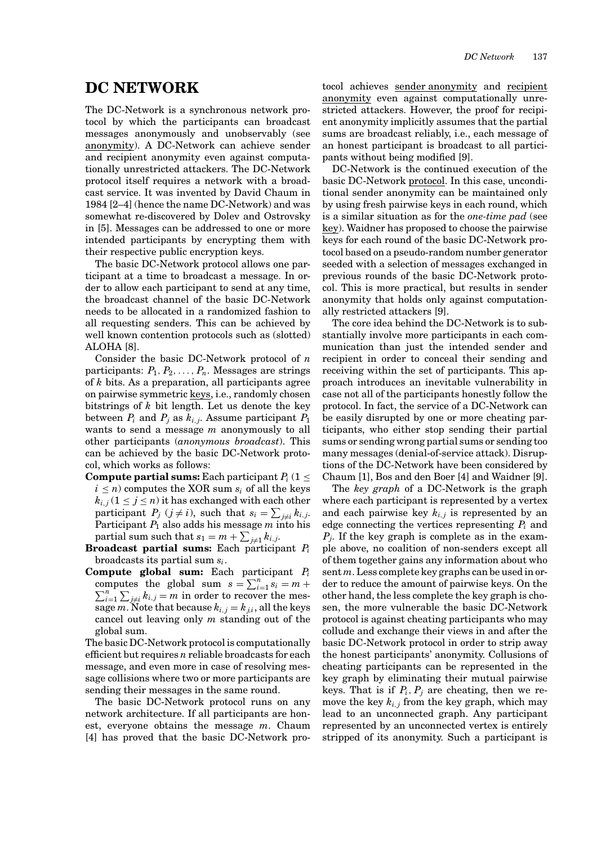# **DC NETWORK**

The DC-Network is a synchronous network protocol by which the participants can broadcast messages anonymously and unobservably (see anonymity). A DC-Network can achieve sender and recipient anonymity even against computationally unrestricted attackers. The DC-Network protocol itself requires a network with a broadcast service. It was invented by David Chaum in 1984 [2–4] (hence the name DC-Network) and was somewhat re-discovered by Dolev and Ostrovsky in [5]. Messages can be addressed to one or more intended participants by encrypting them with their respective public encryption keys.

The basic DC-Network protocol allows one participant at a time to broadcast a message. In order to allow each participant to send at any time, the broadcast channel of the basic DC-Network needs to be allocated in a randomized fashion to all requesting senders. This can be achieved by well known contention protocols such as (slotted) ALOHA [8].

Consider the basic DC-Network protocol of *n* participants:  $P_1, P_2, \ldots, P_n$ . Messages are strings of *k* bits. As a preparation, all participants agree on pairwise symmetric keys, i.e., randomly chosen bitstrings of *k* bit length. Let us denote the key between  $P_i$  and  $P_j$  as  $k_{i,j}$ . Assume participant  $P_1$ wants to send a message *m* anonymously to all other participants (*anonymous broadcast*). This can be achieved by the basic DC-Network protocol, which works as follows:

- **Compute partial sums:** Each participant  $P_i$  (1  $\leq$  $i \leq n$  computes the XOR sum  $s_i$  of all the keys  $k_{i,j}$  ( $1 \leq j \leq n$ ) it has exchanged with each other participant  $P_j$  ( $j \neq i$ ), such that  $s_i = \sum_{j \neq i} k_{i,j}$ . Participant *P*<sup>1</sup> also adds his message *m* into his  $\text{partial sum such that } s_1 = m + \sum_{j \neq 1} k_{i,j}.$
- **Broadcast partial sums:** Each participant *Pi* broadcasts its partial sum *si*.
- **Compute global sum:** Each participant *Pi* computes the global sum  $s = \sum_{i=1}^{n} s_i = m + \sum_{i=1}^{n} s_i$  $\sum_{i=1}^{n} \sum_{j \neq i} k_{i,j} = m$  in order to recover the message *m*. Note that because  $k_{i,j} = k_{j,i}$ , all the keys cancel out leaving only *m* standing out of the global sum.

The basic DC-Network protocol is computationally efficient but requires *n* reliable broadcasts for each message, and even more in case of resolving message collisions where two or more participants are sending their messages in the same round.

The basic DC-Network protocol runs on any network architecture. If all participants are honest, everyone obtains the message *m*. Chaum [4] has proved that the basic DC-Network protocol achieves sender anonymity and recipient anonymity even against computationally unrestricted attackers. However, the proof for recipient anonymity implicitly assumes that the partial sums are broadcast reliably, i.e., each message of an honest participant is broadcast to all participants without being modified [9].

DC-Network is the continued execution of the basic DC-Network protocol. In this case, unconditional sender anonymity can be maintained only by using fresh pairwise keys in each round, which is a similar situation as for the *one-time pad* (see key). Waidner has proposed to choose the pairwise keys for each round of the basic DC-Network protocol based on a pseudo-random number generator seeded with a selection of messages exchanged in previous rounds of the basic DC-Network protocol. This is more practical, but results in sender anonymity that holds only against computationally restricted attackers [9].

The core idea behind the DC-Network is to substantially involve more participants in each communication than just the intended sender and recipient in order to conceal their sending and receiving within the set of participants. This approach introduces an inevitable vulnerability in case not all of the participants honestly follow the protocol. In fact, the service of a DC-Network can be easily disrupted by one or more cheating participants, who either stop sending their partial sums or sending wrong partial sums or sending too many messages (denial-of-service attack). Disruptions of the DC-Network have been considered by Chaum [1], Bos and den Boer [4] and Waidner [9].

The *key graph* of a DC-Network is the graph where each participant is represented by a vertex and each pairwise key  $k_{i,j}$  is represented by an edge connecting the vertices representing *Pi* and *Pj*. If the key graph is complete as in the example above, no coalition of non-senders except all of them together gains any information about who sent *m*. Less complete key graphs can be used in order to reduce the amount of pairwise keys. On the other hand, the less complete the key graph is chosen, the more vulnerable the basic DC-Network protocol is against cheating participants who may collude and exchange their views in and after the basic DC-Network protocol in order to strip away the honest participants' anonymity. Collusions of cheating participants can be represented in the key graph by eliminating their mutual pairwise keys. That is if  $P_i$ ,  $P_j$  are cheating, then we remove the key  $k_{i,j}$  from the key graph, which may lead to an unconnected graph. Any participant represented by an unconnected vertex is entirely stripped of its anonymity. Such a participant is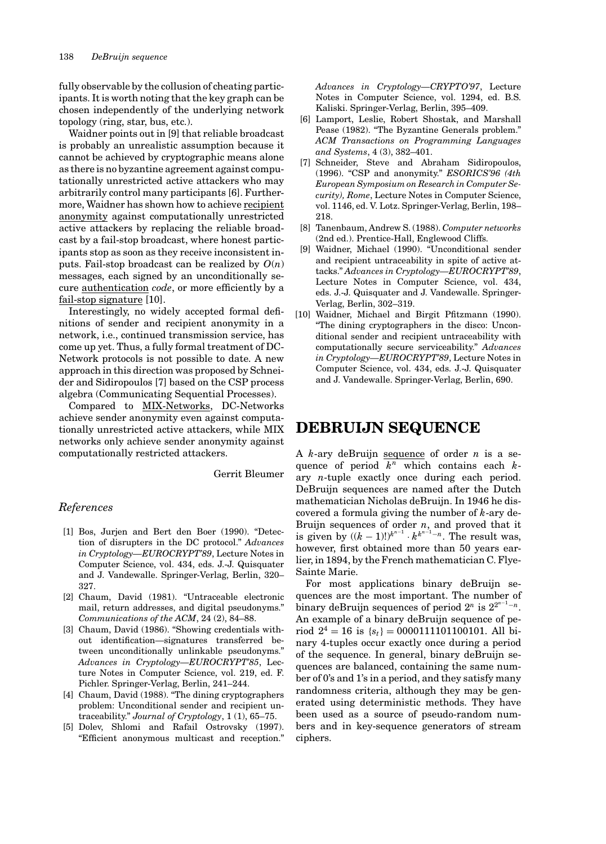fully observable by the collusion of cheating participants. It is worth noting that the key graph can be chosen independently of the underlying network topology (ring, star, bus, etc.).

Waidner points out in [9] that reliable broadcast is probably an unrealistic assumption because it cannot be achieved by cryptographic means alone as there is no byzantine agreement against computationally unrestricted active attackers who may arbitrarily control many participants [6]. Furthermore, Waidner has shown how to achieve recipient anonymity against computationally unrestricted active attackers by replacing the reliable broadcast by a fail-stop broadcast, where honest participants stop as soon as they receive inconsistent inputs. Fail-stop broadcast can be realized by  $O(n)$ messages, each signed by an unconditionally secure authentication *code*, or more efficiently by a fail-stop signature [10].

Interestingly, no widely accepted formal definitions of sender and recipient anonymity in a network, i.e., continued transmission service, has come up yet. Thus, a fully formal treatment of DC-Network protocols is not possible to date. A new approach in this direction was proposed by Schneider and Sidiropoulos [7] based on the CSP process algebra (Communicating Sequential Processes).

Compared to MIX-Networks, DC-Networks achieve sender anonymity even against computationally unrestricted active attackers, while MIX networks only achieve sender anonymity against computationally restricted attackers.

Gerrit Bleumer

#### *References*

- [1] Bos, Jurjen and Bert den Boer (1990). "Detection of disrupters in the DC protocol." *Advances in Cryptology—EUROCRYPT'89*, Lecture Notes in Computer Science, vol. 434, eds. J.-J. Quisquater and J. Vandewalle. Springer-Verlag, Berlin, 320– 327.
- [2] Chaum, David (1981). "Untraceable electronic mail, return addresses, and digital pseudonyms." *Communications of the ACM*, 24 (2), 84–88.
- [3] Chaum, David (1986). "Showing credentials without identification—signatures transferred between unconditionally unlinkable pseudonyms." *Advances in Cryptology—EUROCRYPT'85*, Lecture Notes in Computer Science, vol. 219, ed. F. Pichler. Springer-Verlag, Berlin, 241–244.
- [4] Chaum, David (1988). "The dining cryptographers problem: Unconditional sender and recipient untraceability." *Journal of Cryptology*, 1 (1), 65–75.
- [5] Dolev, Shlomi and Rafail Ostrovsky (1997). "Efficient anonymous multicast and reception."

*Advances in Cryptology—CRYPTO'97*, Lecture Notes in Computer Science, vol. 1294, ed. B.S. Kaliski. Springer-Verlag, Berlin, 395–409.

- [6] Lamport, Leslie, Robert Shostak, and Marshall Pease (1982). "The Byzantine Generals problem." *ACM Transactions on Programming Languages and Systems*, 4 (3), 382–401.
- [7] Schneider, Steve and Abraham Sidiropoulos, (1996). "CSP and anonymity." *ESORICS'96 (4th European Symposium on Research in Computer Security), Rome*, Lecture Notes in Computer Science, vol. 1146, ed. V. Lotz. Springer-Verlag, Berlin, 198– 218.
- [8] Tanenbaum, Andrew S. (1988). *Computer networks* (2nd ed.). Prentice-Hall, Englewood Cliffs.
- [9] Waidner, Michael (1990). "Unconditional sender and recipient untraceability in spite of active attacks." *Advances in Cryptology—EUROCRYPT'89*, Lecture Notes in Computer Science, vol. 434, eds. J.-J. Quisquater and J. Vandewalle. Springer-Verlag, Berlin, 302–319.
- [10] Waidner, Michael and Birgit Pfitzmann (1990). "The dining cryptographers in the disco: Unconditional sender and recipient untraceability with computationally secure serviceability." *Advances in Cryptology—EUROCRYPT'89*, Lecture Notes in Computer Science, vol. 434, eds. J.-J. Quisquater and J. Vandewalle. Springer-Verlag, Berlin, 690.

## **DEBRUIJN SEQUENCE**

A *k*-ary deBruijn sequence of order *n* is a sequence of period *k<sup>n</sup>* which contains each *k*ary *n*-tuple exactly once during each period. DeBruijn sequences are named after the Dutch mathematician Nicholas deBruijn. In 1946 he discovered a formula giving the number of *k*-ary de-Bruijn sequences of order *n*, and proved that it is given by  $((k-1)!)^{k^{n-1}} \cdot k^{k^{n-1}-n}$ . The result was, however, first obtained more than 50 years earlier, in 1894, by the French mathematician C. Flye-Sainte Marie.

For most applications binary deBruijn sequences are the most important. The number of binary deBruijn sequences of period  $2^n$  is  $2^{2^{n-1}-n}$ . An example of a binary deBruijn sequence of period  $2^4 = 16$  is  $\{s_t\} = 0000111101100101$ . All binary 4-tuples occur exactly once during a period of the sequence. In general, binary deBruijn sequences are balanced, containing the same number of 0's and 1's in a period, and they satisfy many randomness criteria, although they may be generated using deterministic methods. They have been used as a source of pseudo-random numbers and in key-sequence generators of stream ciphers.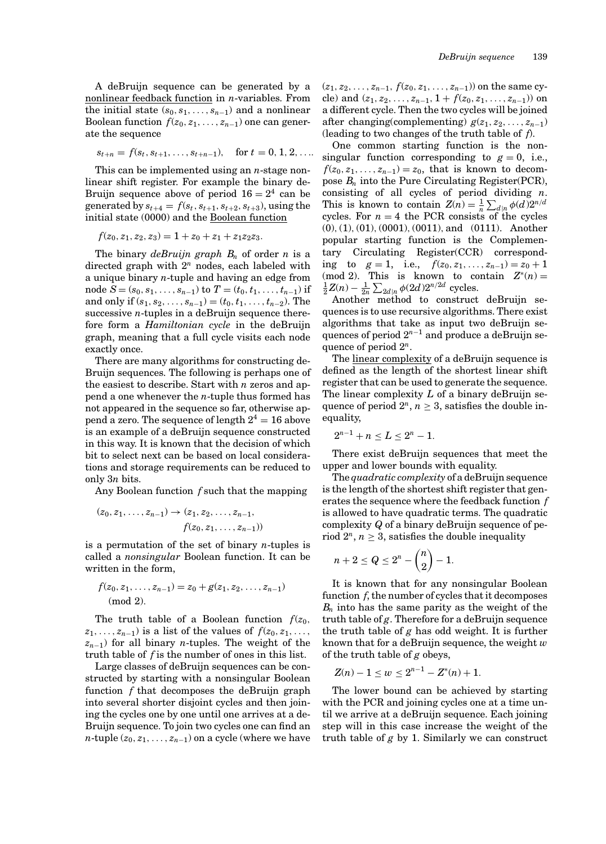A deBruijn sequence can be generated by a nonlinear feedback function in *n*-variables. From the initial state  $(s_0, s_1, \ldots, s_{n-1})$  and a nonlinear Boolean function  $f(z_0, z_1, \ldots, z_{n-1})$  one can generate the sequence

$$
s_{t+n} = f(s_t, s_{t+1}, \ldots, s_{t+n-1}), \quad \text{for } t = 0, 1, 2, \ldots
$$

This can be implemented using an *n*-stage nonlinear shift register. For example the binary de-Bruijn sequence above of period  $16 = 2^4$  can be generated by  $s_{t+4} = f(s_t, s_{t+1}, s_{t+2}, s_{t+3})$ , using the initial state (0000) and the Boolean function

$$
f(z_0, z_1, z_2, z_3) = 1 + z_0 + z_1 + z_1 z_2 z_3.
$$

The binary  $deBruijn$  graph  $B_n$  of order *n* is a directed graph with 2*<sup>n</sup>* nodes, each labeled with a unique binary *n*-tuple and having an edge from node  $S = (s_0, s_1, \ldots, s_{n-1})$  to  $T = (t_0, t_1, \ldots, t_{n-1})$  if and only if  $(s_1, s_2, \ldots, s_{n-1}) = (t_0, t_1, \ldots, t_{n-2})$ . The successive *n*-tuples in a deBruijn sequence therefore form a *Hamiltonian cycle* in the deBruijn graph, meaning that a full cycle visits each node exactly once.

There are many algorithms for constructing de-Bruijn sequences. The following is perhaps one of the easiest to describe. Start with *n* zeros and append a one whenever the *n*-tuple thus formed has not appeared in the sequence so far, otherwise append a zero. The sequence of length  $2^4 = 16$  above is an example of a deBruijn sequence constructed in this way. It is known that the decision of which bit to select next can be based on local considerations and storage requirements can be reduced to only 3*n* bits.

Any Boolean function *f* such that the mapping

$$
(z_0, z_1, \ldots, z_{n-1}) \to (z_1, z_2, \ldots, z_{n-1}, f(z_0, z_1, \ldots, z_{n-1}))
$$

is a permutation of the set of binary *n*-tuples is called a *nonsingular* Boolean function. It can be written in the form,

$$
f(z_0, z_1, \ldots, z_{n-1}) = z_0 + g(z_1, z_2, \ldots, z_{n-1})
$$
  
(mod 2).

The truth table of a Boolean function  $f(z_0, z_0)$  $z_1, \ldots, z_{n-1}$ ) is a list of the values of  $f(z_0, z_1, \ldots, z_{n-1})$ *zn*−1) for all binary *n*-tuples. The weight of the truth table of *f* is the number of ones in this list.

Large classes of deBruijn sequences can be constructed by starting with a nonsingular Boolean function *f* that decomposes the deBruijn graph into several shorter disjoint cycles and then joining the cycles one by one until one arrives at a de-Bruijn sequence. To join two cycles one can find an *n*-tuple  $(z_0, z_1, \ldots, z_{n-1})$  on a cycle (where we have  $(z_1, z_2, \ldots, z_{n-1}, f(z_0, z_1, \ldots, z_{n-1}))$  on the same cycle) and  $(z_1, z_2, \ldots, z_{n-1}, 1 + f(z_0, z_1, \ldots, z_{n-1}))$  on a different cycle. Then the two cycles will be joined after changing(complementing)  $g(z_1, z_2, \ldots, z_{n-1})$ (leading to two changes of the truth table of *f*).

One common starting function is the nonsingular function corresponding to  $g = 0$ , i.e., *f*(*z*<sub>0</sub>, *z*<sub>1</sub>,..., *z*<sub>*n*−1</sub>) = *z*<sub>0</sub>, that is known to decompose  $B_n$  into the Pure Circulating Register(PCR), consisting of all cycles of period dividing *n*. This is known to contain  $Z(n) = \frac{1}{n} \sum_{d|n} \phi(d) 2^{n/d}$ cycles. For  $n = 4$  the PCR consists of the cycles (0), (1), (01), (0001), (0011), and (0111). Another popular starting function is the Complementary Circulating Register(CCR) corresponding to  $g = 1$ , i.e.,  $f(z_0, z_1, \ldots, z_{n-1}) = z_0 + 1$ (mod 2). This is known to contain  $Z^*(n) = \frac{1}{2}Z(n) - \frac{1}{2n}\sum_{2d|n} \phi(2d)2^{n/2d}$  cycles.

Another method to construct deBruijn sequences is to use recursive algorithms. There exist algorithms that take as input two deBruijn sequences of period 2*n*−<sup>1</sup> and produce a deBruijn sequence of period 2*n*.

The linear complexity of a deBruijn sequence is defined as the length of the shortest linear shift register that can be used to generate the sequence. The linear complexity *L* of a binary deBruijn sequence of period  $2^n$ ,  $n \geq 3$ , satisfies the double inequality,

$$
2^{n-1} + n \le L \le 2^n - 1.
$$

There exist deBruijn sequences that meet the upper and lower bounds with equality.

The *quadratic complexity* of a deBruijn sequence is the length of the shortest shift register that generates the sequence where the feedback function *f* is allowed to have quadratic terms. The quadratic complexity *Q* of a binary deBruijn sequence of period  $2^n$ ,  $n \geq 3$ , satisfies the double inequality

$$
n+2\leq Q\leq 2^n-\binom{n}{2}-1.
$$

It is known that for any nonsingular Boolean function *f*, the number of cycles that it decomposes  $B_n$  into has the same parity as the weight of the truth table of *g*. Therefore for a deBruijn sequence the truth table of *g* has odd weight. It is further known that for a deBruijn sequence, the weight *w* of the truth table of *g* obeys,

$$
Z(n) - 1 \le w \le 2^{n-1} - Z^*(n) + 1.
$$

The lower bound can be achieved by starting with the PCR and joining cycles one at a time until we arrive at a deBruijn sequence. Each joining step will in this case increase the weight of the truth table of *g* by 1. Similarly we can construct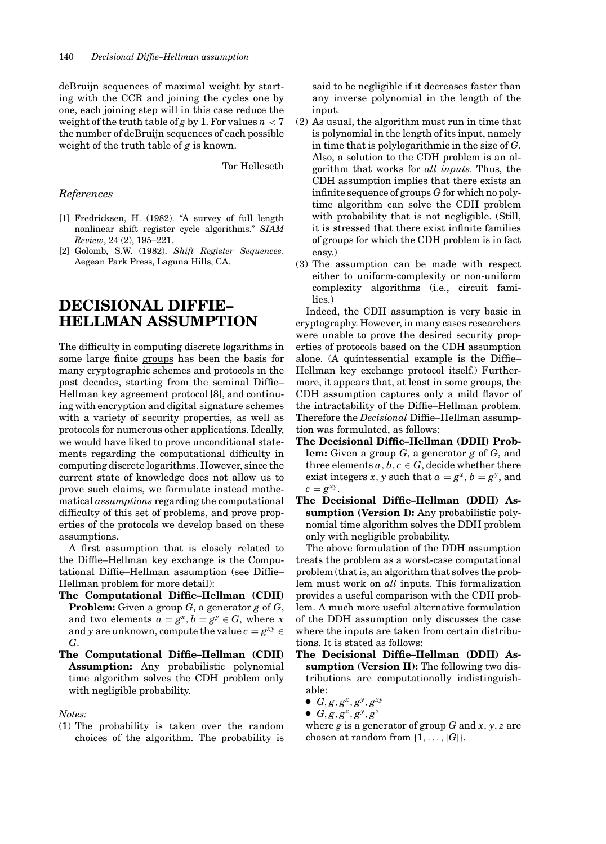deBruijn sequences of maximal weight by starting with the CCR and joining the cycles one by one, each joining step will in this case reduce the weight of the truth table of *g* by 1. For values  $n < 7$ the number of deBruijn sequences of each possible weight of the truth table of *g* is known.

Tor Helleseth

#### *References*

- [1] Fredricksen, H. (1982). "A survey of full length nonlinear shift register cycle algorithms." *SIAM Review*, 24 (2), 195–221.
- [2] Golomb, S.W. (1982). *Shift Register Sequences*. Aegean Park Press, Laguna Hills, CA.

# **DECISIONAL DIFFIE– HELLMAN ASSUMPTION**

The difficulty in computing discrete logarithms in some large finite groups has been the basis for many cryptographic schemes and protocols in the past decades, starting from the seminal Diffie– Hellman key agreement protocol [8], and continuing with encryption and digital signature schemes with a variety of security properties, as well as protocols for numerous other applications. Ideally, we would have liked to prove unconditional statements regarding the computational difficulty in computing discrete logarithms. However, since the current state of knowledge does not allow us to prove such claims, we formulate instead mathematical *assumptions* regarding the computational difficulty of this set of problems, and prove properties of the protocols we develop based on these assumptions.

A first assumption that is closely related to the Diffie–Hellman key exchange is the Computational Diffie–Hellman assumption (see Diffie– Hellman problem for more detail):

- **The Computational Diffie–Hellman (CDH) Problem:** Given a group *G*, a generator *g* of *G*, and two elements  $a = g^x$ ,  $b = g^y \in G$ , where *x* and *y* are unknown, compute the value  $c = g^{xy} \in$ *G*.
- **The Computational Diffie–Hellman (CDH) Assumption:** Any probabilistic polynomial time algorithm solves the CDH problem only with negligible probability.

*Notes:*

(1) The probability is taken over the random choices of the algorithm. The probability is

said to be negligible if it decreases faster than any inverse polynomial in the length of the input.

- (2) As usual, the algorithm must run in time that is polynomial in the length of its input, namely in time that is polylogarithmic in the size of *G*. Also, a solution to the CDH problem is an algorithm that works for *all inputs.* Thus, the CDH assumption implies that there exists an infinite sequence of groups *G* for which no polytime algorithm can solve the CDH problem with probability that is not negligible. (Still, it is stressed that there exist infinite families of groups for which the CDH problem is in fact easy.)
- (3) The assumption can be made with respect either to uniform-complexity or non-uniform complexity algorithms (i.e., circuit families.)

Indeed, the CDH assumption is very basic in cryptography. However, in many cases researchers were unable to prove the desired security properties of protocols based on the CDH assumption alone. (A quintessential example is the Diffie– Hellman key exchange protocol itself.) Furthermore, it appears that, at least in some groups, the CDH assumption captures only a mild flavor of the intractability of the Diffie–Hellman problem. Therefore the *Decisional* Diffie–Hellman assumption was formulated, as follows:

- **The Decisional Diffie–Hellman (DDH) Problem:** Given a group *G*, a generator *g* of *G*, and three elements  $a, b, c \in G$ , decide whether there exist integers *x*, *y* such that  $a = g^x$ ,  $b = g^y$ , and  $c = g^{xy}$ .
- **The Decisional Diffie–Hellman (DDH) Assumption (Version I):** Any probabilistic polynomial time algorithm solves the DDH problem only with negligible probability.

The above formulation of the DDH assumption treats the problem as a worst-case computational problem (that is, an algorithm that solves the problem must work on *all* inputs. This formalization provides a useful comparison with the CDH problem. A much more useful alternative formulation of the DDH assumption only discusses the case where the inputs are taken from certain distributions. It is stated as follows:

- **The Decisional Diffie–Hellman (DDH) Assumption (Version II):** The following two distributions are computationally indistinguishable:
	- $G, g, g^x, g^y, g^{xy}$
	- $G, g, g^x, g^y, g^z$
	- where *g* is a generator of group *G* and *x*, *y*, *z* are chosen at random from  $\{1, \ldots, |G|\}.$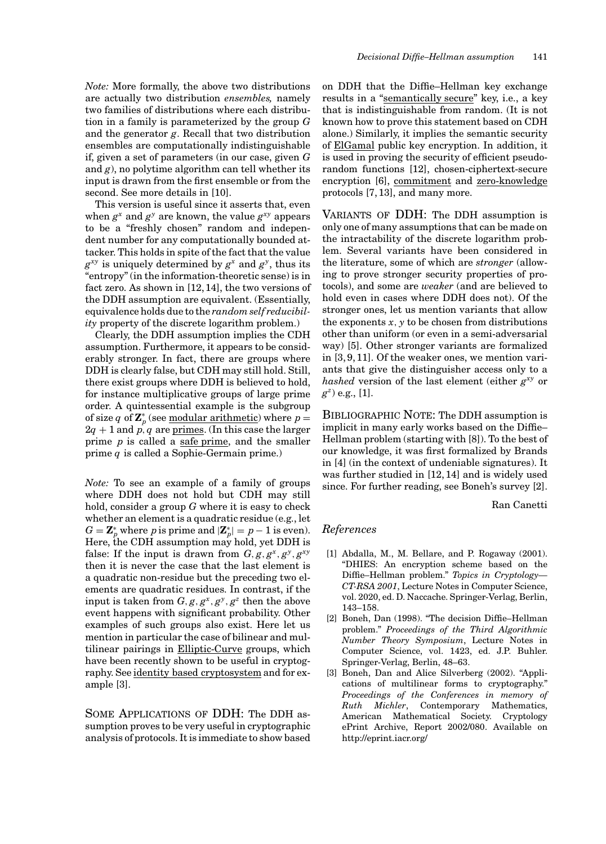*Note:* More formally, the above two distributions are actually two distribution *ensembles,* namely two families of distributions where each distribution in a family is parameterized by the group *G* and the generator *g*. Recall that two distribution ensembles are computationally indistinguishable if, given a set of parameters (in our case, given *G* and  $g$ ), no polytime algorithm can tell whether its input is drawn from the first ensemble or from the second. See more details in [10].

This version is useful since it asserts that, even when  $g^x$  and  $g^y$  are known, the value  $g^{xy}$  appears to be a "freshly chosen" random and independent number for any computationally bounded attacker. This holds in spite of the fact that the value  $g^{xy}$  is uniquely determined by  $g^x$  and  $g^y$ , thus its "entropy" (in the information-theoretic sense) is in fact zero. As shown in [12,14], the two versions of the DDH assumption are equivalent. (Essentially, equivalence holds due to the *random self reducibility* property of the discrete logarithm problem.)

Clearly, the DDH assumption implies the CDH assumption. Furthermore, it appears to be considerably stronger. In fact, there are groups where DDH is clearly false, but CDH may still hold. Still, there exist groups where DDH is believed to hold, for instance multiplicative groups of large prime order. A quintessential example is the subgroup of size *q* of  $\mathbf{Z}_{p}^{*}$  (see <u>modular arithmetic</u>) where  $p =$  $2q + 1$  and  $p, q$  are <u>primes</u>. (In this case the larger prime *p* is called a safe prime, and the smaller prime *q* is called a Sophie-Germain prime.)

*Note:* To see an example of a family of groups where DDH does not hold but CDH may still hold, consider a group *G* where it is easy to check whether an element is a quadratic residue (e.g., let  $G = \mathbf{Z}_p^*$  where *p* is prime and  $|\mathbf{Z}_p^*| = p - 1$  is even). Here, the CDH assumption may hold, yet DDH is false: If the input is drawn from  $G, g, g^x, g^y, g^{xy}$ then it is never the case that the last element is a quadratic non-residue but the preceding two elements are quadratic residues. In contrast, if the input is taken from  $G, g, g^x, g^y, g^z$  then the above event happens with significant probability. Other examples of such groups also exist. Here let us mention in particular the case of bilinear and multilinear pairings in Elliptic-Curve groups, which have been recently shown to be useful in cryptography. See identity based cryptosystem and for example [3].

SOME APPLICATIONS OF DDH: The DDH assumption proves to be very useful in cryptographic analysis of protocols. It is immediate to show based on DDH that the Diffie–Hellman key exchange results in a "semantically secure" key, i.e., a key that is indistinguishable from random. (It is not known how to prove this statement based on CDH alone.) Similarly, it implies the semantic security of ElGamal public key encryption. In addition, it is used in proving the security of efficient pseudorandom functions [12], chosen-ciphertext-secure encryption [6], commitment and zero-knowledge protocols [7,13], and many more.

VARIANTS OF DDH: The DDH assumption is only one of many assumptions that can be made on the intractability of the discrete logarithm problem. Several variants have been considered in the literature, some of which are *stronger* (allowing to prove stronger security properties of protocols), and some are *weaker* (and are believed to hold even in cases where DDH does not). Of the stronger ones, let us mention variants that allow the exponents  $x, y$  to be chosen from distributions other than uniform (or even in a semi-adversarial way) [5]. Other stronger variants are formalized in [3,9,11]. Of the weaker ones, we mention variants that give the distinguisher access only to a *hashed* version of the last element (either *gxy* or *gz*) e.g., [1].

BIBLIOGRAPHIC NOTE: The DDH assumption is implicit in many early works based on the Diffie– Hellman problem (starting with [8]). To the best of our knowledge, it was first formalized by Brands in [4] (in the context of undeniable signatures). It was further studied in [12, 14] and is widely used since. For further reading, see Boneh's survey [2].

Ran Canetti

- [1] Abdalla, M., M. Bellare, and P. Rogaway (2001). "DHIES: An encryption scheme based on the Diffie–Hellman problem." *Topics in Cryptology— CT-RSA 2001*, Lecture Notes in Computer Science, vol. 2020, ed. D. Naccache. Springer-Verlag, Berlin, 143–158.
- [2] Boneh, Dan (1998). "The decision Diffie–Hellman problem." *Proceedings of the Third Algorithmic Number Theory Symposium*, Lecture Notes in Computer Science, vol. 1423, ed. J.P. Buhler. Springer-Verlag, Berlin, 48–63.
- [3] Boneh, Dan and Alice Silverberg (2002). "Applications of multilinear forms to cryptography." *Proceedings of the Conferences in memory of Ruth Michler*, Contemporary Mathematics, American Mathematical Society. Cryptology ePrint Archive, Report 2002/080. Available on http://eprint.iacr.org/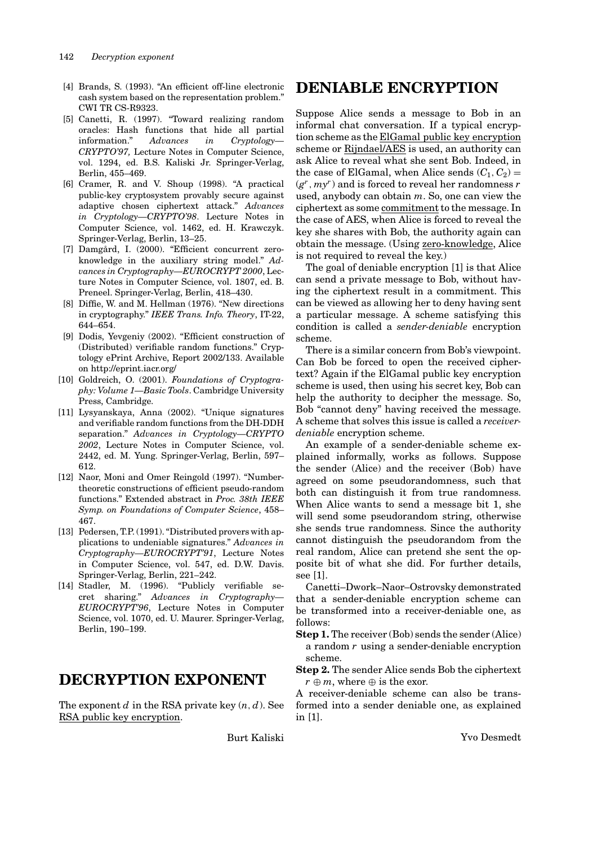- [4] Brands, S. (1993). "An efficient off-line electronic cash system based on the representation problem." CWI TR CS-R9323.
- [5] Canetti, R. (1997). "Toward realizing random oracles: Hash functions that hide all partial information." *Advances in Cryptology— CRYPTO'97,* Lecture Notes in Computer Science, vol. 1294, ed. B.S. Kaliski Jr. Springer-Verlag, Berlin, 455–469.
- [6] Cramer, R. and V. Shoup (1998). "A practical public-key cryptosystem provably secure against adaptive chosen ciphertext attack." *Advances in Cryptology—CRYPTO'98*. Lecture Notes in Computer Science, vol. 1462, ed. H. Krawczyk. Springer-Verlag, Berlin, 13–25.
- [7] Damgård, I. (2000). "Efficient concurrent zeroknowledge in the auxiliary string model." *Advances in Cryptography—EUROCRYPT 2000*, Lecture Notes in Computer Science, vol. 1807, ed. B. Preneel. Springer-Verlag, Berlin, 418–430.
- [8] Diffie, W. and M. Hellman (1976). "New directions in cryptography." *IEEE Trans. Info. Theory*, IT-22, 644–654.
- [9] Dodis, Yevgeniy (2002). "Efficient construction of (Distributed) verifiable random functions." Cryptology ePrint Archive, Report 2002/133. Available on http://eprint.iacr.org/
- [10] Goldreich, O. (2001). *Foundations of Cryptography: Volume 1—Basic Tools*. Cambridge University Press, Cambridge.
- [11] Lysyanskaya, Anna (2002). "Unique signatures and verifiable random functions from the DH-DDH separation." *Advances in Cryptology—CRYPTO 2002*, Lecture Notes in Computer Science, vol. 2442, ed. M. Yung. Springer-Verlag, Berlin, 597– 612.
- [12] Naor, Moni and Omer Reingold (1997). "Numbertheoretic constructions of efficient pseudo-random functions." Extended abstract in *Proc. 38th IEEE Symp. on Foundations of Computer Science*, 458– 467.
- [13] Pedersen, T.P. (1991). "Distributed provers with applications to undeniable signatures." *Advances in Cryptography—EUROCRYPT'91*, Lecture Notes in Computer Science, vol. 547, ed. D.W. Davis. Springer-Verlag, Berlin, 221–242.
- [14] Stadler, M. (1996). "Publicly verifiable secret sharing." *Advances in Cryptography— EUROCRYPT'96*, Lecture Notes in Computer Science, vol. 1070, ed. U. Maurer. Springer-Verlag, Berlin, 190–199.

## **DECRYPTION EXPONENT**

The exponent *d* in the RSA private key (*n*, *d*). See RSA public key encryption.

Burt Kaliski

# **DENIABLE ENCRYPTION**

Suppose Alice sends a message to Bob in an informal chat conversation. If a typical encryption scheme as the ElGamal public key encryption scheme or Rijndael/AES is used, an authority can ask Alice to reveal what she sent Bob. Indeed, in the case of ElGamal, when Alice sends  $(C_1, C_2)$  =  $(g<sup>r</sup>, m<sup>y<sup>r</sup></sup>)$  and is forced to reveal her randomness *r* used, anybody can obtain *m*. So, one can view the ciphertext as some commitment to the message. In the case of AES, when Alice is forced to reveal the key she shares with Bob, the authority again can obtain the message. (Using zero-knowledge, Alice is not required to reveal the key.)

The goal of deniable encryption [1] is that Alice can send a private message to Bob, without having the ciphertext result in a commitment. This can be viewed as allowing her to deny having sent a particular message. A scheme satisfying this condition is called a *sender-deniable* encryption scheme.

There is a similar concern from Bob's viewpoint. Can Bob be forced to open the received ciphertext? Again if the ElGamal public key encryption scheme is used, then using his secret key, Bob can help the authority to decipher the message. So, Bob "cannot deny" having received the message. A scheme that solves this issue is called a *receiverdeniable* encryption scheme.

An example of a sender-deniable scheme explained informally, works as follows. Suppose the sender (Alice) and the receiver (Bob) have agreed on some pseudorandomness, such that both can distinguish it from true randomness. When Alice wants to send a message bit 1, she will send some pseudorandom string, otherwise she sends true randomness. Since the authority cannot distinguish the pseudorandom from the real random, Alice can pretend she sent the opposite bit of what she did. For further details, see [1].

Canetti–Dwork–Naor–Ostrovsky demonstrated that a sender-deniable encryption scheme can be transformed into a receiver-deniable one, as follows:

- **Step 1.** The receiver (Bob) sends the sender (Alice) a random *r* using a sender-deniable encryption scheme.
- **Step 2.** The sender Alice sends Bob the ciphertext  $r \oplus m$ , where  $\oplus$  is the exor.

A receiver-deniable scheme can also be transformed into a sender deniable one, as explained in [1].

Yvo Desmedt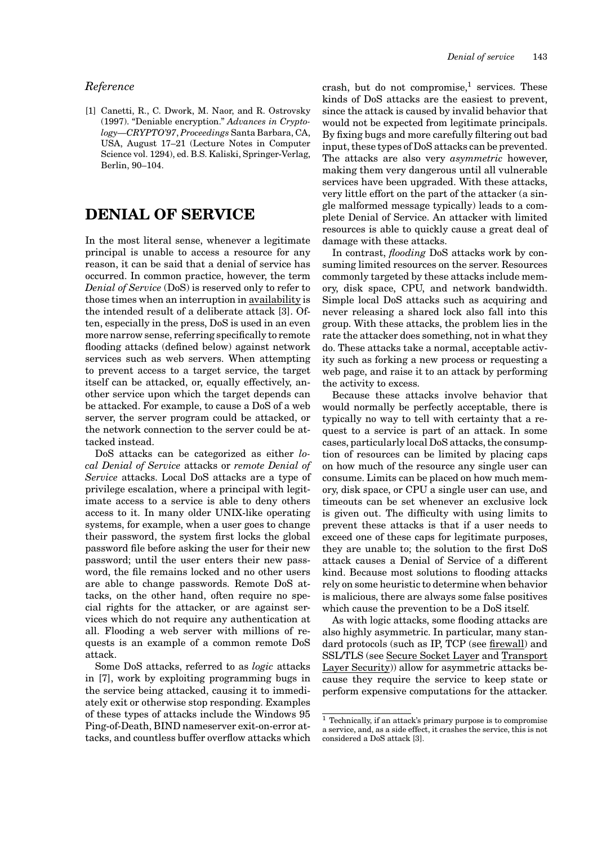#### *Reference*

[1] Canetti, R., C. Dwork, M. Naor, and R. Ostrovsky (1997). "Deniable encryption." *Advances in Cryptology—CRYPTO'97*, *Proceedings* Santa Barbara, CA, USA, August 17–21 (Lecture Notes in Computer Science vol. 1294), ed. B.S. Kaliski, Springer-Verlag, Berlin, 90–104.

## **DENIAL OF SERVICE**

In the most literal sense, whenever a legitimate principal is unable to access a resource for any reason, it can be said that a denial of service has occurred. In common practice, however, the term *Denial of Service* (DoS) is reserved only to refer to those times when an interruption in availability is the intended result of a deliberate attack [3]. Often, especially in the press, DoS is used in an even more narrow sense, referring specifically to remote flooding attacks (defined below) against network services such as web servers. When attempting to prevent access to a target service, the target itself can be attacked, or, equally effectively, another service upon which the target depends can be attacked. For example, to cause a DoS of a web server, the server program could be attacked, or the network connection to the server could be attacked instead.

DoS attacks can be categorized as either *local Denial of Service* attacks or *remote Denial of Service* attacks. Local DoS attacks are a type of privilege escalation, where a principal with legitimate access to a service is able to deny others access to it. In many older UNIX-like operating systems, for example, when a user goes to change their password, the system first locks the global password file before asking the user for their new password; until the user enters their new password, the file remains locked and no other users are able to change passwords. Remote DoS attacks, on the other hand, often require no special rights for the attacker, or are against services which do not require any authentication at all. Flooding a web server with millions of requests is an example of a common remote DoS attack.

Some DoS attacks, referred to as *logic* attacks in [7], work by exploiting programming bugs in the service being attacked, causing it to immediately exit or otherwise stop responding. Examples of these types of attacks include the Windows 95 Ping-of-Death, BIND nameserver exit-on-error attacks, and countless buffer overflow attacks which crash, but do not compromise,<sup>1</sup> services. These kinds of DoS attacks are the easiest to prevent, since the attack is caused by invalid behavior that would not be expected from legitimate principals. By fixing bugs and more carefully filtering out bad input, these types of DoS attacks can be prevented. The attacks are also very *asymmetric* however, making them very dangerous until all vulnerable services have been upgraded. With these attacks, very little effort on the part of the attacker (a single malformed message typically) leads to a complete Denial of Service. An attacker with limited resources is able to quickly cause a great deal of damage with these attacks.

In contrast, *flooding* DoS attacks work by consuming limited resources on the server. Resources commonly targeted by these attacks include memory, disk space, CPU, and network bandwidth. Simple local DoS attacks such as acquiring and never releasing a shared lock also fall into this group. With these attacks, the problem lies in the rate the attacker does something, not in what they do. These attacks take a normal, acceptable activity such as forking a new process or requesting a web page, and raise it to an attack by performing the activity to excess.

Because these attacks involve behavior that would normally be perfectly acceptable, there is typically no way to tell with certainty that a request to a service is part of an attack. In some cases, particularly local DoS attacks, the consumption of resources can be limited by placing caps on how much of the resource any single user can consume. Limits can be placed on how much memory, disk space, or CPU a single user can use, and timeouts can be set whenever an exclusive lock is given out. The difficulty with using limits to prevent these attacks is that if a user needs to exceed one of these caps for legitimate purposes, they are unable to; the solution to the first DoS attack causes a Denial of Service of a different kind. Because most solutions to flooding attacks rely on some heuristic to determine when behavior is malicious, there are always some false positives which cause the prevention to be a DoS itself.

As with logic attacks, some flooding attacks are also highly asymmetric. In particular, many standard protocols (such as IP, TCP (see firewall) and SSL/TLS (see Secure Socket Layer and Transport Layer Security)) allow for asymmetric attacks because they require the service to keep state or perform expensive computations for the attacker.

 $<sup>1</sup>$  Technically, if an attack's primary purpose is to compromise</sup> a service, and, as a side effect, it crashes the service, this is not considered a DoS attack [3].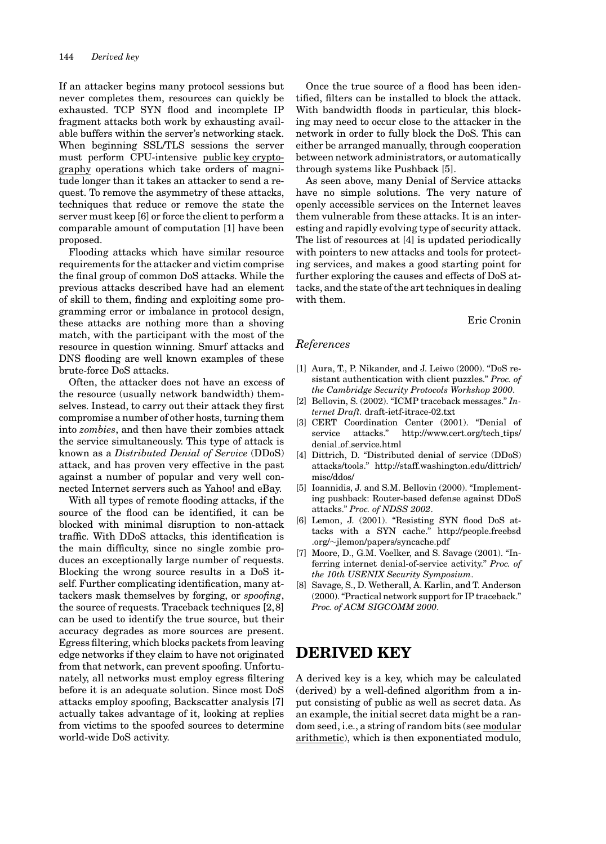If an attacker begins many protocol sessions but never completes them, resources can quickly be exhausted. TCP SYN flood and incomplete IP fragment attacks both work by exhausting available buffers within the server's networking stack. When beginning SSL/TLS sessions the server must perform CPU-intensive public key cryptography operations which take orders of magnitude longer than it takes an attacker to send a request. To remove the asymmetry of these attacks, techniques that reduce or remove the state the server must keep [6] or force the client to perform a comparable amount of computation [1] have been proposed.

Flooding attacks which have similar resource requirements for the attacker and victim comprise the final group of common DoS attacks. While the previous attacks described have had an element of skill to them, finding and exploiting some programming error or imbalance in protocol design, these attacks are nothing more than a shoving match, with the participant with the most of the resource in question winning. Smurf attacks and DNS flooding are well known examples of these brute-force DoS attacks.

Often, the attacker does not have an excess of the resource (usually network bandwidth) themselves. Instead, to carry out their attack they first compromise a number of other hosts, turning them into *zombies*, and then have their zombies attack the service simultaneously. This type of attack is known as a *Distributed Denial of Service* (DDoS) attack, and has proven very effective in the past against a number of popular and very well connected Internet servers such as Yahoo! and eBay.

With all types of remote flooding attacks, if the source of the flood can be identified, it can be blocked with minimal disruption to non-attack traffic. With DDoS attacks, this identification is the main difficulty, since no single zombie produces an exceptionally large number of requests. Blocking the wrong source results in a DoS itself. Further complicating identification, many attackers mask themselves by forging, or *spoofing*, the source of requests. Traceback techniques [2,8] can be used to identify the true source, but their accuracy degrades as more sources are present. Egress filtering, which blocks packets from leaving edge networks if they claim to have not originated from that network, can prevent spoofing. Unfortunately, all networks must employ egress filtering before it is an adequate solution. Since most DoS attacks employ spoofing, Backscatter analysis [7] actually takes advantage of it, looking at replies from victims to the spoofed sources to determine world-wide DoS activity.

Once the true source of a flood has been identified, filters can be installed to block the attack. With bandwidth floods in particular, this blocking may need to occur close to the attacker in the network in order to fully block the DoS. This can either be arranged manually, through cooperation between network administrators, or automatically through systems like Pushback [5].

As seen above, many Denial of Service attacks have no simple solutions. The very nature of openly accessible services on the Internet leaves them vulnerable from these attacks. It is an interesting and rapidly evolving type of security attack. The list of resources at [4] is updated periodically with pointers to new attacks and tools for protecting services, and makes a good starting point for further exploring the causes and effects of DoS attacks, and the state of the art techniques in dealing with them.

Eric Cronin

## *References*

- [1] Aura, T., P. Nikander, and J. Leiwo (2000). "DoS resistant authentication with client puzzles." *Proc. of the Cambridge Security Protocols Workshop 2000*.
- [2] Bellovin, S. (2002). "ICMP traceback messages." *Internet Draft.* draft-ietf-itrace-02.txt
- [3] CERT Coordination Center (2001). "Denial of service attacks." http://www.cert.org/tech tips/ denial of service.html
- [4] Dittrich, D. "Distributed denial of service (DDoS) attacks/tools." http://staff.washington.edu/dittrich/ misc/ddos/
- [5] Ioannidis, J. and S.M. Bellovin (2000). "Implementing pushback: Router-based defense against DDoS attacks." *Proc. of NDSS 2002*.
- [6] Lemon, J. (2001). "Resisting SYN flood DoS attacks with a SYN cache." http://people.freebsd .org/∼jlemon/papers/syncache.pdf
- [7] Moore, D., G.M. Voelker, and S. Savage (2001). "Inferring internet denial-of-service activity." *Proc. of the 10th USENIX Security Symposium*.
- [8] Savage, S., D. Wetherall, A. Karlin, and T. Anderson (2000). "Practical network support for IP traceback." *Proc. of ACM SIGCOMM 2000*.

## **DERIVED KEY**

A derived key is a key, which may be calculated (derived) by a well-defined algorithm from a input consisting of public as well as secret data. As an example, the initial secret data might be a random seed, i.e., a string of random bits (see modular arithmetic), which is then exponentiated modulo,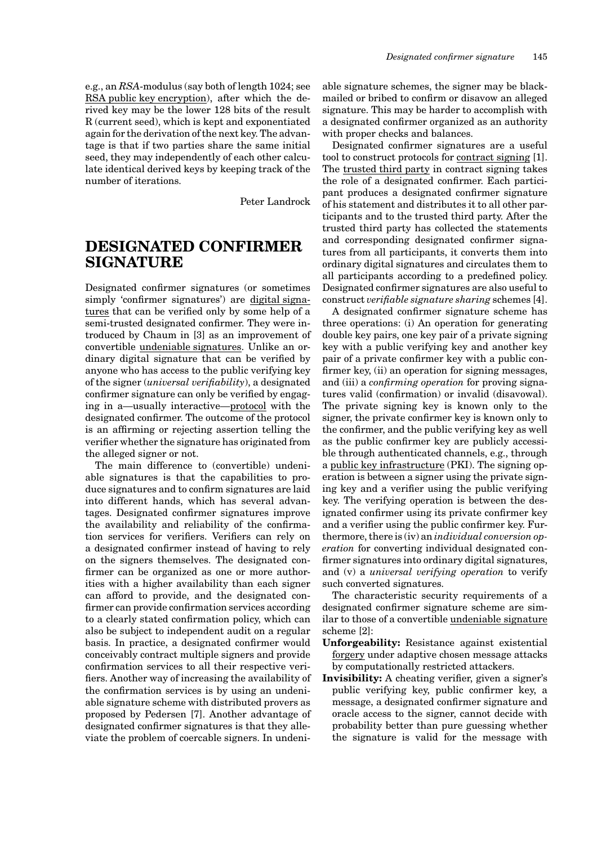e.g., an *RSA*-modulus (say both of length 1024; see RSA public key encryption), after which the derived key may be the lower 128 bits of the result R (current seed), which is kept and exponentiated again for the derivation of the next key. The advantage is that if two parties share the same initial seed, they may independently of each other calculate identical derived keys by keeping track of the number of iterations.

Peter Landrock

## **DESIGNATED CONFIRMER SIGNATURE**

Designated confirmer signatures (or sometimes simply 'confirmer signatures') are digital signatures that can be verified only by some help of a semi-trusted designated confirmer. They were introduced by Chaum in [3] as an improvement of convertible undeniable signatures. Unlike an ordinary digital signature that can be verified by anyone who has access to the public verifying key of the signer (*universal verifiability*), a designated confirmer signature can only be verified by engaging in a—usually interactive—protocol with the designated confirmer. The outcome of the protocol is an affirming or rejecting assertion telling the verifier whether the signature has originated from the alleged signer or not.

The main difference to (convertible) undeniable signatures is that the capabilities to produce signatures and to confirm signatures are laid into different hands, which has several advantages. Designated confirmer signatures improve the availability and reliability of the confirmation services for verifiers. Verifiers can rely on a designated confirmer instead of having to rely on the signers themselves. The designated confirmer can be organized as one or more authorities with a higher availability than each signer can afford to provide, and the designated confirmer can provide confirmation services according to a clearly stated confirmation policy, which can also be subject to independent audit on a regular basis. In practice, a designated confirmer would conceivably contract multiple signers and provide confirmation services to all their respective verifiers. Another way of increasing the availability of the confirmation services is by using an undeniable signature scheme with distributed provers as proposed by Pedersen [7]. Another advantage of designated confirmer signatures is that they alleviate the problem of coercable signers. In undeniable signature schemes, the signer may be blackmailed or bribed to confirm or disavow an alleged signature. This may be harder to accomplish with a designated confirmer organized as an authority with proper checks and balances.

Designated confirmer signatures are a useful tool to construct protocols for contract signing [1]. The trusted third party in contract signing takes the role of a designated confirmer. Each participant produces a designated confirmer signature of his statement and distributes it to all other participants and to the trusted third party. After the trusted third party has collected the statements and corresponding designated confirmer signatures from all participants, it converts them into ordinary digital signatures and circulates them to all participants according to a predefined policy. Designated confirmer signatures are also useful to construct *verifiable signature sharing* schemes [4].

A designated confirmer signature scheme has three operations: (i) An operation for generating double key pairs, one key pair of a private signing key with a public verifying key and another key pair of a private confirmer key with a public confirmer key, (ii) an operation for signing messages, and (iii) a *confirming operation* for proving signatures valid (confirmation) or invalid (disavowal). The private signing key is known only to the signer, the private confirmer key is known only to the confirmer, and the public verifying key as well as the public confirmer key are publicly accessible through authenticated channels, e.g., through a public key infrastructure (PKI). The signing operation is between a signer using the private signing key and a verifier using the public verifying key. The verifying operation is between the designated confirmer using its private confirmer key and a verifier using the public confirmer key. Furthermore, there is (iv) an *individual conversion operation* for converting individual designated confirmer signatures into ordinary digital signatures, and (v) a *universal verifying operation* to verify such converted signatures.

The characteristic security requirements of a designated confirmer signature scheme are similar to those of a convertible undeniable signature scheme [2]:

- **Unforgeability:** Resistance against existential forgery under adaptive chosen message attacks by computationally restricted attackers.
- **Invisibility:** A cheating verifier, given a signer's public verifying key, public confirmer key, a message, a designated confirmer signature and oracle access to the signer, cannot decide with probability better than pure guessing whether the signature is valid for the message with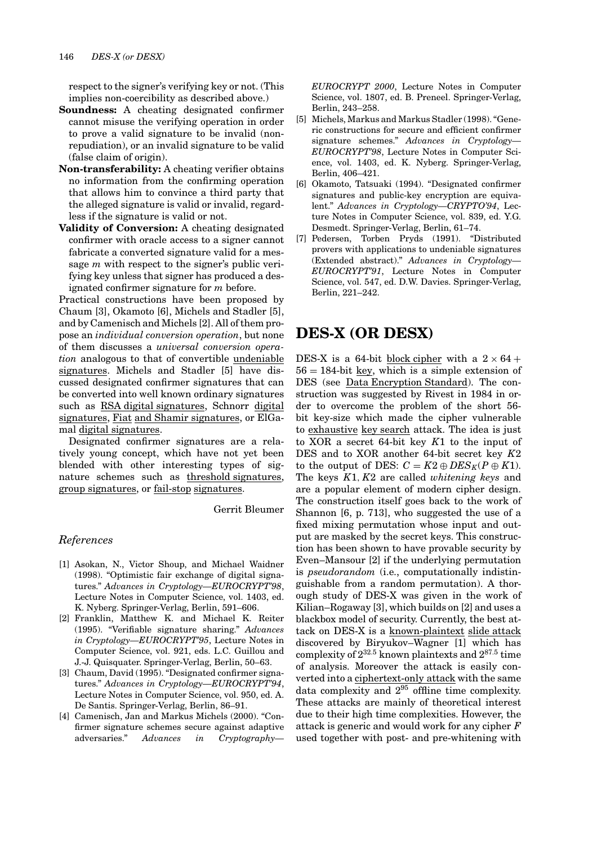respect to the signer's verifying key or not. (This implies non-coercibility as described above.)

- **Soundness:** A cheating designated confirmer cannot misuse the verifying operation in order to prove a valid signature to be invalid (nonrepudiation), or an invalid signature to be valid (false claim of origin).
- **Non-transferability:** A cheating verifier obtains no information from the confirming operation that allows him to convince a third party that the alleged signature is valid or invalid, regardless if the signature is valid or not.
- **Validity of Conversion:** A cheating designated confirmer with oracle access to a signer cannot fabricate a converted signature valid for a message *m* with respect to the signer's public verifying key unless that signer has produced a designated confirmer signature for *m* before.

Practical constructions have been proposed by Chaum [3], Okamoto [6], Michels and Stadler [5], and by Camenisch and Michels [2]. All of them propose an *individual conversion operation*, but none of them discusses a *universal conversion operation* analogous to that of convertible undeniable signatures. Michels and Stadler [5] have discussed designated confirmer signatures that can be converted into well known ordinary signatures such as RSA digital signatures, Schnorr digital signatures, Fiat and Shamir signatures, or ElGamal digital signatures.

Designated confirmer signatures are a relatively young concept, which have not yet been blended with other interesting types of signature schemes such as threshold signatures, group signatures, or fail-stop signatures.

Gerrit Bleumer

#### *References*

- [1] Asokan, N., Victor Shoup, and Michael Waidner (1998). "Optimistic fair exchange of digital signatures." *Advances in Cryptology—EUROCRYPT'98*, Lecture Notes in Computer Science, vol. 1403, ed. K. Nyberg. Springer-Verlag, Berlin, 591–606.
- [2] Franklin, Matthew K. and Michael K. Reiter (1995). "Verifiable signature sharing." *Advances in Cryptology—EUROCRYPT'95*, Lecture Notes in Computer Science, vol. 921, eds. L.C. Guillou and J.-J. Quisquater. Springer-Verlag, Berlin, 50–63.
- [3] Chaum, David (1995). "Designated confirmer signatures." *Advances in Cryptology—EUROCRYPT'94*, Lecture Notes in Computer Science, vol. 950, ed. A. De Santis. Springer-Verlag, Berlin, 86–91.
- [4] Camenisch, Jan and Markus Michels (2000). "Confirmer signature schemes secure against adaptive<br>adversaries." Advances in Cryptographyadversaries." *Advances in Cryptography—*

*EUROCRYPT 2000*, Lecture Notes in Computer Science, vol. 1807, ed. B. Preneel. Springer-Verlag, Berlin, 243–258.

- [5] Michels, Markus and Markus Stadler (1998). "Generic constructions for secure and efficient confirmer signature schemes." *Advances in Cryptology— EUROCRYPT'98*, Lecture Notes in Computer Science, vol. 1403, ed. K. Nyberg. Springer-Verlag, Berlin, 406–421.
- [6] Okamoto, Tatsuaki (1994). "Designated confirmer signatures and public-key encryption are equivalent." *Advances in Cryptology—CRYPTO'94*, Lecture Notes in Computer Science, vol. 839, ed. Y.G. Desmedt. Springer-Verlag, Berlin, 61–74.
- [7] Pedersen, Torben Pryds (1991). "Distributed provers with applications to undeniable signatures (Extended abstract)." *Advances in Cryptology— EUROCRYPT'91*, Lecture Notes in Computer Science, vol. 547, ed. D.W. Davies. Springer-Verlag, Berlin, 221–242.

## **DES-X (OR DESX)**

DES-X is a 64-bit block cipher with a  $2 \times 64 +$  $56 = 184$ -bit key, which is a simple extension of DES (see Data Encryption Standard). The construction was suggested by Rivest in 1984 in order to overcome the problem of the short 56 bit key-size which made the cipher vulnerable to exhaustive key search attack. The idea is just to XOR a secret 64-bit key *K*1 to the input of DES and to XOR another 64-bit secret key *K*2 to the output of DES:  $C = K2 \oplus DES_K(P \oplus K1)$ . The keys *K*1, *K*2 are called *whitening keys* and are a popular element of modern cipher design. The construction itself goes back to the work of Shannon [6, p. 713], who suggested the use of a fixed mixing permutation whose input and output are masked by the secret keys. This construction has been shown to have provable security by Even–Mansour [2] if the underlying permutation is *pseudorandom* (i.e., computationally indistinguishable from a random permutation). A thorough study of DES-X was given in the work of Kilian–Rogaway [3], which builds on [2] and uses a blackbox model of security. Currently, the best attack on DES-X is a known-plaintext slide attack discovered by Biryukov–Wagner [1] which has complexity of  $2^{32.5}$  known plaintexts and  $2^{87.5}$  time of analysis. Moreover the attack is easily converted into a ciphertext-only attack with the same data complexity and 295 offline time complexity. These attacks are mainly of theoretical interest due to their high time complexities. However, the attack is generic and would work for any cipher *F* used together with post- and pre-whitening with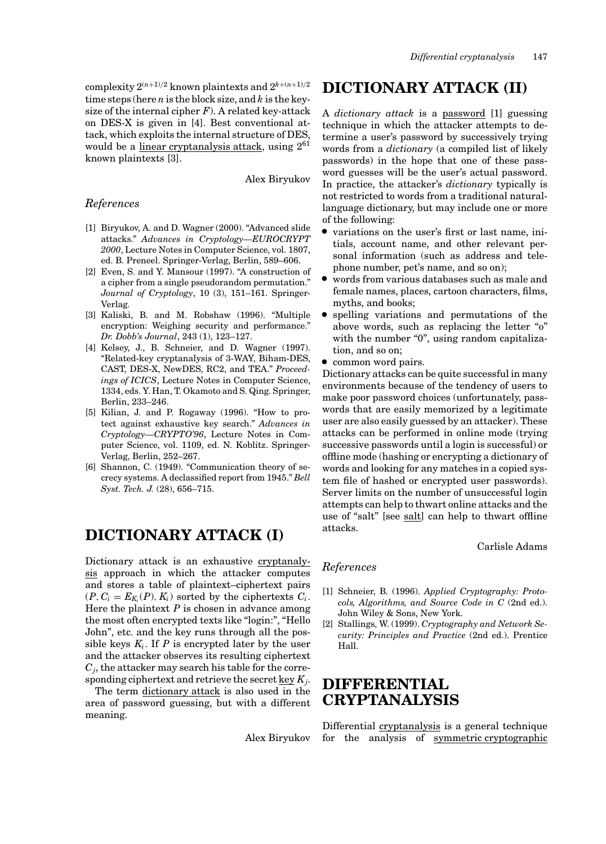complexity  $2^{(n+1)/2}$  known plaintexts and  $2^{k+(n+1)/2}$ time steps (here *n* is the block size, and *k* is the keysize of the internal cipher  $F$ ). A related key-attack on DES-X is given in [4]. Best conventional attack, which exploits the internal structure of DES, would be a linear cryptanalysis attack, using  $2^{61}$ known plaintexts [3].

Alex Biryukov

#### *References*

- [1] Biryukov, A. and D. Wagner (2000). "Advanced slide attacks." *Advances in Cryptology—EUROCRYPT 2000*, Lecture Notes in Computer Science, vol. 1807, ed. B. Preneel. Springer-Verlag, Berlin, 589–606.
- [2] Even, S. and Y. Mansour (1997). "A construction of a cipher from a single pseudorandom permutation." *Journal of Cryptology*, 10 (3), 151–161. Springer-Verlag.
- [3] Kaliski, B. and M. Robshaw (1996). "Multiple encryption: Weighing security and performance." *Dr. Dobb's Journal*, 243 (1), 123–127.
- [4] Kelsey, J., B. Schneier, and D. Wagner (1997). "Related-key cryptanalysis of 3-WAY, Biham-DES, CAST, DES-X, NewDES, RC2, and TEA." *Proceedings of ICICS*, Lecture Notes in Computer Science, 1334, eds. Y. Han, T. Okamoto and S. Qing. Springer, Berlin, 233–246.
- [5] Kilian, J. and P. Rogaway (1996). "How to protect against exhaustive key search." *Advances in Cryptology—CRYPTO'96*, Lecture Notes in Computer Science, vol. 1109, ed. N. Koblitz. Springer-Verlag, Berlin, 252–267.
- [6] Shannon, C. (1949). "Communication theory of secrecy systems. A declassified report from 1945." *Bell Syst. Tech. J.* (28), 656–715.

# **DICTIONARY ATTACK (I)**

Dictionary attack is an exhaustive cryptanalysis approach in which the attacker computes and stores a table of plaintext–ciphertext pairs  $(P, C_i = E_K(P), K_i)$  sorted by the ciphertexts  $C_i$ . Here the plaintext  $P$  is chosen in advance among the most often encrypted texts like "login:", "Hello John", etc. and the key runs through all the possible keys  $K_i$ . If P is encrypted later by the user and the attacker observes its resulting ciphertext  $C_i$ , the attacker may search his table for the corresponding ciphertext and retrieve the secret <u>key</u>  $K_i$ .

The term dictionary attack is also used in the area of password guessing, but with a different meaning.

Alex Biryukov

# **DICTIONARY ATTACK (II)**

A *dictionary attack* is a password [1] guessing technique in which the attacker attempts to determine a user's password by successively trying words from a *dictionary* (a compiled list of likely passwords) in the hope that one of these password guesses will be the user's actual password. In practice, the attacker's *dictionary* typically is not restricted to words from a traditional naturallanguage dictionary, but may include one or more of the following:

- variations on the user's first or last name, initials, account name, and other relevant personal information (such as address and telephone number, pet's name, and so on);
- words from various databases such as male and female names, places, cartoon characters, films, myths, and books;
- spelling variations and permutations of the above words, such as replacing the letter "o" with the number "0", using random capitalization, and so on;
- common word pairs.

Dictionary attacks can be quite successful in many environments because of the tendency of users to make poor password choices (unfortunately, passwords that are easily memorized by a legitimate user are also easily guessed by an attacker). These attacks can be performed in online mode (trying successive passwords until a login is successful) or offline mode (hashing or encrypting a dictionary of words and looking for any matches in a copied system file of hashed or encrypted user passwords). Server limits on the number of unsuccessful login attempts can help to thwart online attacks and the use of "salt" [see salt] can help to thwart offline attacks.

#### Carlisle Adams

#### *References*

- [1] Schneier, B. (1996). *Applied Cryptography: Protocols, Algorithms, and Source Code in C* (2nd ed.). John Wiley & Sons, New York.
- [2] Stallings, W. (1999). *Cryptography and Network Security: Principles and Practice* (2nd ed.). Prentice Hall.

## **DIFFERENTIAL CRYPTANALYSIS**

Differential cryptanalysis is a general technique for the analysis of symmetric cryptographic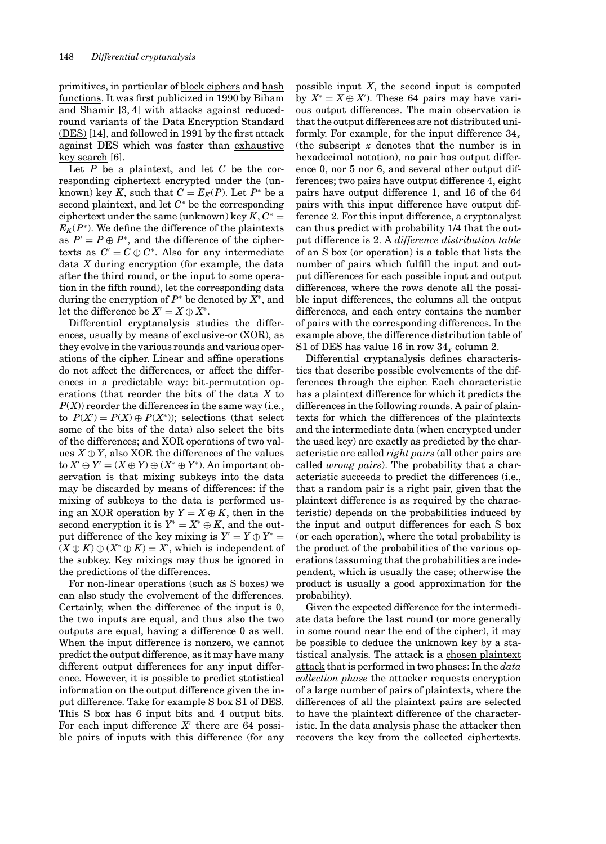primitives, in particular of block ciphers and hash functions. It was first publicized in 1990 by Biham and Shamir [3, 4] with attacks against reducedround variants of the Data Encryption Standard (DES) [14], and followed in 1991 by the first attack against DES which was faster than exhaustive key search [6].

Let *P* be a plaintext, and let *C* be the corresponding ciphertext encrypted under the (unknown) key *K*, such that  $C = E_K(P)$ . Let  $P^*$  be a second plaintext, and let *C*<sup>∗</sup> be the corresponding ciphertext under the same (unknown) key  $K, C^* =$  $E_K(P^*)$ . We define the difference of the plaintexts as  $P' = P \oplus P^*$ , and the difference of the ciphertexts as  $C' = C \oplus C^*$ . Also for any intermediate data *X* during encryption (for example, the data after the third round, or the input to some operation in the fifth round), let the corresponding data during the encryption of *P*<sup>∗</sup> be denoted by *X*<sup>∗</sup>, and let the difference be  $X' = X \oplus X^*$ .

Differential cryptanalysis studies the differences, usually by means of exclusive-or (XOR), as they evolve in the various rounds and various operations of the cipher. Linear and affine operations do not affect the differences, or affect the differences in a predictable way: bit-permutation operations (that reorder the bits of the data *X* to  $P(X)$ ) reorder the differences in the same way (i.e., to  $P(X') = P(X) \oplus P(X^*)$ ; selections (that select some of the bits of the data) also select the bits of the differences; and XOR operations of two values  $X \oplus Y$ , also XOR the differences of the values  $\text{to } X' \oplus Y' = (X \oplus Y) \oplus (X^* \oplus Y^*)$ . An important observation is that mixing subkeys into the data may be discarded by means of differences: if the mixing of subkeys to the data is performed using an XOR operation by  $Y = X \oplus K$ , then in the second encryption it is  $Y^* = X^* \oplus K$ , and the output difference of the key mixing is  $Y' = Y \oplus Y^* = Y$  $(X \oplus K) \oplus (X^* \oplus K) = X'$ , which is independent of the subkey. Key mixings may thus be ignored in the predictions of the differences.

For non-linear operations (such as S boxes) we can also study the evolvement of the differences. Certainly, when the difference of the input is 0, the two inputs are equal, and thus also the two outputs are equal, having a difference 0 as well. When the input difference is nonzero, we cannot predict the output difference, as it may have many different output differences for any input difference. However, it is possible to predict statistical information on the output difference given the input difference. Take for example S box S1 of DES. This S box has 6 input bits and 4 output bits. For each input difference  $X'$  there are 64 possible pairs of inputs with this difference (for any possible input *X*, the second input is computed by  $X^* = X \oplus X'$ ). These 64 pairs may have various output differences. The main observation is that the output differences are not distributed uniformly. For example, for the input difference 34*<sup>x</sup>* (the subscript *x* denotes that the number is in hexadecimal notation), no pair has output difference 0, nor 5 nor 6, and several other output differences; two pairs have output difference 4, eight pairs have output difference 1, and 16 of the 64 pairs with this input difference have output difference 2. For this input difference, a cryptanalyst can thus predict with probability 1/4 that the output difference is 2. A *difference distribution table* of an S box (or operation) is a table that lists the number of pairs which fulfill the input and output differences for each possible input and output differences, where the rows denote all the possible input differences, the columns all the output differences, and each entry contains the number of pairs with the corresponding differences. In the example above, the difference distribution table of S1 of DES has value 16 in row 34*<sup>x</sup>* column 2.

Differential cryptanalysis defines characteristics that describe possible evolvements of the differences through the cipher. Each characteristic has a plaintext difference for which it predicts the differences in the following rounds. A pair of plaintexts for which the differences of the plaintexts and the intermediate data (when encrypted under the used key) are exactly as predicted by the characteristic are called *right pairs* (all other pairs are called *wrong pairs*). The probability that a characteristic succeeds to predict the differences (i.e., that a random pair is a right pair, given that the plaintext difference is as required by the characteristic) depends on the probabilities induced by the input and output differences for each S box (or each operation), where the total probability is the product of the probabilities of the various operations (assuming that the probabilities are independent, which is usually the case; otherwise the product is usually a good approximation for the probability).

Given the expected difference for the intermediate data before the last round (or more generally in some round near the end of the cipher), it may be possible to deduce the unknown key by a statistical analysis. The attack is a chosen plaintext attack that is performed in two phases: In the *data collection phase* the attacker requests encryption of a large number of pairs of plaintexts, where the differences of all the plaintext pairs are selected to have the plaintext difference of the characteristic. In the data analysis phase the attacker then recovers the key from the collected ciphertexts.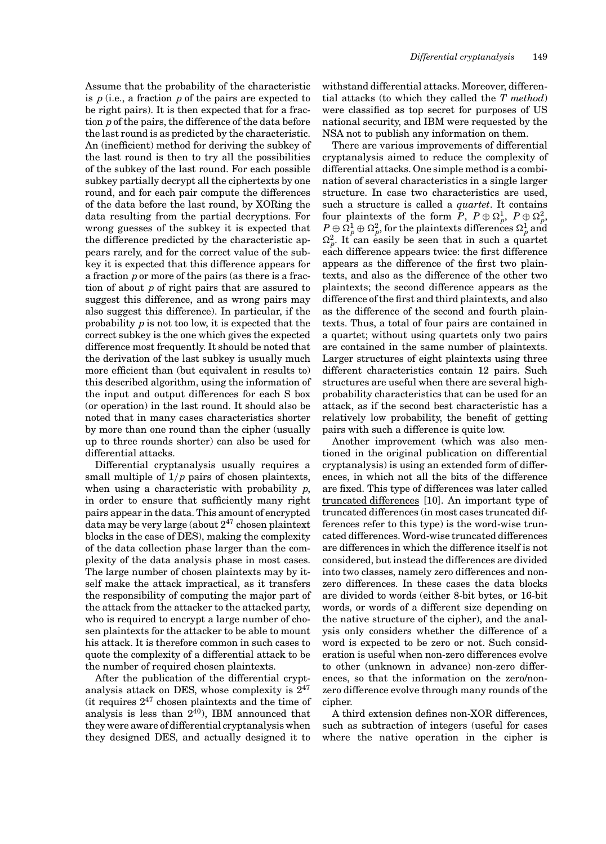Assume that the probability of the characteristic is *p* (i.e., a fraction *p* of the pairs are expected to be right pairs). It is then expected that for a fraction *p*of the pairs, the difference of the data before the last round is as predicted by the characteristic. An (inefficient) method for deriving the subkey of the last round is then to try all the possibilities of the subkey of the last round. For each possible subkey partially decrypt all the ciphertexts by one round, and for each pair compute the differences of the data before the last round, by XORing the data resulting from the partial decryptions. For wrong guesses of the subkey it is expected that the difference predicted by the characteristic appears rarely, and for the correct value of the subkey it is expected that this difference appears for a fraction *p* or more of the pairs (as there is a fraction of about *p* of right pairs that are assured to suggest this difference, and as wrong pairs may also suggest this difference). In particular, if the probability *p* is not too low, it is expected that the correct subkey is the one which gives the expected difference most frequently. It should be noted that the derivation of the last subkey is usually much more efficient than (but equivalent in results to) this described algorithm, using the information of the input and output differences for each S box (or operation) in the last round. It should also be noted that in many cases characteristics shorter by more than one round than the cipher (usually up to three rounds shorter) can also be used for differential attacks.

Differential cryptanalysis usually requires a small multiple of  $1/p$  pairs of chosen plaintexts, when using a characteristic with probability *p*, in order to ensure that sufficiently many right pairs appear in the data. This amount of encrypted data may be very large (about  $2^{47}$  chosen plaintext blocks in the case of DES), making the complexity of the data collection phase larger than the complexity of the data analysis phase in most cases. The large number of chosen plaintexts may by itself make the attack impractical, as it transfers the responsibility of computing the major part of the attack from the attacker to the attacked party, who is required to encrypt a large number of chosen plaintexts for the attacker to be able to mount his attack. It is therefore common in such cases to quote the complexity of a differential attack to be the number of required chosen plaintexts.

After the publication of the differential cryptanalysis attack on DES, whose complexity is  $2^{47}$ (it requires  $2^{47}$  chosen plaintexts and the time of analysis is less than  $2^{40}$ ), IBM announced that they were aware of differential cryptanalysis when they designed DES, and actually designed it to withstand differential attacks. Moreover, differential attacks (to which they called the *T method*) were classified as top secret for purposes of US national security, and IBM were requested by the NSA not to publish any information on them.

There are various improvements of differential cryptanalysis aimed to reduce the complexity of differential attacks. One simple method is a combination of several characteristics in a single larger structure. In case two characteristics are used, such a structure is called a *quartet*. It contains four plaintexts of the form  $P, P \oplus \Omega_p^1, P \oplus \Omega_p^2$ ,  $P \oplus \Omega_p^1 \oplus \Omega_p^2$ , for the plaintexts differences  $\Omega_p^1$  and  $\Omega_p^2$ . It can easily be seen that in such a quartet each difference appears twice: the first difference appears as the difference of the first two plaintexts, and also as the difference of the other two plaintexts; the second difference appears as the difference of the first and third plaintexts, and also as the difference of the second and fourth plaintexts. Thus, a total of four pairs are contained in a quartet; without using quartets only two pairs are contained in the same number of plaintexts. Larger structures of eight plaintexts using three different characteristics contain 12 pairs. Such structures are useful when there are several highprobability characteristics that can be used for an attack, as if the second best characteristic has a relatively low probability, the benefit of getting pairs with such a difference is quite low.

Another improvement (which was also mentioned in the original publication on differential cryptanalysis) is using an extended form of differences, in which not all the bits of the difference are fixed. This type of differences was later called truncated differences [10]. An important type of truncated differences (in most cases truncated differences refer to this type) is the word-wise truncated differences. Word-wise truncated differences are differences in which the difference itself is not considered, but instead the differences are divided into two classes, namely zero differences and nonzero differences. In these cases the data blocks are divided to words (either 8-bit bytes, or 16-bit words, or words of a different size depending on the native structure of the cipher), and the analysis only considers whether the difference of a word is expected to be zero or not. Such consideration is useful when non-zero differences evolve to other (unknown in advance) non-zero differences, so that the information on the zero/nonzero difference evolve through many rounds of the cipher.

A third extension defines non-XOR differences, such as subtraction of integers (useful for cases where the native operation in the cipher is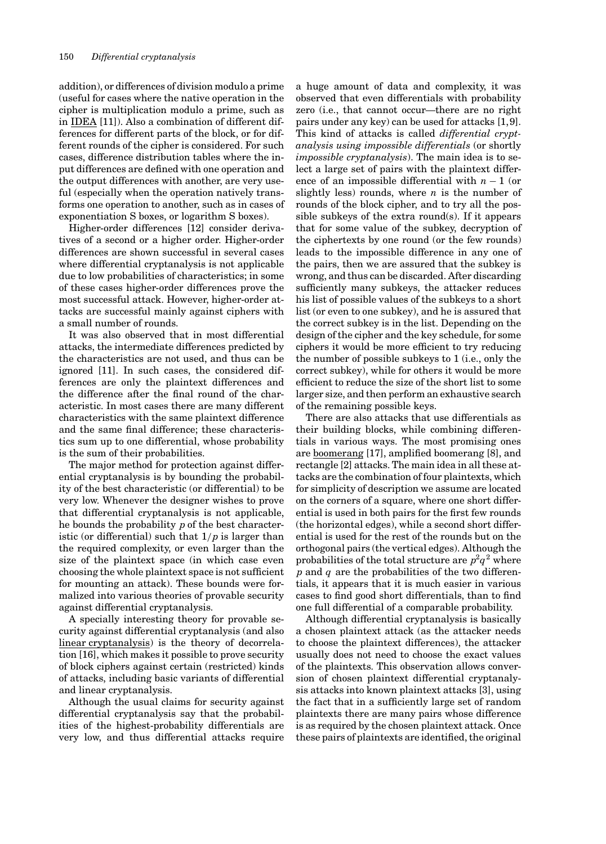addition), or differences of division modulo a prime (useful for cases where the native operation in the cipher is multiplication modulo a prime, such as in IDEA [11]). Also a combination of different differences for different parts of the block, or for different rounds of the cipher is considered. For such cases, difference distribution tables where the input differences are defined with one operation and the output differences with another, are very useful (especially when the operation natively transforms one operation to another, such as in cases of exponentiation S boxes, or logarithm S boxes).

Higher-order differences [12] consider derivatives of a second or a higher order. Higher-order differences are shown successful in several cases where differential cryptanalysis is not applicable due to low probabilities of characteristics; in some of these cases higher-order differences prove the most successful attack. However, higher-order attacks are successful mainly against ciphers with a small number of rounds.

It was also observed that in most differential attacks, the intermediate differences predicted by the characteristics are not used, and thus can be ignored [11]. In such cases, the considered differences are only the plaintext differences and the difference after the final round of the characteristic. In most cases there are many different characteristics with the same plaintext difference and the same final difference; these characteristics sum up to one differential, whose probability is the sum of their probabilities.

The major method for protection against differential cryptanalysis is by bounding the probability of the best characteristic (or differential) to be very low. Whenever the designer wishes to prove that differential cryptanalysis is not applicable, he bounds the probability *p* of the best characteristic (or differential) such that  $1/p$  is larger than the required complexity, or even larger than the size of the plaintext space (in which case even choosing the whole plaintext space is not sufficient for mounting an attack). These bounds were formalized into various theories of provable security against differential cryptanalysis.

A specially interesting theory for provable security against differential cryptanalysis (and also linear cryptanalysis) is the theory of decorrelation [16], which makes it possible to prove security of block ciphers against certain (restricted) kinds of attacks, including basic variants of differential and linear cryptanalysis.

Although the usual claims for security against differential cryptanalysis say that the probabilities of the highest-probability differentials are very low, and thus differential attacks require a huge amount of data and complexity, it was observed that even differentials with probability zero (i.e., that cannot occur—there are no right pairs under any key) can be used for attacks [1,9]. This kind of attacks is called *differential cryptanalysis using impossible differentials* (or shortly *impossible cryptanalysis*). The main idea is to select a large set of pairs with the plaintext difference of an impossible differential with *n* − 1 (or slightly less) rounds, where *n* is the number of rounds of the block cipher, and to try all the possible subkeys of the extra round(s). If it appears that for some value of the subkey, decryption of the ciphertexts by one round (or the few rounds) leads to the impossible difference in any one of the pairs, then we are assured that the subkey is wrong, and thus can be discarded. After discarding sufficiently many subkeys, the attacker reduces his list of possible values of the subkeys to a short list (or even to one subkey), and he is assured that the correct subkey is in the list. Depending on the design of the cipher and the key schedule, for some ciphers it would be more efficient to try reducing the number of possible subkeys to 1 (i.e., only the correct subkey), while for others it would be more efficient to reduce the size of the short list to some larger size, and then perform an exhaustive search of the remaining possible keys.

There are also attacks that use differentials as their building blocks, while combining differentials in various ways. The most promising ones are boomerang [17], amplified boomerang [8], and rectangle [2] attacks. The main idea in all these attacks are the combination of four plaintexts, which for simplicity of description we assume are located on the corners of a square, where one short differential is used in both pairs for the first few rounds (the horizontal edges), while a second short differential is used for the rest of the rounds but on the orthogonal pairs (the vertical edges). Although the probabilities of the total structure are  $p^2q^2$  where *p* and *q* are the probabilities of the two differentials, it appears that it is much easier in various cases to find good short differentials, than to find one full differential of a comparable probability.

Although differential cryptanalysis is basically a chosen plaintext attack (as the attacker needs to choose the plaintext differences), the attacker usually does not need to choose the exact values of the plaintexts. This observation allows conversion of chosen plaintext differential cryptanalysis attacks into known plaintext attacks [3], using the fact that in a sufficiently large set of random plaintexts there are many pairs whose difference is as required by the chosen plaintext attack. Once these pairs of plaintexts are identified, the original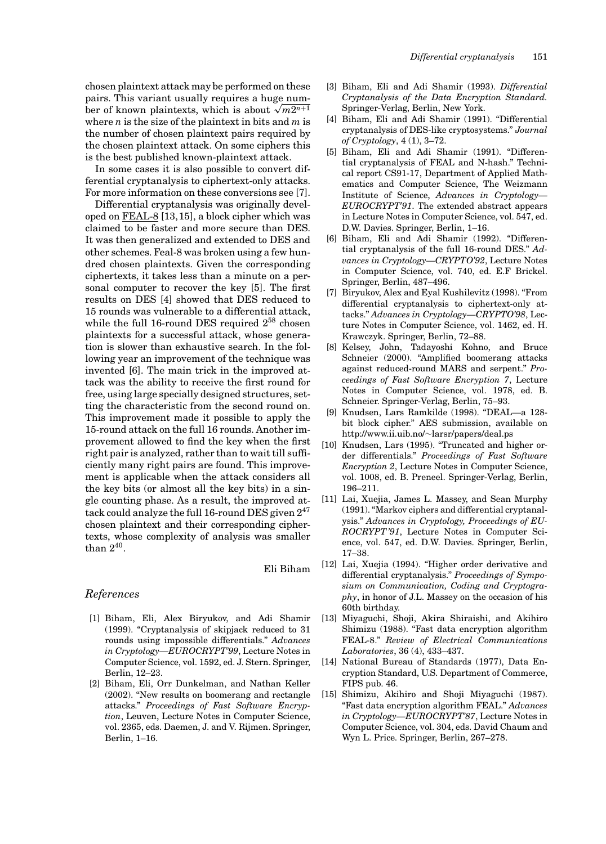chosen plaintext attack may be performed on these pairs. This variant usually requires a huge numpairs. This variant usually requires a nuge  $\frac{\text{num}}{\text{per}}$  of known plaintexts, which is about  $\sqrt{m2^{n+1}}$ where *n* is the size of the plaintext in bits and *m* is the number of chosen plaintext pairs required by the chosen plaintext attack. On some ciphers this is the best published known-plaintext attack.

In some cases it is also possible to convert differential cryptanalysis to ciphertext-only attacks. For more information on these conversions see [7].

Differential cryptanalysis was originally developed on FEAL-8 [13,15], a block cipher which was claimed to be faster and more secure than DES. It was then generalized and extended to DES and other schemes. Feal-8 was broken using a few hundred chosen plaintexts. Given the corresponding ciphertexts, it takes less than a minute on a personal computer to recover the key [5]. The first results on DES [4] showed that DES reduced to 15 rounds was vulnerable to a differential attack, while the full 16-round DES required  $2^{58}$  chosen plaintexts for a successful attack, whose generation is slower than exhaustive search. In the following year an improvement of the technique was invented [6]. The main trick in the improved attack was the ability to receive the first round for free, using large specially designed structures, setting the characteristic from the second round on. This improvement made it possible to apply the 15-round attack on the full 16 rounds. Another improvement allowed to find the key when the first right pair is analyzed, rather than to wait till sufficiently many right pairs are found. This improvement is applicable when the attack considers all the key bits (or almost all the key bits) in a single counting phase. As a result, the improved attack could analyze the full 16-round DES given  $2^{47}$ chosen plaintext and their corresponding ciphertexts, whose complexity of analysis was smaller than  $2^{40}$ .

Eli Biham

- [1] Biham, Eli, Alex Biryukov, and Adi Shamir (1999). "Cryptanalysis of skipjack reduced to 31 rounds using impossible differentials." *Advances in Cryptology—EUROCRYPT'99*, Lecture Notes in Computer Science, vol. 1592, ed. J. Stern. Springer, Berlin, 12–23.
- [2] Biham, Eli, Orr Dunkelman, and Nathan Keller (2002). "New results on boomerang and rectangle attacks." *Proceedings of Fast Software Encryption*, Leuven, Lecture Notes in Computer Science, vol. 2365, eds. Daemen, J. and V. Rijmen. Springer, Berlin, 1–16.
- [3] Biham, Eli and Adi Shamir (1993). *Differential Cryptanalysis of the Data Encryption Standard.* Springer-Verlag, Berlin, New York.
- [4] Biham, Eli and Adi Shamir (1991). "Differential cryptanalysis of DES-like cryptosystems." *Journal of Cryptology*, 4 (1), 3–72.
- [5] Biham, Eli and Adi Shamir (1991). "Differential cryptanalysis of FEAL and N-hash." Technical report CS91-17, Department of Applied Mathematics and Computer Science, The Weizmann Institute of Science, *Advances in Cryptology— EUROCRYPT'91*. The extended abstract appears in Lecture Notes in Computer Science, vol. 547, ed. D.W. Davies. Springer, Berlin, 1–16.
- [6] Biham, Eli and Adi Shamir (1992). "Differential cryptanalysis of the full 16-round DES." *Advances in Cryptology—CRYPTO'92*, Lecture Notes in Computer Science, vol. 740, ed. E.F Brickel. Springer, Berlin, 487–496.
- [7] Biryukov, Alex and Eyal Kushilevitz (1998). "From differential cryptanalysis to ciphertext-only attacks." *Advances in Cryptology—CRYPTO'98*, Lecture Notes in Computer Science, vol. 1462, ed. H. Krawczyk. Springer, Berlin, 72–88.
- [8] Kelsey, John, Tadayoshi Kohno, and Bruce Schneier (2000). "Amplified boomerang attacks against reduced-round MARS and serpent." *Proceedings of Fast Software Encryption 7*, Lecture Notes in Computer Science, vol. 1978, ed. B. Schneier. Springer-Verlag, Berlin, 75–93.
- [9] Knudsen, Lars Ramkilde (1998). "DEAL—a 128 bit block cipher." AES submission, available on http://www.ii.uib.no/∼larsr/papers/deal.ps
- [10] Knudsen, Lars (1995). "Truncated and higher order differentials." *Proceedings of Fast Software Encryption 2*, Lecture Notes in Computer Science, vol. 1008, ed. B. Preneel. Springer-Verlag, Berlin, 196–211.
- [11] Lai, Xuejia, James L. Massey, and Sean Murphy (1991). "Markov ciphers and differential cryptanalysis." *Advances in Cryptology, Proceedings of EU-ROCRYPT '91*, Lecture Notes in Computer Science, vol. 547, ed. D.W. Davies. Springer, Berlin, 17–38.
- [12] Lai, Xuejia (1994). "Higher order derivative and differential cryptanalysis." *Proceedings of Symposium on Communication, Coding and Cryptography*, in honor of J.L. Massey on the occasion of his 60th birthday.
- [13] Miyaguchi, Shoji, Akira Shiraishi, and Akihiro Shimizu (1988). "Fast data encryption algorithm FEAL-8." *Review of Electrical Communications Laboratories*, 36 (4), 433–437.
- [14] National Bureau of Standards (1977), Data Encryption Standard, U.S. Department of Commerce, FIPS pub. 46.
- [15] Shimizu, Akihiro and Shoji Miyaguchi (1987). "Fast data encryption algorithm FEAL." *Advances in Cryptology—EUROCRYPT'87*, Lecture Notes in Computer Science, vol. 304, eds. David Chaum and Wyn L. Price. Springer, Berlin, 267–278.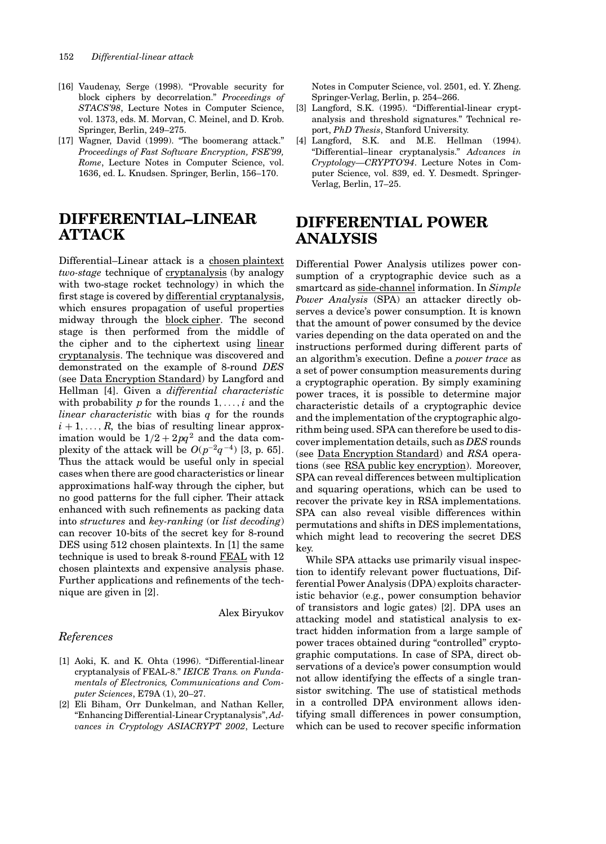- [16] Vaudenay, Serge (1998). "Provable security for block ciphers by decorrelation." *Proceedings of STACS'98*, Lecture Notes in Computer Science, vol. 1373, eds. M. Morvan, C. Meinel, and D. Krob. Springer, Berlin, 249–275.
- [17] Wagner, David (1999). "The boomerang attack." *Proceedings of Fast Software Encryption, FSE'99, Rome*, Lecture Notes in Computer Science, vol. 1636, ed. L. Knudsen. Springer, Berlin, 156–170.

## **DIFFERENTIAL–LINEAR ATTACK**

Differential–Linear attack is a chosen plaintext *two-stage* technique of cryptanalysis (by analogy with two-stage rocket technology) in which the first stage is covered by differential cryptanalysis, which ensures propagation of useful properties midway through the block cipher. The second stage is then performed from the middle of the cipher and to the ciphertext using linear cryptanalysis. The technique was discovered and demonstrated on the example of 8-round *DES* (see Data Encryption Standard) by Langford and Hellman [4]. Given a *differential characteristic* with probability *p* for the rounds 1,...,*i* and the *linear characteristic* with bias *q* for the rounds  $i+1, \ldots, R$ , the bias of resulting linear approximation would be  $1/2 + 2pq^2$  and the data complexity of the attack will be  $O(p^{-2}q^{-4})$  [3, p. 65]. Thus the attack would be useful only in special cases when there are good characteristics or linear approximations half-way through the cipher, but no good patterns for the full cipher. Their attack enhanced with such refinements as packing data into *structures* and *key-ranking* (or *list decoding*) can recover 10-bits of the secret key for 8-round DES using 512 chosen plaintexts. In [1] the same technique is used to break 8-round FEAL with 12 chosen plaintexts and expensive analysis phase. Further applications and refinements of the technique are given in [2].

Alex Biryukov

## *References*

- [1] Aoki, K. and K. Ohta (1996). "Differential-linear cryptanalysis of FEAL-8." *IEICE Trans. on Fundamentals of Electronics, Communications and Computer Sciences*, E79A (1), 20–27.
- [2] Eli Biham, Orr Dunkelman, and Nathan Keller, "Enhancing Differential-Linear Cryptanalysis", *Advances in Cryptology ASIACRYPT 2002*, Lecture

Notes in Computer Science, vol. 2501, ed. Y. Zheng. Springer-Verlag, Berlin, p. 254–266.

- [3] Langford, S.K. (1995). "Differential-linear cryptanalysis and threshold signatures." Technical report, *PhD Thesis*, Stanford University.
- [4] Langford, S.K. and M.E. Hellman (1994). "Differential–linear cryptanalysis." *Advances in Cryptology—CRYPTO'94*. Lecture Notes in Computer Science, vol. 839, ed. Y. Desmedt. Springer-Verlag, Berlin, 17–25.

## **DIFFERENTIAL POWER ANALYSIS**

Differential Power Analysis utilizes power consumption of a cryptographic device such as a smartcard as side-channel information. In *Simple Power Analysis* (SPA) an attacker directly observes a device's power consumption. It is known that the amount of power consumed by the device varies depending on the data operated on and the instructions performed during different parts of an algorithm's execution. Define a *power trace* as a set of power consumption measurements during a cryptographic operation. By simply examining power traces, it is possible to determine major characteristic details of a cryptographic device and the implementation of the cryptographic algorithm being used. SPA can therefore be used to discover implementation details, such as *DES* rounds (see Data Encryption Standard) and *RSA* operations (see RSA public key encryption). Moreover, SPA can reveal differences between multiplication and squaring operations, which can be used to recover the private key in RSA implementations. SPA can also reveal visible differences within permutations and shifts in DES implementations, which might lead to recovering the secret DES key.

While SPA attacks use primarily visual inspection to identify relevant power fluctuations, Differential Power Analysis (DPA) exploits characteristic behavior (e.g., power consumption behavior of transistors and logic gates) [2]. DPA uses an attacking model and statistical analysis to extract hidden information from a large sample of power traces obtained during "controlled" cryptographic computations. In case of SPA, direct observations of a device's power consumption would not allow identifying the effects of a single transistor switching. The use of statistical methods in a controlled DPA environment allows identifying small differences in power consumption, which can be used to recover specific information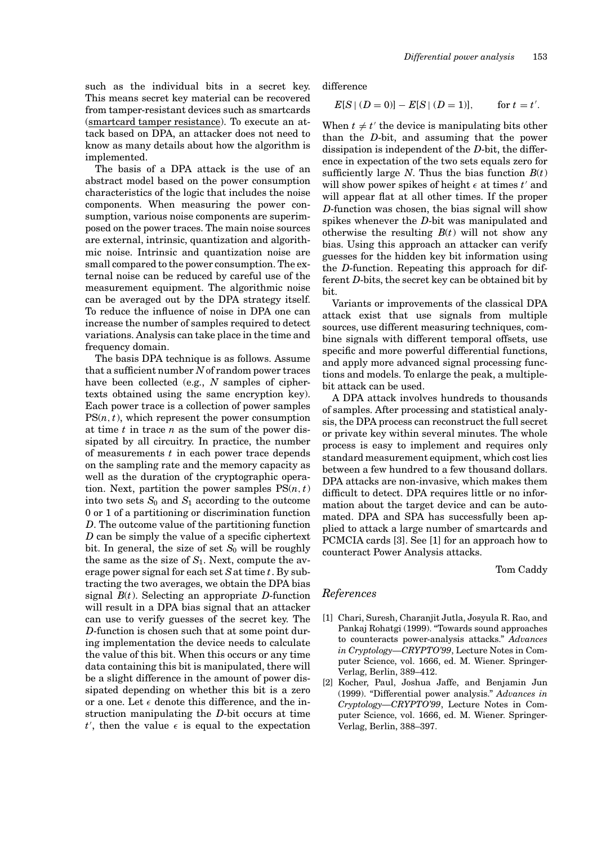such as the individual bits in a secret key. This means secret key material can be recovered from tamper-resistant devices such as smartcards (smartcard tamper resistance). To execute an attack based on DPA, an attacker does not need to know as many details about how the algorithm is implemented.

The basis of a DPA attack is the use of an abstract model based on the power consumption characteristics of the logic that includes the noise components. When measuring the power consumption, various noise components are superimposed on the power traces. The main noise sources are external, intrinsic, quantization and algorithmic noise. Intrinsic and quantization noise are small compared to the power consumption. The external noise can be reduced by careful use of the measurement equipment. The algorithmic noise can be averaged out by the DPA strategy itself. To reduce the influence of noise in DPA one can increase the number of samples required to detect variations. Analysis can take place in the time and frequency domain.

The basis DPA technique is as follows. Assume that a sufficient number *N* of random power traces have been collected (e.g., *N* samples of ciphertexts obtained using the same encryption key). Each power trace is a collection of power samples  $PS(n, t)$ , which represent the power consumption at time *t* in trace *n* as the sum of the power dissipated by all circuitry. In practice, the number of measurements *t* in each power trace depends on the sampling rate and the memory capacity as well as the duration of the cryptographic operation. Next, partition the power samples  $PS(n, t)$ into two sets  $S_0$  and  $S_1$  according to the outcome 0 or 1 of a partitioning or discrimination function *D*. The outcome value of the partitioning function *D* can be simply the value of a specific ciphertext bit. In general, the size of set  $S_0$  will be roughly the same as the size of *S*1. Next, compute the average power signal for each set *S*at time *t*. By subtracting the two averages, we obtain the DPA bias signal *B*(*t*). Selecting an appropriate *D*-function will result in a DPA bias signal that an attacker can use to verify guesses of the secret key. The *D*-function is chosen such that at some point during implementation the device needs to calculate the value of this bit. When this occurs or any time data containing this bit is manipulated, there will be a slight difference in the amount of power dissipated depending on whether this bit is a zero or a one. Let  $\epsilon$  denote this difference, and the instruction manipulating the *D*-bit occurs at time  $t'$ , then the value  $\epsilon$  is equal to the expectation

difference

$$
E[S | (D = 0)] - E[S | (D = 1)], \quad \text{for } t = t'.
$$

When  $t \neq t'$  the device is manipulating bits other than the *D*-bit, and assuming that the power dissipation is independent of the *D*-bit, the difference in expectation of the two sets equals zero for sufficiently large *N*. Thus the bias function  $B(t)$ will show power spikes of height  $\epsilon$  at times  $t'$  and will appear flat at all other times. If the proper *D*-function was chosen, the bias signal will show spikes whenever the *D*-bit was manipulated and otherwise the resulting  $B(t)$  will not show any bias. Using this approach an attacker can verify guesses for the hidden key bit information using the *D*-function. Repeating this approach for different *D*-bits, the secret key can be obtained bit by bit.

Variants or improvements of the classical DPA attack exist that use signals from multiple sources, use different measuring techniques, combine signals with different temporal offsets, use specific and more powerful differential functions, and apply more advanced signal processing functions and models. To enlarge the peak, a multiplebit attack can be used.

A DPA attack involves hundreds to thousands of samples. After processing and statistical analysis, the DPA process can reconstruct the full secret or private key within several minutes. The whole process is easy to implement and requires only standard measurement equipment, which cost lies between a few hundred to a few thousand dollars. DPA attacks are non-invasive, which makes them difficult to detect. DPA requires little or no information about the target device and can be automated. DPA and SPA has successfully been applied to attack a large number of smartcards and PCMCIA cards [3]. See [1] for an approach how to counteract Power Analysis attacks.

Tom Caddy

- [1] Chari, Suresh, Charanjit Jutla, Josyula R. Rao, and Pankaj Rohatgi (1999). "Towards sound approaches to counteracts power-analysis attacks." *Advances in Cryptology—CRYPTO'99*, Lecture Notes in Computer Science, vol. 1666, ed. M. Wiener. Springer-Verlag, Berlin, 389–412.
- [2] Kocher, Paul, Joshua Jaffe, and Benjamin Jun (1999). "Differential power analysis." *Advances in Cryptology—CRYPTO'99*, Lecture Notes in Computer Science, vol. 1666, ed. M. Wiener. Springer-Verlag, Berlin, 388–397.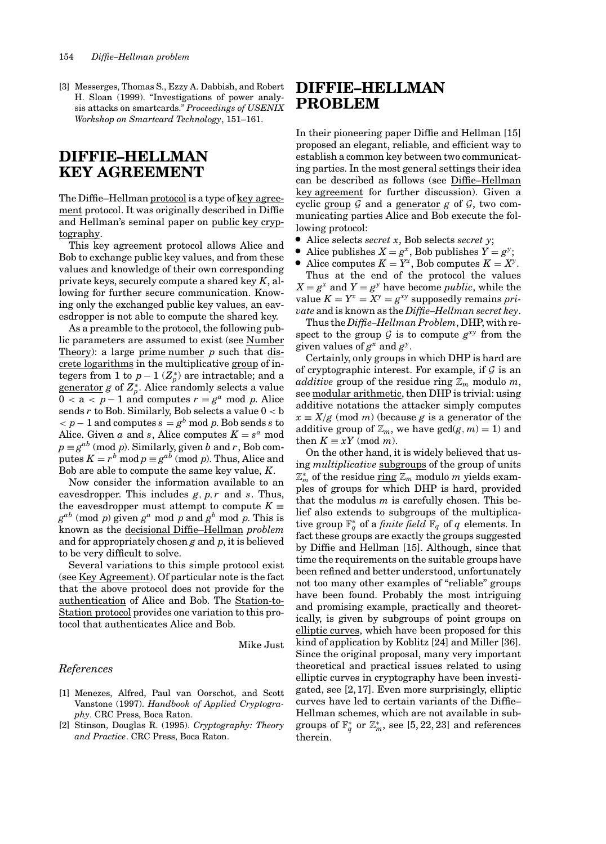[3] Messerges, Thomas S., Ezzy A. Dabbish, and Robert H. Sloan (1999). "Investigations of power analysis attacks on smartcards." *Proceedings of USENIX Workshop on Smartcard Technology*, 151–161.

## **DIFFIE–HELLMAN KEY AGREEMENT**

The Diffie–Hellman protocol is a type of key agreement protocol. It was originally described in Diffie and Hellman's seminal paper on public key cryptography.

This key agreement protocol allows Alice and Bob to exchange public key values, and from these values and knowledge of their own corresponding private keys, securely compute a shared key *K*, allowing for further secure communication. Knowing only the exchanged public key values, an eavesdropper is not able to compute the shared key.

As a preamble to the protocol, the following public parameters are assumed to exist (see Number Theory): a large prime number *p* such that discrete logarithms in the multiplicative group of integers from 1 to  $p-1$  ( $Z_p^*$ ) are intractable; and a  $\frac{1}{2}$  generator  $g$  of  $Z_p^*$ . Alice randomly selects a value  $0 < a < p-1$  and computes  $r = g^a$  mod p. Alice sends  $r$  to Bob. Similarly, Bob selects a value  $0 < b$  $p > p-1$  and computes  $s = g^b \mod p$ . Bob sends *s* to Alice. Given *a* and *s*, Alice computes  $K = s^a$  mod  $p \equiv g^{ab} \pmod{p}$ . Similarly, given *b* and *r*, Bob computes  $K = r^b \mod p \equiv g^{ab} \pmod{p}$ . Thus, Alice and Bob are able to compute the same key value, *K*.

Now consider the information available to an eavesdropper. This includes *g*, *p*, *r* and *s*. Thus, the eavesdropper must attempt to compute  $K \equiv$  $g^{ab}$  (mod *p*) given  $g^a$  mod *p* and  $g^b$  mod *p*. This is known as the decisional Diffie–Hellman *problem* and for appropriately chosen *g* and *p*, it is believed to be very difficult to solve.

Several variations to this simple protocol exist (see <u>Key Agreement</u>). Of particular note is the fact that the above protocol does not provide for the authentication of Alice and Bob. The Station-to-Station protocol provides one variation to this protocol that authenticates Alice and Bob.

Mike Just

#### *References*

- [1] Menezes, Alfred, Paul van Oorschot, and Scott Vanstone (1997). *Handbook of Applied Cryptography*. CRC Press, Boca Raton.
- [2] Stinson, Douglas R. (1995). *Cryptography: Theory and Practice*. CRC Press, Boca Raton.

# **DIFFIE–HELLMAN PROBLEM**

In their pioneering paper Diffie and Hellman [15] proposed an elegant, reliable, and efficient way to establish a common key between two communicating parties. In the most general settings their idea can be described as follows (see Diffie–Hellman key agreement for further discussion). Given a cyclic group  $G$  and a generator  $g$  of  $G$ , two communicating parties Alice and Bob execute the following protocol:

- Alice selects *secret x*, Bob selects *secret y*;
- Alice publishes  $X = g^x$ , Bob publishes  $Y = g^y$ ;
- Alice computes  $K = Y^x$ , Bob computes  $K = X^y$ . Thus at the end of the protocol the values  $X = g^x$  and  $Y = g^y$  have become *public*, while the value  $K = Y^x = X^y = g^{xy}$  supposedly remains *private* and is known as the *Diffie–Hellman secret key*.

Thus the *Diffie–Hellman Problem*, DHP, with respect to the group  $\mathcal G$  is to compute  $g^{xy}$  from the given values of  $g^x$  and  $g^y$ .

Certainly, only groups in which DHP is hard are of cryptographic interest. For example, if  $\mathcal G$  is an *additive* group of the residue ring  $\mathbb{Z}_m$  modulo m, see modular arithmetic, then DHP is trivial: using additive notations the attacker simply computes  $x \equiv X/g \pmod{m}$  (because *g* is a generator of the additive group of  $\mathbb{Z}_m$ , we have  $gcd(g, m) = 1$ ) and then  $K \equiv xY \pmod{m}$ .

On the other hand, it is widely believed that using *multiplicative* subgroups of the group of units  $\mathbb{Z}_m^*$  of the residue  $\underline{\text{ring}}$   $\mathbb{Z}_m$  modulo  $m$  yields examples of groups for which DHP is hard, provided that the modulus *m* is carefully chosen. This belief also extends to subgroups of the multiplicative group  $\mathbb{F}_q^*$  of a *finite field*  $\mathbb{F}_q$  of  $q$  elements. In fact these groups are exactly the groups suggested by Diffie and Hellman [15]. Although, since that time the requirements on the suitable groups have been refined and better understood, unfortunately not too many other examples of "reliable" groups have been found. Probably the most intriguing and promising example, practically and theoretically, is given by subgroups of point groups on elliptic curves, which have been proposed for this kind of application by Koblitz [24] and Miller [36]. Since the original proposal, many very important theoretical and practical issues related to using elliptic curves in cryptography have been investigated, see [2, 17]. Even more surprisingly, elliptic curves have led to certain variants of the Diffie– Hellman schemes, which are not available in subgroups of  $\mathbb{F}_q^*$  or  $\mathbb{Z}_m^*$ , see [5, 22, 23] and references therein.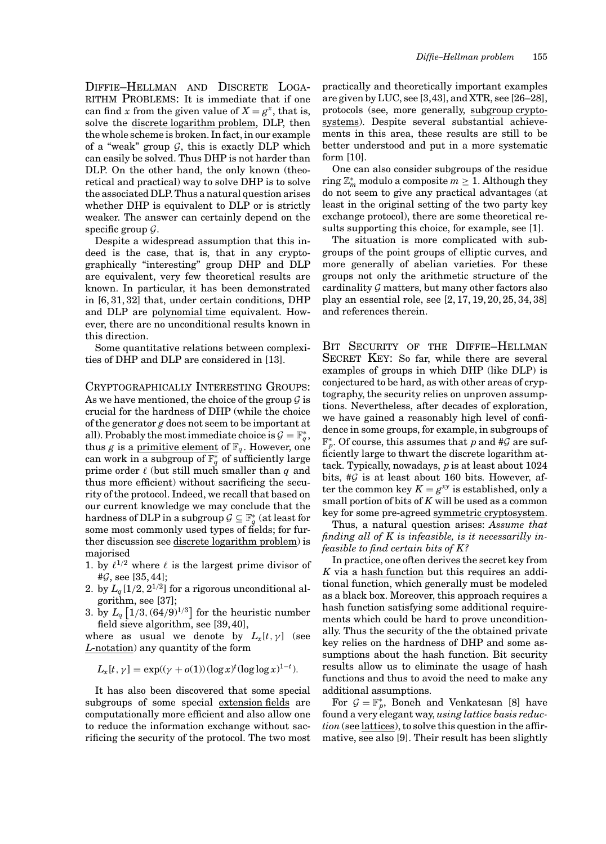DIFFIE–HELLMAN AND DISCRETE LOGA- RITHM PROBLEMS: It is immediate that if one can find *x* from the given value of  $X = g^x$ , that is, solve the discrete logarithm problem, DLP, then the whole scheme is broken. In fact, in our example of a "weak" group  $G$ , this is exactly DLP which can easily be solved. Thus DHP is not harder than DLP. On the other hand, the only known (theoretical and practical) way to solve DHP is to solve the associated DLP. Thus a natural question arises whether DHP is equivalent to DLP or is strictly weaker. The answer can certainly depend on the specific group  $\mathcal{G}$ .

Despite a widespread assumption that this indeed is the case, that is, that in any cryptographically "interesting" group DHP and DLP are equivalent, very few theoretical results are known. In particular, it has been demonstrated in [6, 31, 32] that, under certain conditions, DHP and DLP are polynomial time equivalent. However, there are no unconditional results known in this direction.

Some quantitative relations between complexities of DHP and DLP are considered in [13].

CRYPTOGRAPHICALLY INTERESTING GROUPS: As we have mentioned, the choice of the group  $G$  is crucial for the hardness of DHP (while the choice of the generator *g* does not seem to be important at all). Probably the most immediate choice is  $G = \mathbb{F}_q^*$ , thus *g* is a <u>primitive element</u> of  $\mathbb{F}_q$ . However, one  $\operatorname*{can}$  work in a subgroup of  $\mathbb{F}_{q}^{\ast}$  of sufficiently large prime order  $\ell$  (but still much smaller than  $q$  and thus more efficient) without sacrificing the security of the protocol. Indeed, we recall that based on our current knowledge we may conclude that the hardness of DLP in a subgroup  $\mathcal{G} \subseteq \mathbb{F}_q^*$  (at least for some most commonly used types of fields; for further discussion see discrete logarithm problem) is majorised

- 1. by  $\ell^{1/2}$  where  $\ell$  is the largest prime divisor of #G, see [35,44];
- 2. by  $L_q[1/2, 2^{1/2}]$  for a rigorous unconditional algorithm, see [37];
- 3. by  $L_q$   $\left[1/3, (64/9)^{1/3}\right]$  for the heuristic number field sieve algorithm, see [39,40],

where as usual we denote by  $L_x[t, \gamma]$  (see *L*-notation) any quantity of the form

$$
L_x[t,\gamma] = \exp((\gamma + o(1))(\log x)^t(\log \log x)^{1-t}).
$$

It has also been discovered that some special subgroups of some special extension fields are computationally more efficient and also allow one to reduce the information exchange without sacrificing the security of the protocol. The two most practically and theoretically important examples are given by LUC, see [3,43], and XTR, see [26–28], protocols (see, more generally, subgroup cryptosystems). Despite several substantial achievements in this area, these results are still to be better understood and put in a more systematic form [10].

One can also consider subgroups of the residue  $\min_{m \geq 1} \mathbb{Z}_m^*$  modulo a composite  $m \geq 1$ . Although they do not seem to give any practical advantages (at least in the original setting of the two party key exchange protocol), there are some theoretical results supporting this choice, for example, see [1].

The situation is more complicated with subgroups of the point groups of elliptic curves, and more generally of abelian varieties. For these groups not only the arithmetic structure of the cardinality  $G$  matters, but many other factors also play an essential role, see [2, 17, 19, 20, 25, 34, 38] and references therein.

BIT SECURITY OF THE DIFFIE–HELLMAN SECRET KEY: So far, while there are several examples of groups in which DHP (like DLP) is conjectured to be hard, as with other areas of cryptography, the security relies on unproven assumptions. Nevertheless, after decades of exploration, we have gained a reasonably high level of confidence in some groups, for example, in subgroups of F∗ *<sup>p</sup>*. Of course, this assumes that *p* and #G are sufficiently large to thwart the discrete logarithm attack. Typically, nowadays, *p* is at least about 1024 bits,  $\#\mathcal{G}$  is at least about 160 bits. However, after the common key  $K = g^{xy}$  is established, only a small portion of bits of *K* will be used as a common key for some pre-agreed symmetric cryptosystem.

Thus, a natural question arises: *Assume that finding all of K is infeasible, is it necessarilly infeasible to find certain bits of K?*

In practice, one often derives the secret key from *K* via a hash function but this requires an additional function, which generally must be modeled as a black box. Moreover, this approach requires a hash function satisfying some additional requirements which could be hard to prove unconditionally. Thus the security of the the obtained private key relies on the hardness of DHP and some assumptions about the hash function. Bit security results allow us to eliminate the usage of hash functions and thus to avoid the need to make any additional assumptions.

For  $G = \mathbb{F}_{p}^*$ , Boneh and Venkatesan [8] have found a very elegant way, *using lattice basis reduction* (see lattices), to solve this question in the affirmative, see also [9]. Their result has been slightly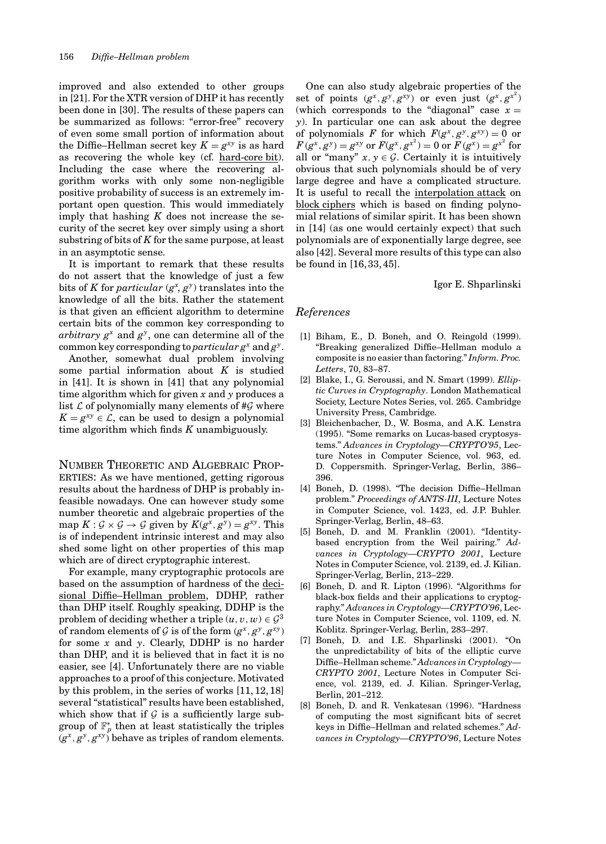improved and also extended to other groups in [21]. For the XTR version of DHP it has recently been done in [30]. The results of these papers can be summarized as follows: "error-free" recovery of even some small portion of information about the Diffie–Hellman secret key  $K = g^{xy}$  is as hard as recovering the whole key (cf. hard-core bit). Including the case where the recovering algorithm works with only some non-negligible positive probability of success is an extremely important open question. This would immediately imply that hashing *K* does not increase the security of the secret key over simply using a short substring of bits of *K* for the same purpose, at least in an asymptotic sense.

It is important to remark that these results do not assert that the knowledge of just a few bits of *K* for *particular*  $(g^x, g^y)$  translates into the knowledge of all the bits. Rather the statement is that given an efficient algorithm to determine certain bits of the common key corresponding to *arbitrary g<sup>x</sup>* and *gy*, one can determine all of the common key corresponding to *particular g<sup>x</sup>* and *gy*.

Another, somewhat dual problem involving some partial information about *K* is studied in [41]. It is shown in [41] that any polynomial time algorithm which for given *x* and *y* produces a list  $\mathcal L$  of polynomially many elements of # $\mathcal G$  where  $K = g^{xy} \in \mathcal{L}$ , can be used to design a polynomial time algorithm which finds *K* unambiguously.

NUMBER THEORETIC AND ALGEBRAIC PROP-ERTIES: As we have mentioned, getting rigorous results about the hardness of DHP is probably infeasible nowadays. One can however study some number theoretic and algebraic properties of the map  $K: \mathcal{G} \times \mathcal{G} \rightarrow \mathcal{G}$  given by  $K(g^x, g^y) = g^{xy}$ . This is of independent intrinsic interest and may also shed some light on other properties of this map which are of direct cryptographic interest.

For example, many cryptographic protocols are based on the assumption of hardness of the decisional Diffie–Hellman problem, DDHP, rather than DHP itself. Roughly speaking, DDHP is the problem of deciding whether a triple  $(u, v, w) \in \mathcal{G}^3$ of random elements of G is of the form  $(g^x, g^y, g^{xy})$ for some *x* and *y*. Clearly, DDHP is no harder than DHP, and it is believed that in fact it is no easier, see [4]. Unfortunately there are no viable approaches to a proof of this conjecture. Motivated by this problem, in the series of works [11,12,18] several "statistical" results have been established, which show that if  $G$  is a sufficiently large subgroup of  $\mathbb{F}_p^*$  then at least statistically the triples  $(g^x, g^y, g^{xy})$  behave as triples of random elements.

One can also study algebraic properties of the set of points  $(g^x, g^y, g^{xy})$  or even just  $(g^x, g^{x^2})$ (which corresponds to the "diagonal" case  $x =$ *y*). In particular one can ask about the degree of polynomials *F* for which  $F(g^x, g^y, g^{xy}) = 0$  or  $F(g^x, g^y) = g^{xy}$  or  $F(g^x, g^{x^2}) = 0$  or  $F(g^x) = g^{x^2}$  for all or "many"  $x, y \in \mathcal{G}$ . Certainly it is intuitively obvious that such polynomials should be of very large degree and have a complicated structure. It is useful to recall the interpolation attack on block ciphers which is based on finding polynomial relations of similar spirit. It has been shown in [14] (as one would certainly expect) that such polynomials are of exponentially large degree, see also [42]. Several more results of this type can also be found in [16,33,45].

Igor E. Shparlinski

- [1] Biham, E., D. Boneh, and O. Reingold (1999). "Breaking generalized Diffie–Hellman modulo a composite is no easier than factoring." *Inform. Proc. Letters*, 70, 83–87.
- [2] Blake, I., G. Seroussi, and N. Smart (1999). *Elliptic Curves in Cryptography*. London Mathematical Society, Lecture Notes Series, vol. 265. Cambridge University Press, Cambridge.
- [3] Bleichenbacher, D., W. Bosma, and A.K. Lenstra (1995). "Some remarks on Lucas-based cryptosystems." *Advances in Cryptology—CRYPTO'95*, Lecture Notes in Computer Science, vol. 963, ed. D. Coppersmith. Springer-Verlag, Berlin, 386– 396.
- [4] Boneh, D. (1998). "The decision Diffie–Hellman problem." *Proceedings of ANTS-III*, Lecture Notes in Computer Science, vol. 1423, ed. J.P. Buhler. Springer-Verlag, Berlin, 48–63.
- [5] Boneh, D. and M. Franklin (2001). "Identitybased encryption from the Weil pairing." *Advances in Cryptology—CRYPTO 2001*, Lecture Notes in Computer Science, vol. 2139, ed. J. Kilian. Springer-Verlag, Berlin, 213–229.
- [6] Boneh, D. and R. Lipton (1996). "Algorithms for black-box fields and their applications to cryptography." *Advances in Cryptology—CRYPTO'96*, Lecture Notes in Computer Science, vol. 1109, ed. N. Koblitz. Springer-Verlag, Berlin, 283–297.
- [7] Boneh, D. and I.E. Shparlinski (2001). "On the unpredictability of bits of the elliptic curve Diffie–Hellman scheme." *Advances in Cryptology— CRYPTO 2001*, Lecture Notes in Computer Science, vol. 2139, ed. J. Kilian. Springer-Verlag, Berlin, 201–212.
- [8] Boneh, D. and R. Venkatesan (1996). "Hardness of computing the most significant bits of secret keys in Diffie–Hellman and related schemes." *Advances in Cryptology—CRYPTO'96*, Lecture Notes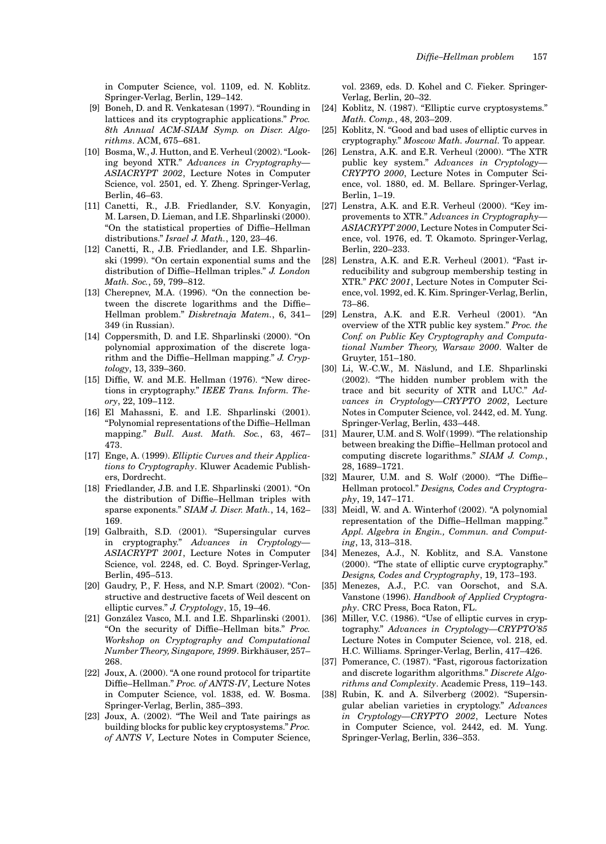in Computer Science, vol. 1109, ed. N. Koblitz. Springer-Verlag, Berlin, 129–142.

- [9] Boneh, D. and R. Venkatesan (1997). "Rounding in lattices and its cryptographic applications." *Proc. 8th Annual ACM-SIAM Symp. on Discr. Algorithms*. ACM, 675–681.
- [10] Bosma, W., J. Hutton, and E. Verheul (2002). "Looking beyond XTR." *Advances in Cryptography— ASIACRYPT 2002*, Lecture Notes in Computer Science, vol. 2501, ed. Y. Zheng. Springer-Verlag, Berlin, 46–63.
- [11] Canetti, R., J.B. Friedlander, S.V. Konyagin, M. Larsen, D. Lieman, and I.E. Shparlinski (2000). "On the statistical properties of Diffie–Hellman distributions." *Israel J. Math.*, 120, 23–46.
- [12] Canetti, R., J.B. Friedlander, and I.E. Shparlinski (1999). "On certain exponential sums and the distribution of Diffie–Hellman triples." *J. London Math. Soc.*, 59, 799–812.
- [13] Cherepnev, M.A. (1996). "On the connection between the discrete logarithms and the Diffie– Hellman problem." *Diskretnaja Matem.*, 6, 341– 349 (in Russian).
- [14] Coppersmith, D. and I.E. Shparlinski (2000). "On polynomial approximation of the discrete logarithm and the Diffie–Hellman mapping." *J. Cryptology*, 13, 339–360.
- [15] Diffie, W. and M.E. Hellman (1976). "New directions in cryptography." *IEEE Trans. Inform. Theory*, 22, 109–112.
- [16] El Mahassni, E. and I.E. Shparlinski (2001). "Polynomial representations of the Diffie–Hellman mapping." *Bull. Aust. Math. Soc.*, 63, 467– 473.
- [17] Enge, A. (1999). *Elliptic Curves and their Applications to Cryptography*. Kluwer Academic Publishers, Dordrecht.
- [18] Friedlander, J.B. and I.E. Shparlinski (2001). "On the distribution of Diffie–Hellman triples with sparse exponents." *SIAM J. Discr. Math.*, 14, 162– 169.
- [19] Galbraith, S.D. (2001). "Supersingular curves in cryptography." *Advances in Cryptology— ASIACRYPT 2001*, Lecture Notes in Computer Science, vol. 2248, ed. C. Boyd. Springer-Verlag, Berlin, 495–513.
- [20] Gaudry, P., F. Hess, and N.P. Smart (2002). "Constructive and destructive facets of Weil descent on elliptic curves." *J. Cryptology*, 15, 19–46.
- [21] González Vasco, M.I. and I.E. Shparlinski (2001). "On the security of Diffie–Hellman bits." *Proc. Workshop on Cryptography and Computational Number Theory, Singapore, 1999*. Birkhauser, 257– ¨ 268.
- [22] Joux, A. (2000). "A one round protocol for tripartite Diffie–Hellman." *Proc. of ANTS-IV*, Lecture Notes in Computer Science, vol. 1838, ed. W. Bosma. Springer-Verlag, Berlin, 385–393.
- [23] Joux, A. (2002). "The Weil and Tate pairings as building blocks for public key cryptosystems." *Proc. of ANTS V*, Lecture Notes in Computer Science,

vol. 2369, eds. D. Kohel and C. Fieker. Springer-Verlag, Berlin, 20–32.

- [24] Koblitz, N. (1987). "Elliptic curve cryptosystems." *Math. Comp.*, 48, 203–209.
- [25] Koblitz, N. "Good and bad uses of elliptic curves in cryptography." *Moscow Math. Journal.* To appear.
- [26] Lenstra, A.K. and E.R. Verheul (2000). "The XTR public key system." *Advances in Cryptology— CRYPTO 2000*, Lecture Notes in Computer Science, vol. 1880, ed. M. Bellare. Springer-Verlag, Berlin, 1–19.
- [27] Lenstra, A.K. and E.R. Verheul (2000). "Key improvements to XTR." *Advances in Cryptography— ASIACRYPT 2000*, Lecture Notes in Computer Science, vol. 1976, ed. T. Okamoto. Springer-Verlag, Berlin, 220–233.
- [28] Lenstra, A.K. and E.R. Verheul (2001). "Fast irreducibility and subgroup membership testing in XTR." *PKC 2001*, Lecture Notes in Computer Science, vol. 1992, ed. K. Kim. Springer-Verlag, Berlin, 73–86.
- [29] Lenstra, A.K. and E.R. Verheul (2001). "An overview of the XTR public key system." *Proc. the Conf. on Public Key Cryptography and Computational Number Theory, Warsaw 2000*. Walter de Gruyter, 151–180.
- [30] Li, W.-C.W., M. Näslund, and I.E. Shparlinski (2002). "The hidden number problem with the trace and bit security of XTR and LUC." *Advances in Cryptology—CRYPTO 2002*, Lecture Notes in Computer Science, vol. 2442, ed. M. Yung. Springer-Verlag, Berlin, 433–448.
- [31] Maurer, U.M. and S. Wolf (1999). "The relationship between breaking the Diffie–Hellman protocol and computing discrete logarithms." *SIAM J. Comp.*, 28, 1689–1721.
- [32] Maurer, U.M. and S. Wolf (2000). "The Diffie– Hellman protocol." *Designs, Codes and Cryptography*, 19, 147–171.
- [33] Meidl, W. and A. Winterhof (2002). "A polynomial representation of the Diffie–Hellman mapping." *Appl. Algebra in Engin., Commun. and Computing*, 13, 313–318.
- [34] Menezes, A.J., N. Koblitz, and S.A. Vanstone (2000). "The state of elliptic curve cryptography." *Designs, Codes and Cryptography*, 19, 173–193.
- [35] Menezes, A.J., P.C. van Oorschot, and S.A. Vanstone (1996). *Handbook of Applied Cryptography*. CRC Press, Boca Raton, FL.
- [36] Miller, V.C. (1986). "Use of elliptic curves in cryptography." *Advances in Cryptology—CRYPTO'85* Lecture Notes in Computer Science, vol. 218, ed. H.C. Williams. Springer-Verlag, Berlin, 417–426.
- [37] Pomerance, C. (1987). "Fast, rigorous factorization and discrete logarithm algorithms." *Discrete Algorithms and Complexity*. Academic Press, 119–143.
- [38] Rubin, K. and A. Silverberg (2002). "Supersingular abelian varieties in cryptology." *Advances in Cryptology—CRYPTO 2002*, Lecture Notes in Computer Science, vol. 2442, ed. M. Yung. Springer-Verlag, Berlin, 336–353.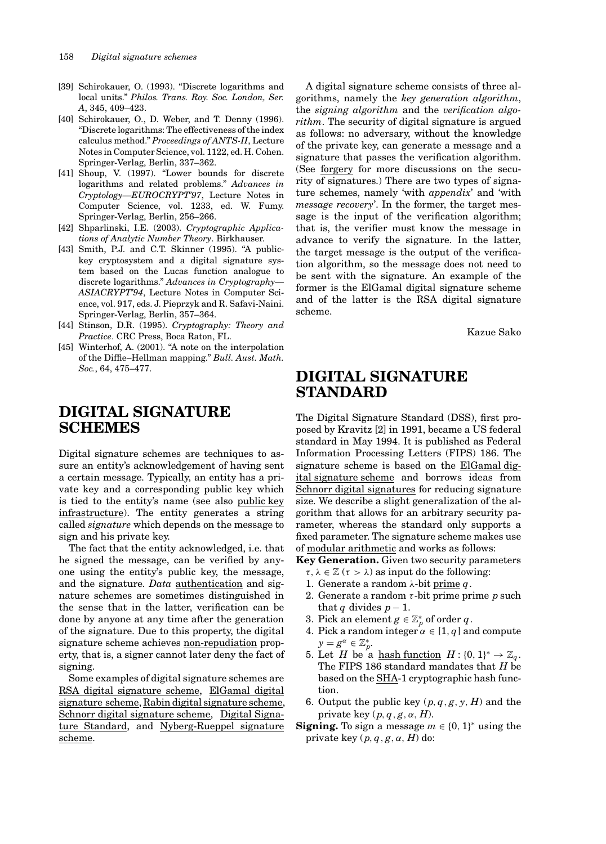- [39] Schirokauer, O. (1993). "Discrete logarithms and local units." *Philos. Trans. Roy. Soc. London, Ser. A*, 345, 409–423.
- [40] Schirokauer, O., D. Weber, and T. Denny (1996). "Discrete logarithms: The effectiveness of the index calculus method." *Proceedings of ANTS-II*, Lecture Notes in Computer Science, vol. 1122, ed. H. Cohen. Springer-Verlag, Berlin, 337–362.
- [41] Shoup, V. (1997). "Lower bounds for discrete logarithms and related problems." *Advances in Cryptology—EUROCRYPT'97*, Lecture Notes in Computer Science, vol. 1233, ed. W. Fumy. Springer-Verlag, Berlin, 256–266.
- [42] Shparlinski, I.E. (2003). *Cryptographic Applications of Analytic Number Theory*. Birkhauser.
- [43] Smith, P.J. and C.T. Skinner (1995). "A publickey cryptosystem and a digital signature system based on the Lucas function analogue to discrete logarithms." *Advances in Cryptography— ASIACRYPT'94*, Lecture Notes in Computer Science, vol. 917, eds. J. Pieprzyk and R. Safavi-Naini. Springer-Verlag, Berlin, 357–364.
- [44] Stinson, D.R. (1995). *Cryptography: Theory and Practice*. CRC Press, Boca Raton, FL.
- [45] Winterhof, A. (2001). "A note on the interpolation of the Diffie–Hellman mapping." *Bull. Aust. Math. Soc.*, 64, 475–477.

# **DIGITAL SIGNATURE SCHEMES**

Digital signature schemes are techniques to assure an entity's acknowledgement of having sent a certain message. Typically, an entity has a private key and a corresponding public key which is tied to the entity's name (see also public key infrastructure). The entity generates a string called *signature* which depends on the message to sign and his private key.

The fact that the entity acknowledged, i.e. that he signed the message, can be verified by anyone using the entity's public key, the message, and the signature. *Data* authentication and signature schemes are sometimes distinguished in the sense that in the latter, verification can be done by anyone at any time after the generation of the signature. Due to this property, the digital signature scheme achieves non-repudiation property, that is, a signer cannot later deny the fact of signing.

Some examples of digital signature schemes are RSA digital signature scheme, ElGamal digital signature scheme, Rabin digital signature scheme, Schnorr digital signature scheme, Digital Signature Standard, and Nyberg-Rueppel signature scheme.

A digital signature scheme consists of three algorithms, namely the *key generation algorithm*, the *signing algorithm* and the *verification algorithm*. The security of digital signature is argued as follows: no adversary, without the knowledge of the private key, can generate a message and a signature that passes the verification algorithm. (See forgery for more discussions on the security of signatures.) There are two types of signature schemes, namely 'with *appendix*' and 'with *message recovery*'. In the former, the target message is the input of the verification algorithm; that is, the verifier must know the message in advance to verify the signature. In the latter, the target message is the output of the verification algorithm, so the message does not need to be sent with the signature. An example of the former is the ElGamal digital signature scheme and of the latter is the RSA digital signature scheme.

Kazue Sako

# **DIGITAL SIGNATURE STANDARD**

The Digital Signature Standard (DSS), first proposed by Kravitz [2] in 1991, became a US federal standard in May 1994. It is published as Federal Information Processing Letters (FIPS) 186. The signature scheme is based on the ElGamal digital signature scheme and borrows ideas from Schnorr digital signatures for reducing signature size. We describe a slight generalization of the algorithm that allows for an arbitrary security parameter, whereas the standard only supports a fixed parameter. The signature scheme makes use of modular arithmetic and works as follows:

**Key Generation.** Given two security parameters

- $\tau, \lambda \in \mathbb{Z}$  ( $\tau > \lambda$ ) as input do the following:
- 1. Generate a random λ-bit prime *q*.
- 2. Generate a random τ -bit prime prime *p* such that *q* divides  $p-1$ .
- 3. Pick an element  $g \in \mathbb{Z}_p^*$  of order  $q$ .
- 4. Pick a random integer  $\alpha \in [1, q]$  and compute  $y = g^{\alpha} \in \mathbb{Z}_p^*$ .
- 5. Let *H* be a <u>hash function</u>  $H: \{0, 1\}^* \to \mathbb{Z}_q$ . The FIPS 186 standard mandates that *H* be based on the SHA-1 cryptographic hash function.
- 6. Output the public key  $(p, q, g, y, H)$  and the private key  $(p, q, g, \alpha, H)$ .
- **Signing.** To sign a message  $m \in \{0, 1\}^*$  using the private key  $(p, q, g, \alpha, H)$  do: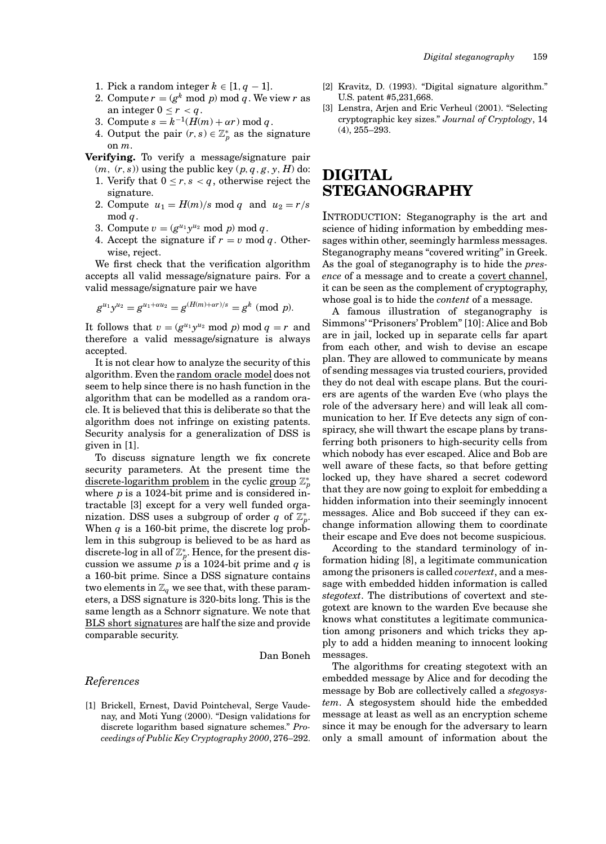- 1. Pick a random integer  $k \in [1, q-1]$ .
- 2. Compute  $r = (g^k \mod p) \mod q$ . We view *r* as an integer  $0 \leq r < q$ .
- 3. Compute  $s = k^{-1}(H(m) + \alpha r) \text{ mod } q$ .
- 4. Output the pair  $(r, s) \in \mathbb{Z}_p^*$  as the signature on *m*.
- **Verifying.** To verify a message/signature pair  $(m, (r, s))$  using the public key  $(p, q, g, \gamma, H)$  do:
	- 1. Verify that  $0 \le r, s < q$ , otherwise reject the signature.
	- 2. Compute  $u_1 = H(m)/s \text{ mod } q$  and  $u_2 = r/s$ mod *q*.
	- 3. Compute  $v = (g^{u_1}y^{u_2} \text{ mod } p) \text{ mod } q$ .
	- 4. Accept the signature if  $r = v \mod q$ . Otherwise, reject.

We first check that the verification algorithm accepts all valid message/signature pairs. For a valid message/signature pair we have

$$
g^{u_1}y^{u_2} = g^{u_1 + \alpha u_2} = g^{(H(m) + \alpha r)/s} = g^k \pmod{p}.
$$

It follows that  $v = (g^{u_1}y^{u_2} \bmod p) \bmod q = r$  and therefore a valid message/signature is always accepted.

It is not clear how to analyze the security of this algorithm. Even the random oracle model does not seem to help since there is no hash function in the algorithm that can be modelled as a random oracle. It is believed that this is deliberate so that the algorithm does not infringe on existing patents. Security analysis for a generalization of DSS is given in [1].

To discuss signature length we fix concrete security parameters. At the present time the  $\frac{d \text{iscrete-logarithm problem}}{p}$  in the cyclic group  $\mathbb{Z}_p^*$ where *p* is a 1024-bit prime and is considered intractable [3] except for a very well funded organization. DSS uses a subgroup of order  $q$  of  $\mathbb{Z}_p^*$ . When *q* is a 160-bit prime, the discrete log problem in this subgroup is believed to be as hard as discrete-log in all of  $\mathbb{Z}_p^*$ . Hence, for the present discussion we assume *p* is a 1024-bit prime and *q* is a 160-bit prime. Since a DSS signature contains two elements in  $\mathbb{Z}_q$  we see that, with these parameters, a DSS signature is 320-bits long. This is the same length as a Schnorr signature. We note that BLS short signatures are half the size and provide comparable security.

#### Dan Boneh

#### *References*

[1] Brickell, Ernest, David Pointcheval, Serge Vaudenay, and Moti Yung (2000). "Design validations for discrete logarithm based signature schemes." *Proceedings of Public Key Cryptography 2000*, 276–292.

- [2] Kravitz, D. (1993). "Digital signature algorithm." U.S. patent #5,231,668.
- [3] Lenstra, Arjen and Eric Verheul (2001). "Selecting cryptographic key sizes." *Journal of Cryptology*, 14 (4), 255–293.

# **DIGITAL STEGANOGRAPHY**

INTRODUCTION: Steganography is the art and science of hiding information by embedding messages within other, seemingly harmless messages. Steganography means "covered writing" in Greek. As the goal of steganography is to hide the *presence* of a message and to create a covert channel, it can be seen as the complement of cryptography, whose goal is to hide the *content* of a message.

A famous illustration of steganography is Simmons' "Prisoners' Problem" [10]: Alice and Bob are in jail, locked up in separate cells far apart from each other, and wish to devise an escape plan. They are allowed to communicate by means of sending messages via trusted couriers, provided they do not deal with escape plans. But the couriers are agents of the warden Eve (who plays the role of the adversary here) and will leak all communication to her. If Eve detects any sign of conspiracy, she will thwart the escape plans by transferring both prisoners to high-security cells from which nobody has ever escaped. Alice and Bob are well aware of these facts, so that before getting locked up, they have shared a secret codeword that they are now going to exploit for embedding a hidden information into their seemingly innocent messages. Alice and Bob succeed if they can exchange information allowing them to coordinate their escape and Eve does not become suspicious.

According to the standard terminology of information hiding [8], a legitimate communication among the prisoners is called *covertext*, and a message with embedded hidden information is called *stegotext*. The distributions of covertext and stegotext are known to the warden Eve because she knows what constitutes a legitimate communication among prisoners and which tricks they apply to add a hidden meaning to innocent looking messages.

The algorithms for creating stegotext with an embedded message by Alice and for decoding the message by Bob are collectively called a *stegosystem*. A stegosystem should hide the embedded message at least as well as an encryption scheme since it may be enough for the adversary to learn only a small amount of information about the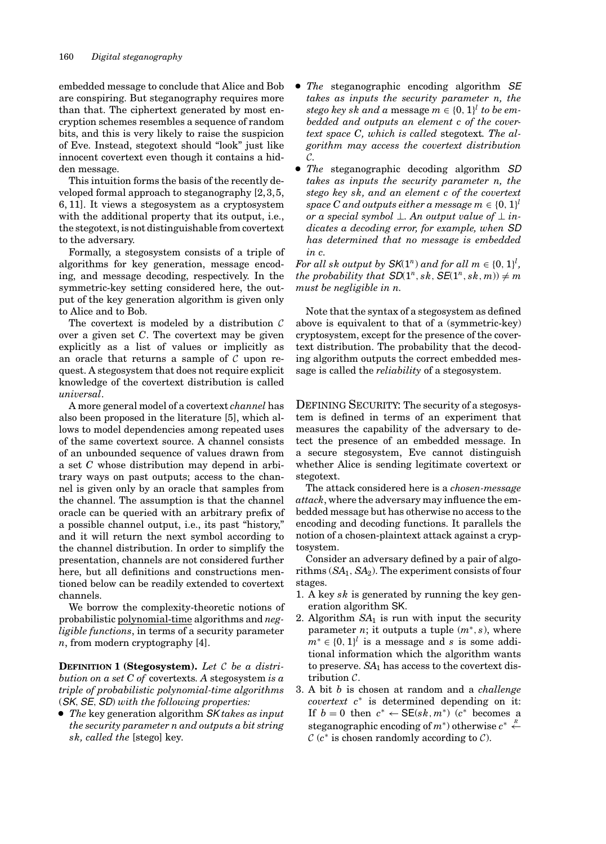embedded message to conclude that Alice and Bob are conspiring. But steganography requires more than that. The ciphertext generated by most encryption schemes resembles a sequence of random bits, and this is very likely to raise the suspicion of Eve. Instead, stegotext should "look" just like innocent covertext even though it contains a hidden message.

This intuition forms the basis of the recently developed formal approach to steganography [2,3,5, 6, 11]. It views a stegosystem as a cryptosystem with the additional property that its output, i.e., the stegotext, is not distinguishable from covertext to the adversary.

Formally, a stegosystem consists of a triple of algorithms for key generation, message encoding, and message decoding, respectively. In the symmetric-key setting considered here, the output of the key generation algorithm is given only to Alice and to Bob.

The covertext is modeled by a distribution  $\mathcal C$ over a given set *C*. The covertext may be given explicitly as a list of values or implicitly as an oracle that returns a sample of  $\mathcal C$  upon request. A stegosystem that does not require explicit knowledge of the covertext distribution is called *universal*.

A more general model of a covertext *channel* has also been proposed in the literature [5], which allows to model dependencies among repeated uses of the same covertext source. A channel consists of an unbounded sequence of values drawn from a set *C* whose distribution may depend in arbitrary ways on past outputs; access to the channel is given only by an oracle that samples from the channel. The assumption is that the channel oracle can be queried with an arbitrary prefix of a possible channel output, i.e., its past "history," and it will return the next symbol according to the channel distribution. In order to simplify the presentation, channels are not considered further here, but all definitions and constructions mentioned below can be readily extended to covertext channels.

We borrow the complexity-theoretic notions of probabilistic polynomial-time algorithms and *negligible functions*, in terms of a security parameter *n*, from modern cryptography [4].

**DEFINITION 1 (Stegosystem).** *Let* C *be a distribution on a set C of* covertexts*. A* stegosystem *is a triple of probabilistic polynomial-time algorithms* (*SK*,*SE*,*SD*) *with the following properties:*

 *The* key generation algorithm *SK takes as input the security parameter n and outputs a bit string sk, called the* [stego] key*.*

- *The* steganographic encoding algorithm *SE takes as inputs the security parameter n, the* stego key sk and a message  $m \in \{0,1\}^l$  to be em*bedded and outputs an element c of the covertext space C, which is called* stegotext*. The algorithm may access the covertext distribution* <sup>C</sup>*. The* steganographic decoding algorithm *SD*
- *takes as inputs the security parameter n, the stego key sk, and an element c of the covertext*  $space \ C \ and \ outputs \ either \ a \ message \ m \in \{0,1\}^l$ *or a special symbol*  $\bot$ *. An output value of*  $\bot$  *indicates a decoding error, for example, when SD has determined that no message is embedded in c.*

*For all sk output by*  $SK(1^n)$  *and for all m*  $\in$   $\{0, 1\}^l$ *, the probability that*  $SD(1^n, sk, SE(1^n, sk, m)) \neq m$ *must be negligible in n.*

Note that the syntax of a stegosystem as defined above is equivalent to that of a (symmetric-key) cryptosystem, except for the presence of the covertext distribution. The probability that the decoding algorithm outputs the correct embedded message is called the *reliability* of a stegosystem.

DEFINING SECURITY: The security of a stegosystem is defined in terms of an experiment that measures the capability of the adversary to detect the presence of an embedded message. In a secure stegosystem, Eve cannot distinguish whether Alice is sending legitimate covertext or stegotext.

The attack considered here is a *chosen-message attack*, where the adversary may influence the embedded message but has otherwise no access to the encoding and decoding functions. It parallels the notion of a chosen-plaintext attack against a cryptosystem.

Consider an adversary defined by a pair of algorithms (*SA*1, *SA*2). The experiment consists of four stages.

- 1. A key *sk* is generated by running the key generation algorithm SK.
- 2. Algorithm  $SA<sub>1</sub>$  is run with input the security parameter *n*; it outputs a tuple  $(m^*, s)$ , where  $m^* \in \{0, 1\}^l$  is a message and *s* is some additional information which the algorithm wants to preserve. *SA*<sup>1</sup> has access to the covertext distribution C.
- 3. A bit *b* is chosen at random and a *challenge covertext c*<sup>∗</sup> is determined depending on it: If  $b = 0$  then  $c^* \leftarrow \mathsf{SE}(sk, m^*)$  ( $c^*$  becomes a  $\mathbf{e}^*\in\mathbb{R}^n$  steganographic encoding of  $m^*$  ) otherwise  $c^*\overset{\mathbb{R}}{\leftarrow}$  $\mathcal{C}(c^*$  is chosen randomly according to  $\mathcal{C}$ ).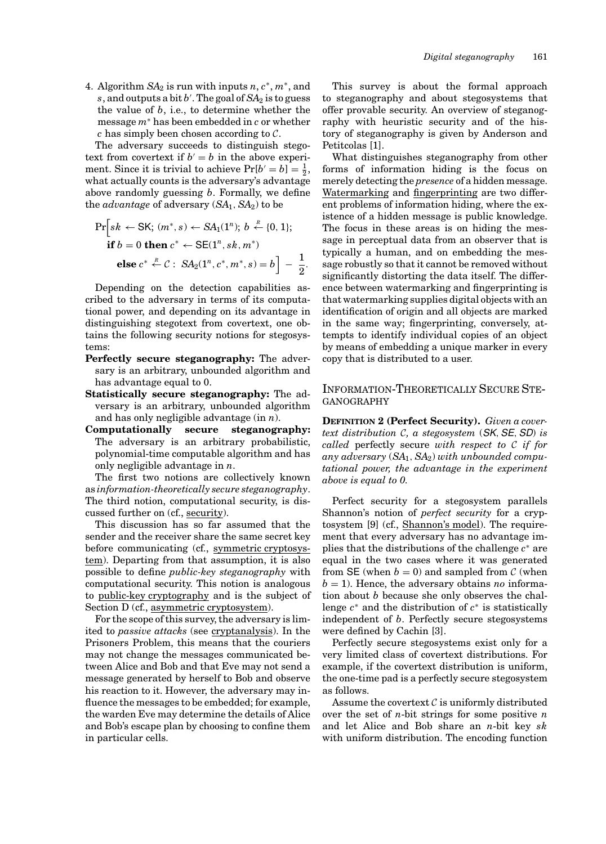4. Algorithm  $SA<sub>2</sub>$  is run with inputs *n*,  $c<sup>*</sup>$ ,  $m<sup>*</sup>$ , and  $s$ , and outputs a bit  $b'$ . The goal of  $SA_2$  is to guess the value of *b*, i.e., to determine whether the message *m*<sup>∗</sup> has been embedded in *c* or whether *c* has simply been chosen according to C.

The adversary succeeds to distinguish stegotext from covertext if  $b' = b$  in the above experiment. Since it is trivial to achieve  $Pr[b' = b] = \frac{1}{2}$ , what actually counts is the adversary's advantage above randomly guessing *b*. Formally, we define the *advantage* of adversary  $(SA_1, SA_2)$  to be

$$
\Pr[sk \leftarrow SK; (m^*, s) \leftarrow SA_1(1^n); b \stackrel{R}{\leftarrow} \{0, 1\};\n\text{if } b = 0 \text{ then } c^* \leftarrow SE(1^n, sk, m^*)\n\text{else } c^* \stackrel{R}{\leftarrow} C: SA_2(1^n, c^*, m^*, s) = b\right] - \frac{1}{2}.
$$

Depending on the detection capabilities ascribed to the adversary in terms of its computational power, and depending on its advantage in distinguishing stegotext from covertext, one obtains the following security notions for stegosystems:

- **Perfectly secure steganography:** The adversary is an arbitrary, unbounded algorithm and has advantage equal to 0.
- **Statistically secure steganography:** The adversary is an arbitrary, unbounded algorithm and has only negligible advantage (in *n*).
- **Computationally secure steganography:** The adversary is an arbitrary probabilistic, polynomial-time computable algorithm and has only negligible advantage in *n*.

The first two notions are collectively known as *information-theoretically secure steganography*. The third notion, computational security, is discussed further on (cf., security).

This discussion has so far assumed that the sender and the receiver share the same secret key before communicating (cf., symmetric cryptosystem). Departing from that assumption, it is also possible to define *public-key steganography* with computational security. This notion is analogous to public-key cryptography and is the subject of Section D (cf., asymmetric cryptosystem).

For the scope of this survey, the adversary is limited to *passive attacks* (see cryptanalysis). In the Prisoners Problem, this means that the couriers may not change the messages communicated between Alice and Bob and that Eve may not send a message generated by herself to Bob and observe his reaction to it. However, the adversary may influence the messages to be embedded; for example, the warden Eve may determine the details of Alice and Bob's escape plan by choosing to confine them in particular cells.

This survey is about the formal approach to steganography and about stegosystems that offer provable security. An overview of steganography with heuristic security and of the history of steganography is given by Anderson and Petitcolas [1].

What distinguishes steganography from other forms of information hiding is the focus on merely detecting the *presence* of a hidden message. Watermarking and fingerprinting are two different problems of information hiding, where the existence of a hidden message is public knowledge. The focus in these areas is on hiding the message in perceptual data from an observer that is typically a human, and on embedding the message robustly so that it cannot be removed without significantly distorting the data itself. The difference between watermarking and fingerprinting is that watermarking supplies digital objects with an identification of origin and all objects are marked in the same way; fingerprinting, conversely, attempts to identify individual copies of an object by means of embedding a unique marker in every copy that is distributed to a user.

## INFORMATION-THEORETICALLY SECURE STE-GANOGRAPHY

**DEFINITION 2 (Perfect Security).** *Given a covertext distribution* C*, a stegosystem* (*SK*,*SE*,*SD*) *is called* perfectly secure *with respect to* C *if for any adversary* (*SA*1, *SA*2) *with unbounded computational power, the advantage in the experiment above is equal to 0.*

Perfect security for a stegosystem parallels Shannon's notion of *perfect security* for a cryptosystem [9] (cf., Shannon's model). The requirement that every adversary has no advantage implies that the distributions of the challenge *c*<sup>∗</sup> are equal in the two cases where it was generated from SE (when  $b = 0$ ) and sampled from  $C$  (when  $b = 1$ ). Hence, the adversary obtains *no* information about *b* because she only observes the challenge *c*<sup>∗</sup> and the distribution of *c*<sup>∗</sup> is statistically independent of *b*. Perfectly secure stegosystems were defined by Cachin [3].

Perfectly secure stegosystems exist only for a very limited class of covertext distributions. For example, if the covertext distribution is uniform, the one-time pad is a perfectly secure stegosystem as follows.

Assume the covertext  $\mathcal C$  is uniformly distributed over the set of *n*-bit strings for some positive *n* and let Alice and Bob share an *n*-bit key *sk* with uniform distribution. The encoding function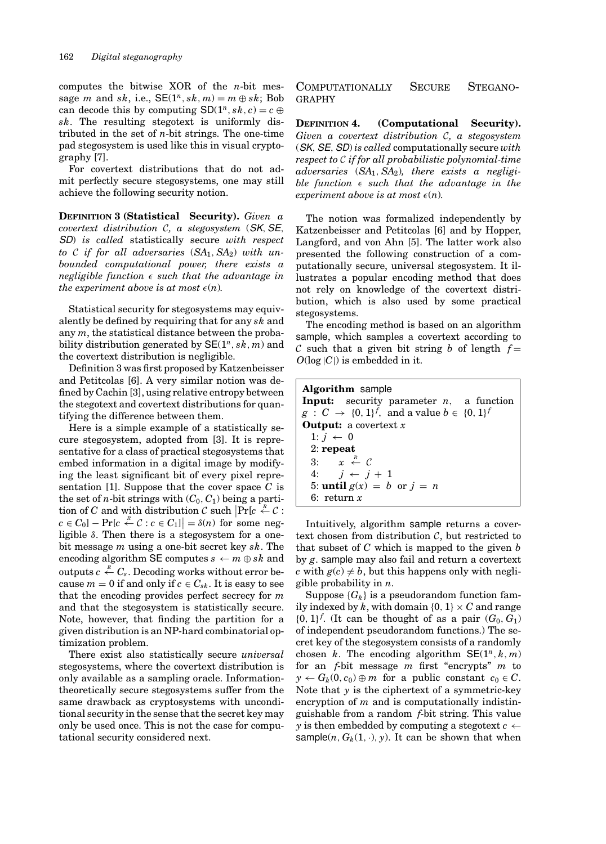computes the bitwise XOR of the *n*-bit message *m* and *sk*, i.e.,  $SE(1^n, sk, m) = m \oplus sk$ ; Bob can decode this by computing  $SD(1^n, sk, c) = c \oplus$ *sk*. The resulting stegotext is uniformly distributed in the set of *n*-bit strings. The one-time pad stegosystem is used like this in visual cryptography [7].

For covertext distributions that do not admit perfectly secure stegosystems, one may still achieve the following security notion.

**DEFINITION 3 (Statistical Security).** *Given a covertext distribution* C*, a stegosystem* (*SK*,*SE*, *SD*) *is called* statistically secure *with respect* to C if for all adversaries  $(SA_1, SA_2)$  with un*bounded computational power, there exists a negligible function*  $\epsilon$  *such that the advantage in the experiment above is at most*  $\epsilon(n)$ *.* 

Statistical security for stegosystems may equivalently be defined by requiring that for any *sk* and any *m*, the statistical distance between the probability distribution generated by  $\mathsf{SE}(1^n, sk, m)$  and the covertext distribution is negligible.

Definition 3 was first proposed by Katzenbeisser and Petitcolas [6]. A very similar notion was defined by Cachin [3], using relative entropy between the stegotext and covertext distributions for quantifying the difference between them.

Here is a simple example of a statistically secure stegosystem, adopted from [3]. It is representative for a class of practical stegosystems that embed information in a digital image by modifying the least significant bit of every pixel representation [1]. Suppose that the cover space *C* is the set of *n*-bit strings with  $(C_0, C_1)$  being a partition of *C* and with distribution *C* such  $|\Pr[c \stackrel{k}{\leftarrow} C : c \cdot C]$  $c \in C_0$ ] – Pr[ $c \stackrel{R}{\leftarrow} C$  :  $c \in C_1$ ] =  $\delta(n)$  for some negligible  $\delta$ . Then there is a stegosystem for a onebit message *m* using a one-bit secret key *sk*. The encoding algorithm SE computes  $s \leftarrow m \oplus sk$  and  $\text{outputs } c \stackrel{\text{{\tiny $R$}}}{\leftarrow} C_s.$  Decoding works without error because  $m = 0$  if and only if  $c \in C_{sk}$ . It is easy to see that the encoding provides perfect secrecy for *m* and that the stegosystem is statistically secure. Note, however, that finding the partition for a given distribution is an NP-hard combinatorial optimization problem.

There exist also statistically secure *universal* stegosystems, where the covertext distribution is only available as a sampling oracle. Informationtheoretically secure stegosystems suffer from the same drawback as cryptosystems with unconditional security in the sense that the secret key may only be used once. This is not the case for computational security considered next.

COMPUTATIONALLY SECURE STEGANO- GRAPHY

**DEFINITION 4. (Computational Security).** *Given a covertext distribution* C*, a stegosystem* (*SK*,*SE*,*SD*) *is called* computationally secure *with respect to* C *if for all probabilistic polynomial-time adversaries* (*SA*1, *SA*2)*, there exists a negligible function*  $\epsilon$  *such that the advantage in the experiment above is at most*  $\epsilon(n)$ *.* 

The notion was formalized independently by Katzenbeisser and Petitcolas [6] and by Hopper, Langford, and von Ahn [5]. The latter work also presented the following construction of a computationally secure, universal stegosystem. It illustrates a popular encoding method that does not rely on knowledge of the covertext distribution, which is also used by some practical stegosystems.

The encoding method is based on an algorithm sample, which samples a covertext according to C such that a given bit string b of length  $f =$  $O(\log |C|)$  is embedded in it.

**Algorithm** sample **Input:** security parameter *n*, a function  $g\ :\ C\ \rightarrow\ \{0,1\}^{f},\ \ \text{and a value}\ b\in\ \{0,1\}^{f}$ **Output:** a covertext *x* 1:  $j$  ← 0 2: **repeat** 3:  $x \leftarrow C$ 4:  $j \leftarrow j + 1$ 5: **until**  $g(x) = b$  or  $j = n$ 6: return *x*

Intuitively, algorithm sample returns a covertext chosen from distribution  $\mathcal{C}$ , but restricted to that subset of *C* which is mapped to the given *b* by *g*. sample may also fail and return a covertext *c* with  $g(c) \neq b$ , but this happens only with negligible probability in *n*.

Suppose  ${G_k}$  is a pseudorandom function family indexed by k, with domain  $\{0, 1\} \times C$  and range  $\{0, 1\}^f$ . (It can be thought of as a pair  $(G_0, G_1)$ of independent pseudorandom functions.) The secret key of the stegosystem consists of a randomly chosen *k*. The encoding algorithm  $SE(1^n, k, m)$ for an *f*-bit message *m* first "encrypts" *m* to  $y \leftarrow G_k(0, c_0) \oplus m$  for a public constant  $c_0 \in C$ . Note that *y* is the ciphertext of a symmetric-key encryption of *m* and is computationally indistinguishable from a random *f*-bit string. This value *y* is then embedded by computing a stegotext  $c \leftarrow$ sample( $n$ ,  $G_k(1, \cdot)$ ,  $y$ ). It can be shown that when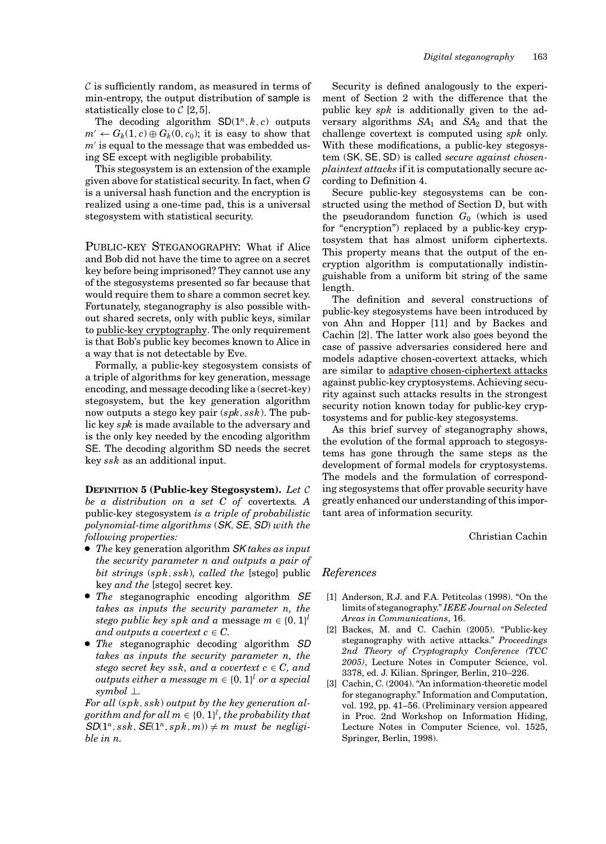$\mathcal C$  is sufficiently random, as measured in terms of min-entropy, the output distribution of sample is statistically close to  $\mathcal{C}$  [2,5].

The decoding algorithm  $SD(1^n, k, c)$  outputs  $m' \leftarrow G_k(1, c) \oplus G_k(0, c_0)$ ; it is easy to show that  $m'$  is equal to the message that was embedded using SE except with negligible probability.

This stegosystem is an extension of the example given above for statistical security. In fact, when *G* is a universal hash function and the encryption is realized using a one-time pad, this is a universal stegosystem with statistical security.

PUBLIC-KEY STEGANOGRAPHY: What if Alice and Bob did not have the time to agree on a secret key before being imprisoned? They cannot use any of the stegosystems presented so far because that would require them to share a common secret key. Fortunately, steganography is also possible without shared secrets, only with public keys, similar to public-key cryptography. The only requirement is that Bob's public key becomes known to Alice in a way that is not detectable by Eve.

Formally, a public-key stegosystem consists of a triple of algorithms for key generation, message encoding, and message decoding like a (secret-key) stegosystem, but the key generation algorithm now outputs a stego key pair (*spk*, *ssk*). The public key *spk* is made available to the adversary and is the only key needed by the encoding algorithm SE. The decoding algorithm SD needs the secret key *ssk* as an additional input.

**DEFINITION 5 (Public-key Stegosystem).** *Let* C *be a distribution on a set C of* covertexts*. A* public-key stegosystem *is a triple of probabilistic polynomial-time algorithms* (*SK*,*SE*,*SD*) *with the following properties:*

- *The* key generation algorithm *SK takes as input the security parameter n and outputs a pair of bit strings* (*spk*, *ssk*)*, called the* [stego] public key *and the* [stego] secret key*. The* steganographic encoding algorithm *SE*
- *takes as inputs the security parameter n, the*  $\emph{stepo public key sph and a message} \emph{m} \in \{0,1\}^l$ *and outputs a covertext*  $c \in C$ .
- *The* steganographic decoding algorithm *SD takes as inputs the security parameter n, the stego secret key ssk, and a covertext*  $c \in C$ *, and*  $outputs\ either\ a\ message\ m\in\{0,1\}^{l}\ or\ a\ special$ *symbol* ⊥*.*

*For all* (*spk*, *ssk*) *output by the key generation al*gorithm and for all  $m \in \{0,1\}^l$  , the probability that  $SD(1^n, ssk, SE(1^n, sph, m)) \neq m$  must be negligi*ble in n.*

Security is defined analogously to the experiment of Section 2 with the difference that the public key *spk* is additionally given to the adversary algorithms *SA*<sup>1</sup> and *SA*<sup>2</sup> and that the challenge covertext is computed using *spk* only. With these modifications, a public-key stegosystem (SK,SE,SD) is called *secure against chosenplaintext attacks* if it is computationally secure according to Definition 4.

Secure public-key stegosystems can be constructed using the method of Section D, but with the pseudorandom function  $G_0$  (which is used for "encryption") replaced by a public-key cryptosystem that has almost uniform ciphertexts. This property means that the output of the encryption algorithm is computationally indistinguishable from a uniform bit string of the same length.

The definition and several constructions of public-key stegosystems have been introduced by von Ahn and Hopper [11] and by Backes and Cachin [2]. The latter work also goes beyond the case of passive adversaries considered here and models adaptive chosen-covertext attacks, which are similar to adaptive chosen-ciphertext attacks against public-key cryptosystems. Achieving security against such attacks results in the strongest security notion known today for public-key cryptosystems and for public-key stegosystems.

As this brief survey of steganography shows, the evolution of the formal approach to stegosystems has gone through the same steps as the development of formal models for cryptosystems. The models and the formulation of corresponding stegosystems that offer provable security have greatly enhanced our understanding of this important area of information security.

Christian Cachin

- [1] Anderson, R.J. and F.A. Petitcolas (1998). "On the limits of steganography." *IEEE Journal on Selected Areas in Communications*, 16.
- [2] Backes, M. and C. Cachin (2005). "Public-key steganography with active attacks." *Proceedings 2nd Theory of Cryptography Conference (TCC 2005)*, Lecture Notes in Computer Science, vol. 3378, ed. J. Kilian. Springer, Berlin, 210–226.
- [3] Cachin, C. (2004). "An information-theoretic model for steganography." Information and Computation, vol. 192, pp. 41–56. (Preliminary version appeared in Proc. 2nd Workshop on Information Hiding, Lecture Notes in Computer Science, vol. 1525, Springer, Berlin, 1998).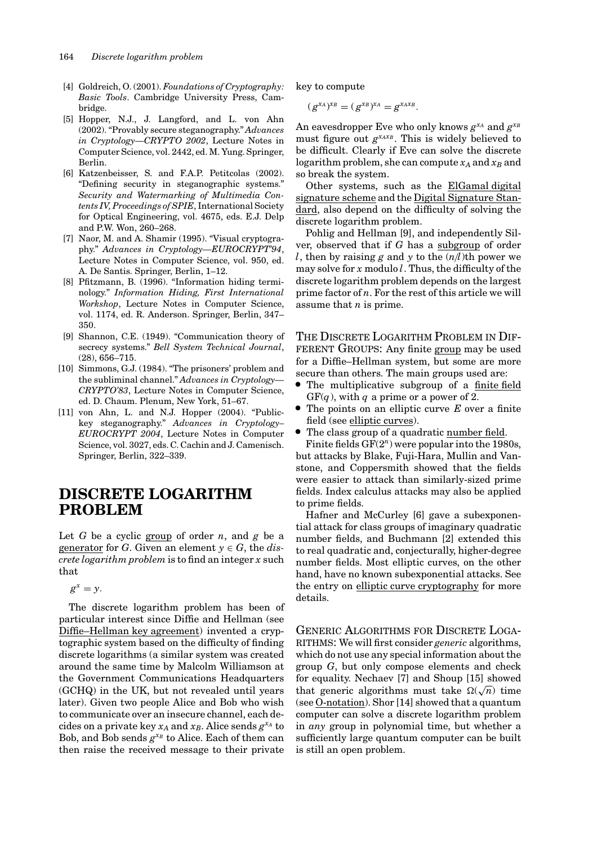- [4] Goldreich, O. (2001). *Foundations of Cryptography: Basic Tools*. Cambridge University Press, Cambridge.
- [5] Hopper, N.J., J. Langford, and L. von Ahn (2002). "Provably secure steganography." *Advances in Cryptology—CRYPTO 2002*, Lecture Notes in Computer Science, vol. 2442, ed. M. Yung. Springer, Berlin.
- [6] Katzenbeisser, S. and F.A.P. Petitcolas (2002). "Defining security in steganographic systems." *Security and Watermarking of Multimedia Contents IV, Proceedings of SPIE*, International Society for Optical Engineering, vol. 4675, eds. E.J. Delp and P.W. Won, 260–268.
- [7] Naor, M. and A. Shamir (1995). "Visual cryptography." *Advances in Cryptology—EUROCRYPT'94*, Lecture Notes in Computer Science, vol. 950, ed. A. De Santis. Springer, Berlin, 1–12.
- [8] Pfitzmann, B. (1996). "Information hiding terminology." *Information Hiding, First International Workshop*, Lecture Notes in Computer Science, vol. 1174, ed. R. Anderson. Springer, Berlin, 347– 350.
- [9] Shannon, C.E. (1949). "Communication theory of secrecy systems." *Bell System Technical Journal*, (28), 656–715.
- [10] Simmons, G.J. (1984). "The prisoners' problem and the subliminal channel." *Advances in Cryptology— CRYPTO'83*, Lecture Notes in Computer Science, ed. D. Chaum. Plenum, New York, 51–67.
- [11] von Ahn, L. and N.J. Hopper (2004). "Publickey steganography." *Advances in Cryptology– EUROCRYPT 2004*, Lecture Notes in Computer Science, vol. 3027, eds. C. Cachin and J. Camenisch. Springer, Berlin, 322–339.

## **DISCRETE LOGARITHM PROBLEM**

Let *G* be a cyclic group of order *n*, and *g* be a generator for *G*. Given an element  $y \in G$ , the *discrete logarithm problem* is to find an integer *x* such that

 $g^x = y$ .

The discrete logarithm problem has been of particular interest since Diffie and Hellman (see Diffie–Hellman key agreement) invented a cryptographic system based on the difficulty of finding discrete logarithms (a similar system was created around the same time by Malcolm Williamson at the Government Communications Headquarters (GCHQ) in the UK, but not revealed until years later). Given two people Alice and Bob who wish to communicate over an insecure channel, each decides on a private key  $x_A$  and  $x_B$ . Alice sends  $g^{x_A}$  to Bob, and Bob sends  $g^{x_B}$  to Alice. Each of them can then raise the received message to their private key to compute

$$
(g^{x_A})^{x_B} = (g^{x_B})^{x_A} = g^{x_A x_B}.
$$

An eavesdropper Eve who only knows  $g^{x_A}$  and  $g^{x_B}$ must figure out  $g^{x_A x_B}$ . This is widely believed to be difficult. Clearly if Eve can solve the discrete logarithm problem, she can compute  $x_A$  and  $x_B$  and so break the system.

Other systems, such as the ElGamal digital signature scheme and the Digital Signature Standard, also depend on the difficulty of solving the discrete logarithm problem.

Pohlig and Hellman [9], and independently Silver, observed that if *G* has a subgroup of order *l*, then by raising *g* and *y* to the  $(n/l)$ th power we may solve for *x* modulo *l*. Thus, the difficulty of the discrete logarithm problem depends on the largest prime factor of *n*. For the rest of this article we will assume that *n* is prime.

THE DISCRETE LOGARITHM PROBLEM IN DIF- FERENT GROUPS: Any finite group may be used for a Diffie–Hellman system, but some are more secure than others. The main groups used are:

- The multiplicative subgroup of a finite field  $GF(q)$ , with *q* a prime or a power of 2.
- The points on an elliptic curve *<sup>E</sup>* over a finite field (see elliptic curves).
- The class group of a quadratic number field. Finite fields  $GF(2<sup>n</sup>)$  were popular into the 1980s,

but attacks by Blake, Fuji-Hara, Mullin and Vanstone, and Coppersmith showed that the fields were easier to attack than similarly-sized prime fields. Index calculus attacks may also be applied to prime fields.

Hafner and McCurley [6] gave a subexponential attack for class groups of imaginary quadratic number fields, and Buchmann [2] extended this to real quadratic and, conjecturally, higher-degree number fields. Most elliptic curves, on the other hand, have no known subexponential attacks. See the entry on elliptic curve cryptography for more details.

GENERIC ALGORITHMS FOR DISCRETE LOGA-RITHMS: We will first consider *generic* algorithms, which do not use any special information about the group *G*, but only compose elements and check for equality. Nechaev [7] and Shoup [15] showed for equality, Nechaev  $\lfloor t \rfloor$  and Shoup  $\lfloor t \rfloor$  showed<br>that generic algorithms must take  $\Omega(\sqrt{n})$  time (see O-notation). Shor [14] showed that a quantum computer can solve a discrete logarithm problem in *any* group in polynomial time, but whether a sufficiently large quantum computer can be built is still an open problem.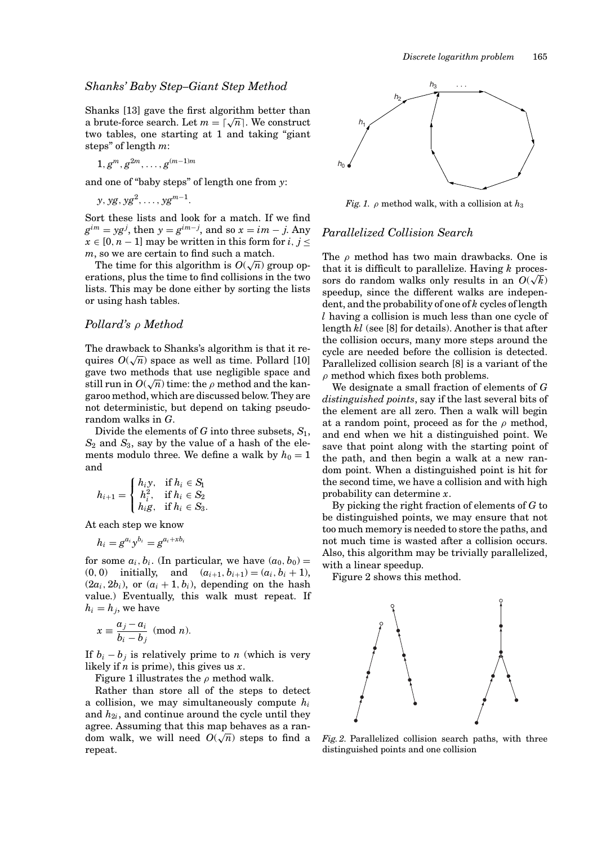#### *Shanks' Baby Step–Giant Step Method*

Shanks [13] gave the first algorithm better than a brute-force search. Let  $m = \lceil \sqrt{n} \rceil$ . We construct two tables, one starting at 1 and taking "giant steps" of length *m*:

 $1, g^m, g^{2m}, \ldots, g^{(m-1)m}$ 

and one of "baby steps" of length one from *y*:

$$
y, yg, yg^2, \ldots, yg^{m-1}.
$$

Sort these lists and look for a match. If we find  $g^{im} = yg^{j}$ , then  $y = g^{im-j}$ , and so  $x = im - j$ . Any  $x \in [0, n-1]$  may be written in this form for *i*, *j* < *m*, so we are certain to find such a match.

The time for this algorithm is  $O(\sqrt{n})$  group operations, plus the time to find collisions in the two lists. This may be done either by sorting the lists or using hash tables.

#### *Pollard's* ρ *Method*

The drawback to Shanks's algorithm is that it re-The drawback to Shahks s algorithm is that it re-<br>quires  $O(\sqrt{n})$  space as well as time. Pollard [10] gave two methods that use negligible space and gave two methods that use heging the space and still run in  $O(\sqrt{n})$  time: the  $\rho$  method and the kangaroo method, which are discussed below. They are not deterministic, but depend on taking pseudorandom walks in *G*.

Divide the elements of *G* into three subsets, *S*1, *S*<sup>2</sup> and *S*3, say by the value of a hash of the elements modulo three. We define a walk by  $h_0 = 1$ and

$$
h_{i+1} = \begin{cases} h_i y, & \text{if } h_i \in S_1 \\ h_i^2, & \text{if } h_i \in S_2 \\ h_i g, & \text{if } h_i \in S_3. \end{cases}
$$

At each step we know

$$
h_i = g^{a_i} y^{b_i} = g^{a_i + xb_i}
$$

for some  $a_i$ ,  $b_i$ . (In particular, we have  $(a_0, b_0)$  = (0, 0) initially, and  $(a_{i+1}, b_{i+1}) = (a_i, b_i + 1)$ ,  $(2a_i, 2b_i)$ , or  $(a_i + 1, b_i)$ , depending on the hash value.) Eventually, this walk must repeat. If  $h_i = h_j$ , we have

$$
x \equiv \frac{a_j - a_i}{b_i - b_j} \pmod{n}.
$$

If  $b_i - b_j$  is relatively prime to *n* (which is very likely if *n* is prime), this gives us *x*.

Figure 1 illustrates the  $\rho$  method walk.

Rather than store all of the steps to detect a collision, we may simultaneously compute *hi* and  $h_{2i}$ , and continue around the cycle until they agree. Assuming that this map behaves as a ranagree. Assuming that this map behaves as a random walk, we will need  $O(\sqrt{n})$  steps to find a repeat.



*Fig. 1.*  $\rho$  method walk, with a collision at  $h_3$ 

#### *Parallelized Collision Search*

The  $\rho$  method has two main drawbacks. One is that it is difficult to parallelize. Having *k* proces-√ sors do random walks only results in an  $O(\sqrt{k})$ speedup, since the different walks are independent, and the probability of one of *k* cycles of length *l* having a collision is much less than one cycle of length *kl* (see [8] for details). Another is that after the collision occurs, many more steps around the cycle are needed before the collision is detected. Parallelized collision search [8] is a variant of the  $\rho$  method which fixes both problems.

We designate a small fraction of elements of *G distinguished points*, say if the last several bits of the element are all zero. Then a walk will begin at a random point, proceed as for the  $\rho$  method, and end when we hit a distinguished point. We save that point along with the starting point of the path, and then begin a walk at a new random point. When a distinguished point is hit for the second time, we have a collision and with high probability can determine *x*.

By picking the right fraction of elements of *G* to be distinguished points, we may ensure that not too much memory is needed to store the paths, and not much time is wasted after a collision occurs. Also, this algorithm may be trivially parallelized, with a linear speedup.

Figure 2 shows this method.



*Fig. 2.* Parallelized collision search paths, with three distinguished points and one collision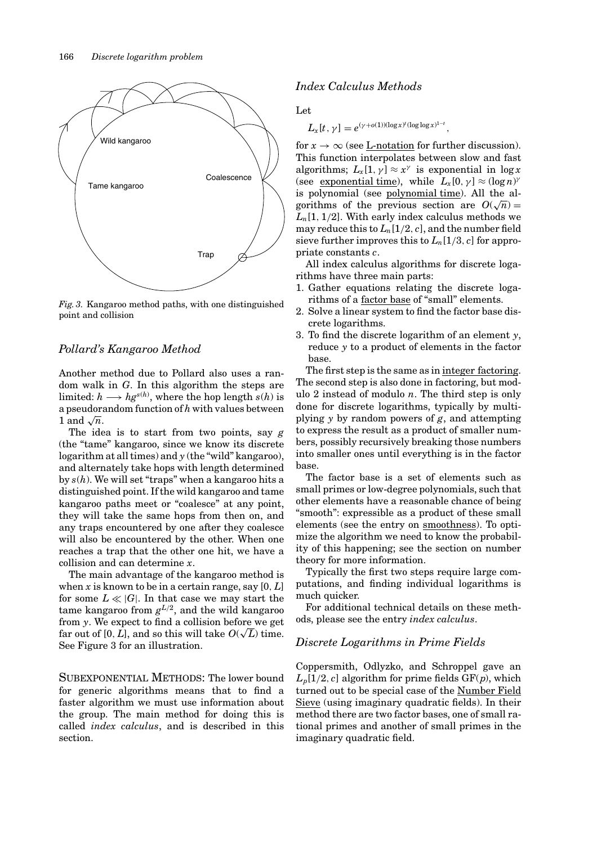

*Fig. 3.* Kangaroo method paths, with one distinguished point and collision

## *Pollard's Kangaroo Method*

Another method due to Pollard also uses a random walk in *G*. In this algorithm the steps are  $\text{limited: } h \longrightarrow hg^{s(h)}, \text{where the hop length } s(h) \text{ is }$ a pseudorandom function of *h* with values between 1 and  $\sqrt{n}$ .

The idea is to start from two points, say *g* (the "tame" kangaroo, since we know its discrete logarithm at all times) and *y* (the "wild" kangaroo), and alternately take hops with length determined by *s*(*h*). We will set "traps" when a kangaroo hits a distinguished point. If the wild kangaroo and tame kangaroo paths meet or "coalesce" at any point, they will take the same hops from then on, and any traps encountered by one after they coalesce will also be encountered by the other. When one reaches a trap that the other one hit, we have a collision and can determine *x*.

The main advantage of the kangaroo method is when x is known to be in a certain range, say  $[0, L]$ for some  $L \ll |G|$ . In that case we may start the tame kangaroo from *g<sup>L</sup>*/2, and the wild kangaroo from *y*. We expect to find a collision before we get from y. we expect to find a collision before we get<br>far out of  $[0, L]$ , and so this will take  $O(\sqrt{L})$  time. See Figure 3 for an illustration.

SUBEXPONENTIAL METHODS: The lower bound for generic algorithms means that to find a faster algorithm we must use information about the group. The main method for doing this is called *index calculus*, and is described in this section.

## *Index Calculus Methods*

Let

 $L_x[t, \gamma] = e^{(\gamma + o(1))(\log x)^t (\log \log x)^{1-t}},$ 

for  $x \to \infty$  (see L-notation for further discussion). This function interpolates between slow and fast algorithms;  $L_x[1, \gamma] \approx x^{\gamma}$  is exponential in log *x* (see <u>exponential time</u>), while  $L_x[0, \gamma] \approx (\log n)^{\gamma}$ is polynomial (see polynomial time). All the alas polynomial (see <u>polynomial time</u>). All the algorithms of the previous section are  $O(\sqrt{n}) =$  $L_n[1, 1/2]$ . With early index calculus methods we may reduce this to  $L_n[1/2, c]$ , and the number field sieve further improves this to  $L_n[1/3, c]$  for appropriate constants *c*.

All index calculus algorithms for discrete logarithms have three main parts:

- 1. Gather equations relating the discrete logarithms of a factor base of "small" elements.
- 2. Solve a linear system to find the factor base discrete logarithms.
- 3. To find the discrete logarithm of an element *y*, reduce *y* to a product of elements in the factor base.

The first step is the same as in integer factoring. The second step is also done in factoring, but modulo 2 instead of modulo *n*. The third step is only done for discrete logarithms, typically by multiplying *y* by random powers of *g*, and attempting to express the result as a product of smaller numbers, possibly recursively breaking those numbers into smaller ones until everything is in the factor base.

The factor base is a set of elements such as small primes or low-degree polynomials, such that other elements have a reasonable chance of being "smooth": expressible as a product of these small elements (see the entry on smoothness). To optimize the algorithm we need to know the probability of this happening; see the section on number theory for more information.

Typically the first two steps require large computations, and finding individual logarithms is much quicker.

For additional technical details on these methods, please see the entry *index calculus*.

#### *Discrete Logarithms in Prime Fields*

Coppersmith, Odlyzko, and Schroppel gave an  $L_p[1/2, c]$  algorithm for prime fields  $GF(p)$ , which turned out to be special case of the Number Field Sieve (using imaginary quadratic fields). In their method there are two factor bases, one of small rational primes and another of small primes in the imaginary quadratic field.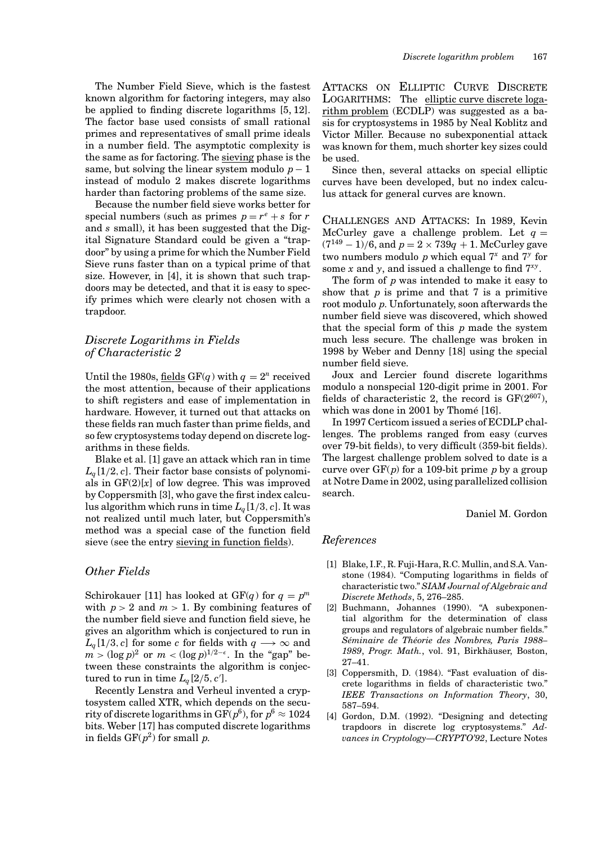The Number Field Sieve, which is the fastest known algorithm for factoring integers, may also be applied to finding discrete logarithms [5, 12]. The factor base used consists of small rational primes and representatives of small prime ideals in a number field. The asymptotic complexity is the same as for factoring. The sieving phase is the same, but solving the linear system modulo  $p-1$ instead of modulo 2 makes discrete logarithms harder than factoring problems of the same size.

Because the number field sieve works better for special numbers (such as primes  $p = r^e + s$  for *r* and *s* small), it has been suggested that the Digital Signature Standard could be given a "trapdoor" by using a prime for which the Number Field Sieve runs faster than on a typical prime of that size. However, in [4], it is shown that such trapdoors may be detected, and that it is easy to specify primes which were clearly not chosen with a trapdoor.

## *Discrete Logarithms in Fields of Characteristic 2*

Until the 1980s, <u>fields</u> GF(*q*) with  $q = 2^n$  received the most attention, because of their applications to shift registers and ease of implementation in hardware. However, it turned out that attacks on these fields ran much faster than prime fields, and so few cryptosystems today depend on discrete logarithms in these fields.

Blake et al. [1] gave an attack which ran in time  $L_q[1/2, c]$ . Their factor base consists of polynomials in  $GF(2)[x]$  of low degree. This was improved by Coppersmith [3], who gave the first index calculus algorithm which runs in time  $L_q[1/3, c]$ . It was not realized until much later, but Coppersmith's method was a special case of the function field sieve (see the entry sieving in function fields).

#### *Other Fields*

Schirokauer [11] has looked at  $GF(q)$  for  $q = p^m$ with  $p > 2$  and  $m > 1$ . By combining features of the number field sieve and function field sieve, he gives an algorithm which is conjectured to run in  $L_q$  [1/3, *c*] for some *c* for fields with  $q \rightarrow \infty$  and  $m > (\log p)^2$  or  $m < (\log p)^{1/2-\epsilon}$ . In the "gap" between these constraints the algorithm is conjectured to run in time  $L_q$  [2/5,  $c'$ ].

Recently Lenstra and Verheul invented a cryptosystem called XTR, which depends on the security of discrete logarithms in  $GF(p^6)$ , for  $p^6 \approx 1024$ bits. Weber [17] has computed discrete logarithms in fields  $GF(p^2)$  for small *p*.

ATTACKS ON ELLIPTIC CURVE DISCRETE LOGARITHMS: The elliptic curve discrete logarithm problem (ECDLP) was suggested as a basis for cryptosystems in 1985 by Neal Koblitz and Victor Miller. Because no subexponential attack was known for them, much shorter key sizes could be used.

Since then, several attacks on special elliptic curves have been developed, but no index calculus attack for general curves are known.

CHALLENGES AND ATTACKS: In 1989, Kevin McCurley gave a challenge problem. Let  $q =$  $(7^{149} – 1)/6$ , and  $p = 2 \times 739q + 1$ . McCurley gave two numbers modulo  $p$  which equal  $7^x$  and  $7^y$  for some *x* and *y*, and issued a challenge to find 7*xy*.

The form of *p* was intended to make it easy to show that *p* is prime and that 7 is a primitive root modulo *p*. Unfortunately, soon afterwards the number field sieve was discovered, which showed that the special form of this *p* made the system much less secure. The challenge was broken in 1998 by Weber and Denny [18] using the special number field sieve.

Joux and Lercier found discrete logarithms modulo a nonspecial 120-digit prime in 2001. For fields of characteristic 2, the record is  $GF(2^{607})$ , which was done in 2001 by Thomé [16].

In 1997 Certicom issued a series of ECDLP challenges. The problems ranged from easy (curves over 79-bit fields), to very difficult (359-bit fields). The largest challenge problem solved to date is a curve over GF(*p*) for a 109-bit prime *p* by a group at Notre Dame in 2002, using parallelized collision search.

Daniel M. Gordon

- [1] Blake, I.F., R. Fuji-Hara, R.C. Mullin, and S.A. Vanstone (1984). "Computing logarithms in fields of characteristic two." *SIAM Journal of Algebraic and Discrete Methods*, 5, 276–285.
- [2] Buchmann, Johannes (1990). "A subexponential algorithm for the determination of class groups and regulators of algebraic number fields." *S´eminaire de Th´eorie des Nombres, Paris 1988–* 1989, Progr. Math., vol. 91, Birkhäuser, Boston, 27–41.
- [3] Coppersmith, D. (1984). "Fast evaluation of discrete logarithms in fields of characteristic two." *IEEE Transactions on Information Theory*, 30, 587–594.
- [4] Gordon, D.M. (1992). "Designing and detecting trapdoors in discrete log cryptosystems." *Advances in Cryptology—CRYPTO'92*, Lecture Notes